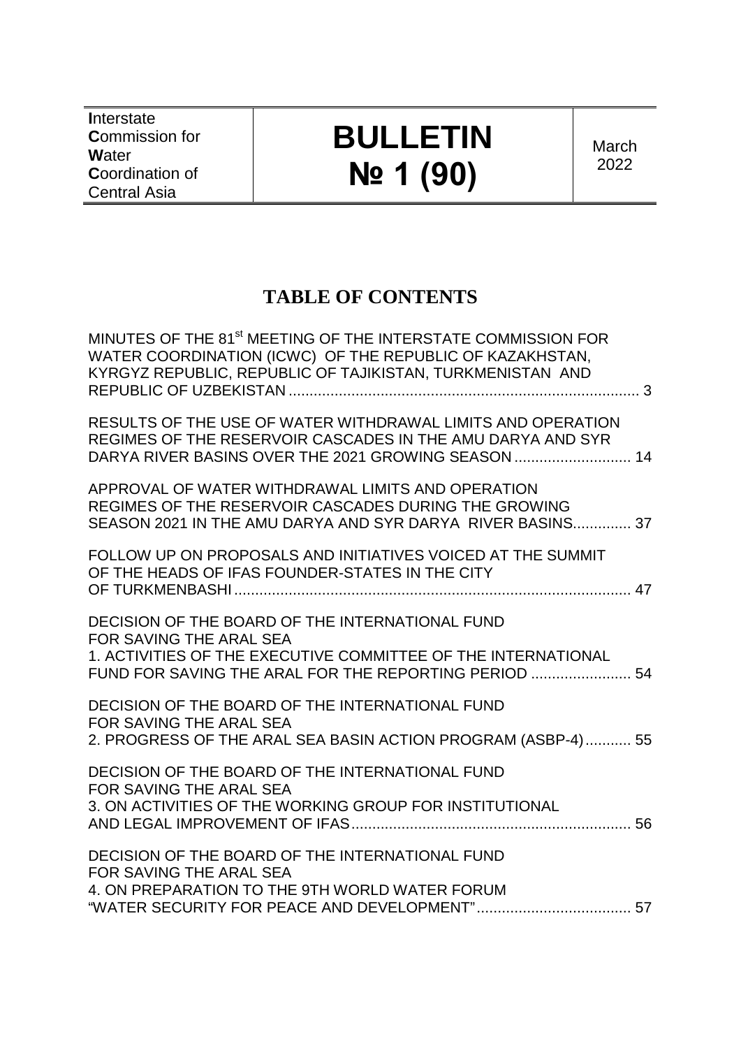**I**nterstate **C**ommission for **W**ater **C**oordination of Central Asia

# **BULLETIN № 1 (90)**

**March** 2022

### **TABLE OF CONTENTS**

| MINUTES OF THE 81 <sup>st</sup> MEETING OF THE INTERSTATE COMMISSION FOR<br>WATER COORDINATION (ICWC) OF THE REPUBLIC OF KAZAKHSTAN,<br>KYRGYZ REPUBLIC, REPUBLIC OF TAJIKISTAN, TURKMENISTAN AND    |  |
|------------------------------------------------------------------------------------------------------------------------------------------------------------------------------------------------------|--|
| RESULTS OF THE USE OF WATER WITHDRAWAL LIMITS AND OPERATION<br>REGIMES OF THE RESERVOIR CASCADES IN THE AMU DARYA AND SYR<br>DARYA RIVER BASINS OVER THE 2021 GROWING SEASON  14                     |  |
| APPROVAL OF WATER WITHDRAWAL LIMITS AND OPERATION<br>REGIMES OF THE RESERVOIR CASCADES DURING THE GROWING<br>SEASON 2021 IN THE AMU DARYA AND SYR DARYA RIVER BASINS 37                              |  |
| FOLLOW UP ON PROPOSALS AND INITIATIVES VOICED AT THE SUMMIT<br>OF THE HEADS OF IFAS FOUNDER-STATES IN THE CITY                                                                                       |  |
| DECISION OF THE BOARD OF THE INTERNATIONAL FUND<br>FOR SAVING THE ARAL SEA<br>1. ACTIVITIES OF THE EXECUTIVE COMMITTEE OF THE INTERNATIONAL<br>FUND FOR SAVING THE ARAL FOR THE REPORTING PERIOD  54 |  |
| DECISION OF THE BOARD OF THE INTERNATIONAL FUND<br>FOR SAVING THE ARAL SEA<br>2. PROGRESS OF THE ARAL SEA BASIN ACTION PROGRAM (ASBP-4) 55                                                           |  |
| DECISION OF THE BOARD OF THE INTERNATIONAL FUND<br>FOR SAVING THE ARAL SEA<br>3. ON ACTIVITIES OF THE WORKING GROUP FOR INSTITUTIONAL                                                                |  |
| DECISION OF THE BOARD OF THE INTERNATIONAL FUND<br>FOR SAVING THE ARAL SEA<br>4. ON PREPARATION TO THE 9TH WORLD WATER FORUM                                                                         |  |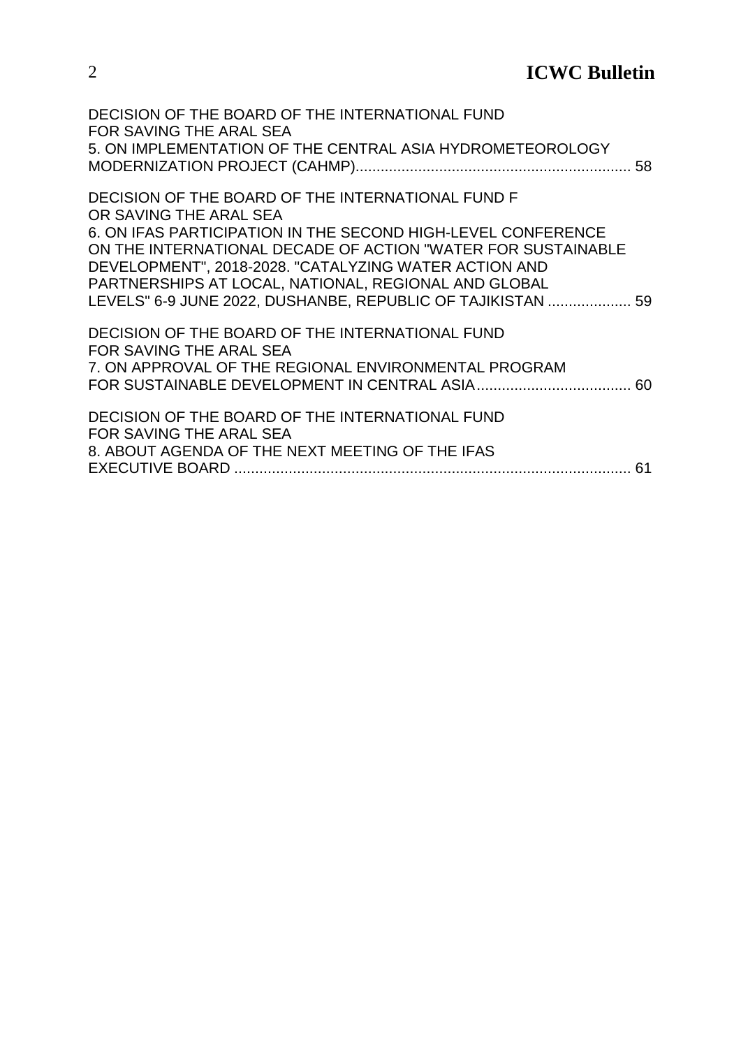| DECISION OF THE BOARD OF THE INTERNATIONAL FUND<br>FOR SAVING THE ARAL SEA |  |
|----------------------------------------------------------------------------|--|
| 5. ON IMPLEMENTATION OF THE CENTRAL ASIA HYDROMETEOROLOGY                  |  |
|                                                                            |  |
| DECISION OF THE BOARD OF THE INTERNATIONAL FUND F                          |  |
| OR SAVING THE ARAL SEA                                                     |  |
| 6. ON IFAS PARTICIPATION IN THE SECOND HIGH-LEVEL CONFERENCE               |  |
| ON THE INTERNATIONAL DECADE OF ACTION "WATER FOR SUSTAINABLE               |  |
| DEVELOPMENT", 2018-2028. "CATALYZING WATER ACTION AND                      |  |
| PARTNERSHIPS AT LOCAL, NATIONAL, REGIONAL AND GLOBAL                       |  |
| LEVELS" 6-9 JUNE 2022, DUSHANBE, REPUBLIC OF TAJIKISTAN  59                |  |
| DECISION OF THE BOARD OF THE INTERNATIONAL FUND                            |  |
| FOR SAVING THE ARAL SEA                                                    |  |
| 7. ON APPROVAL OF THE REGIONAL ENVIRONMENTAL PROGRAM                       |  |
|                                                                            |  |
| DECISION OF THE BOARD OF THE INTERNATIONAL FUND                            |  |
| FOR SAVING THE ARAL SEA                                                    |  |
| 8. ABOUT AGENDA OF THE NEXT MEETING OF THE IFAS                            |  |
|                                                                            |  |
|                                                                            |  |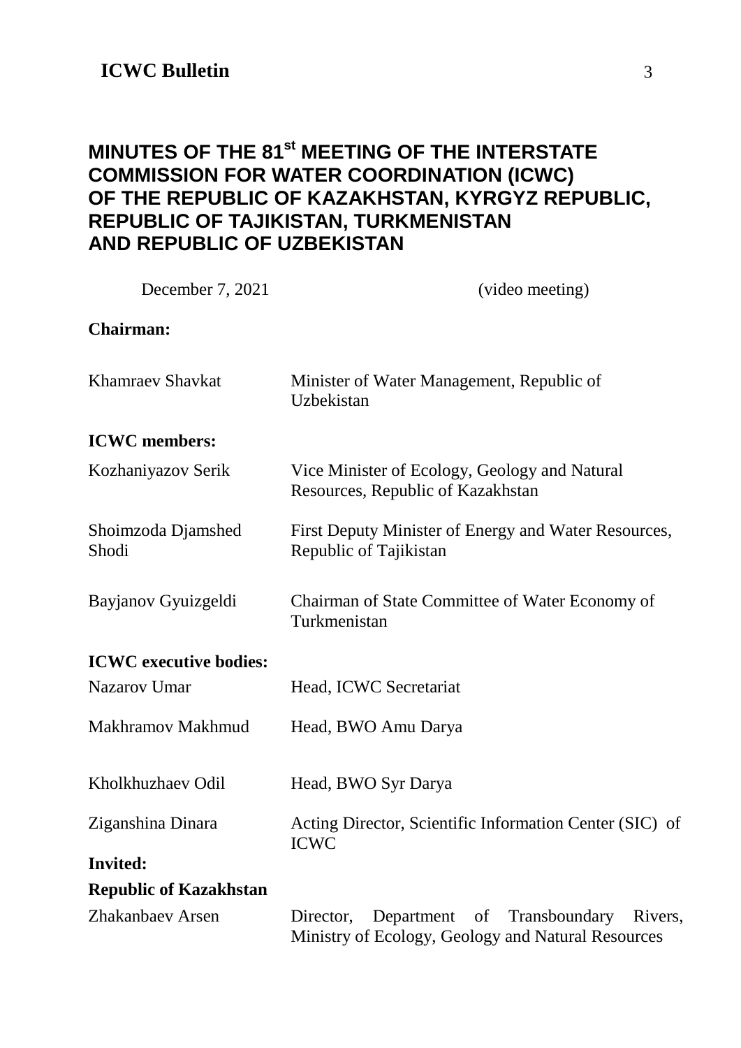### <span id="page-2-0"></span>**MINUTES OF THE 81st MEETING OF THE INTERSTATE COMMISSION FOR WATER COORDINATION (ICWC) OF THE REPUBLIC OF KAZAKHSTAN, KYRGYZ REPUBLIC, REPUBLIC OF TAJIKISTAN, TURKMENISTAN AND REPUBLIC OF UZBEKISTAN**

| December 7, 2021              | (video meeting)                                                                                              |
|-------------------------------|--------------------------------------------------------------------------------------------------------------|
| <b>Chairman:</b>              |                                                                                                              |
| <b>Khamraev Shavkat</b>       | Minister of Water Management, Republic of<br>Uzbekistan                                                      |
| <b>ICWC</b> members:          |                                                                                                              |
| Kozhaniyazov Serik            | Vice Minister of Ecology, Geology and Natural<br>Resources, Republic of Kazakhstan                           |
| Shoimzoda Djamshed<br>Shodi   | First Deputy Minister of Energy and Water Resources,<br>Republic of Tajikistan                               |
| Bayjanov Gyuizgeldi           | Chairman of State Committee of Water Economy of<br>Turkmenistan                                              |
| <b>ICWC</b> executive bodies: |                                                                                                              |
| <b>Nazarov Umar</b>           | Head, ICWC Secretariat                                                                                       |
| Makhramov Makhmud             | Head, BWO Amu Darya                                                                                          |
| Kholkhuzhaev Odil             | Head, BWO Syr Darya                                                                                          |
| Ziganshina Dinara             | Acting Director, Scientific Information Center (SIC) of<br><b>ICWC</b>                                       |
| <b>Invited:</b>               |                                                                                                              |
| <b>Republic of Kazakhstan</b> |                                                                                                              |
| Zhakanbaev Arsen              | Department of<br>Transboundary<br>Rivers,<br>Director,<br>Ministry of Ecology, Geology and Natural Resources |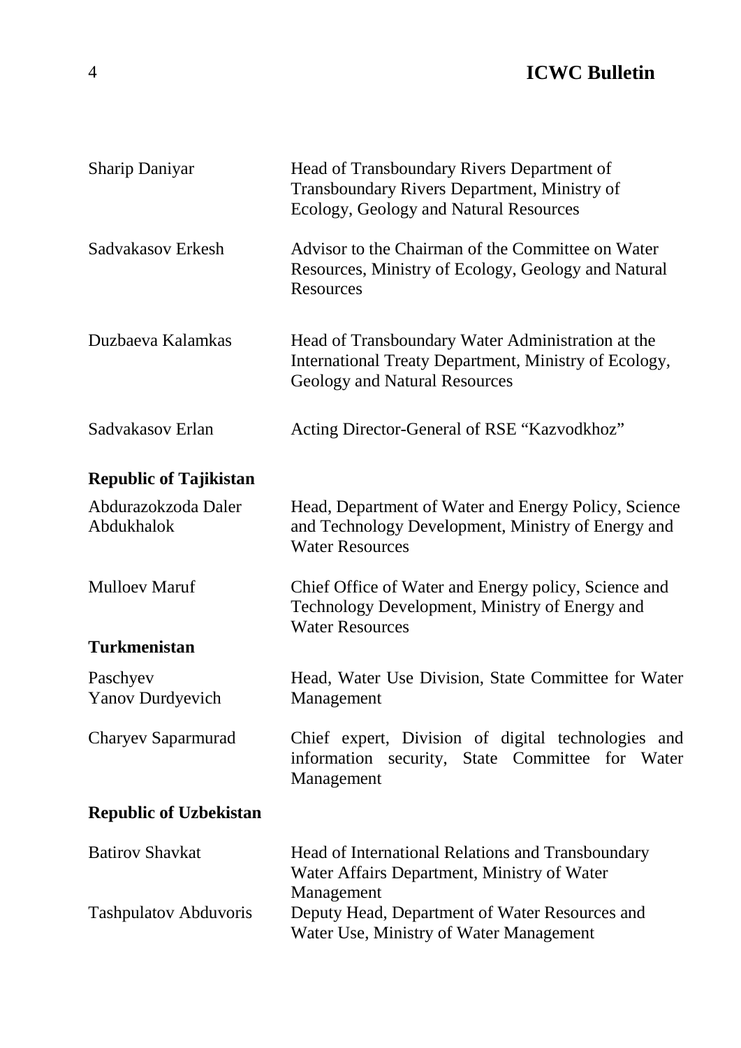| <b>Sharip Daniyar</b>               | Head of Transboundary Rivers Department of<br>Transboundary Rivers Department, Ministry of<br>Ecology, Geology and Natural Resources        |
|-------------------------------------|---------------------------------------------------------------------------------------------------------------------------------------------|
| Sadvakasov Erkesh                   | Advisor to the Chairman of the Committee on Water<br>Resources, Ministry of Ecology, Geology and Natural<br><b>Resources</b>                |
| Duzbaeva Kalamkas                   | Head of Transboundary Water Administration at the<br>International Treaty Department, Ministry of Ecology,<br>Geology and Natural Resources |
| Sadvakasov Erlan                    | Acting Director-General of RSE "Kazvodkhoz"                                                                                                 |
| <b>Republic of Tajikistan</b>       |                                                                                                                                             |
| Abdurazokzoda Daler<br>Abdukhalok   | Head, Department of Water and Energy Policy, Science<br>and Technology Development, Ministry of Energy and<br><b>Water Resources</b>        |
| <b>Mulloev Maruf</b>                | Chief Office of Water and Energy policy, Science and<br>Technology Development, Ministry of Energy and<br><b>Water Resources</b>            |
| <b>Turkmenistan</b>                 |                                                                                                                                             |
| Paschyev<br><b>Yanov Durdyevich</b> | Head, Water Use Division, State Committee for Water<br>Management                                                                           |
| Charyev Saparmurad                  | Chief expert, Division of digital technologies and<br>information security, State Committee for Water<br>Management                         |
| <b>Republic of Uzbekistan</b>       |                                                                                                                                             |
| <b>Batirov Shavkat</b>              | Head of International Relations and Transboundary<br>Water Affairs Department, Ministry of Water                                            |
| <b>Tashpulatov Abduvoris</b>        | Management<br>Deputy Head, Department of Water Resources and<br>Water Use, Ministry of Water Management                                     |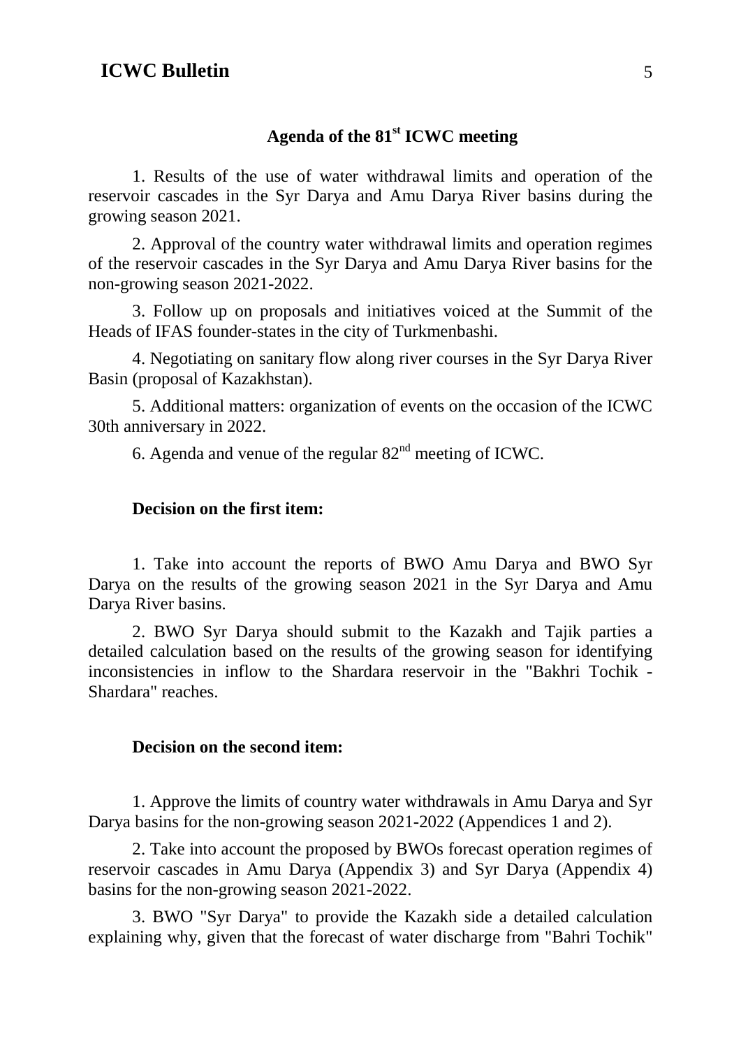#### **Agenda of the 81st ICWC meeting**

1. Results of the use of water withdrawal limits and operation of the reservoir cascades in the Syr Darya and Amu Darya River basins during the growing season 2021.

2. Approval of the country water withdrawal limits and operation regimes of the reservoir cascades in the Syr Darya and Amu Darya River basins for the non-growing season 2021-2022.

3. Follow up on proposals and initiatives voiced at the Summit of the Heads of IFAS founder-states in the city of Turkmenbashi.

4. Negotiating on sanitary flow along river courses in the Syr Darya River Basin (proposal of Kazakhstan).

5. Additional matters: organization of events on the occasion of the ICWC 30th anniversary in 2022.

6. Agenda and venue of the regular  $82<sup>nd</sup>$  meeting of ICWC.

#### **Decision on the first item:**

1. Take into account the reports of BWO Amu Darya and BWO Syr Darya on the results of the growing season 2021 in the Syr Darya and Amu Darya River basins.

2. BWO Syr Darya should submit to the Kazakh and Tajik parties a detailed calculation based on the results of the growing season for identifying inconsistencies in inflow to the Shardara reservoir in the "Bakhri Tochik - Shardara" reaches.

#### **Decision on the second item:**

1. Approve the limits of country water withdrawals in Amu Darya and Syr Darya basins for the non-growing season 2021-2022 (Appendices 1 and 2).

2. Take into account the proposed by BWOs forecast operation regimes of reservoir cascades in Amu Darya (Appendix 3) and Syr Darya (Appendix 4) basins for the non-growing season 2021-2022.

3. BWO "Syr Darya" to provide the Kazakh side a detailed calculation explaining why, given that the forecast of water discharge from "Bahri Tochik"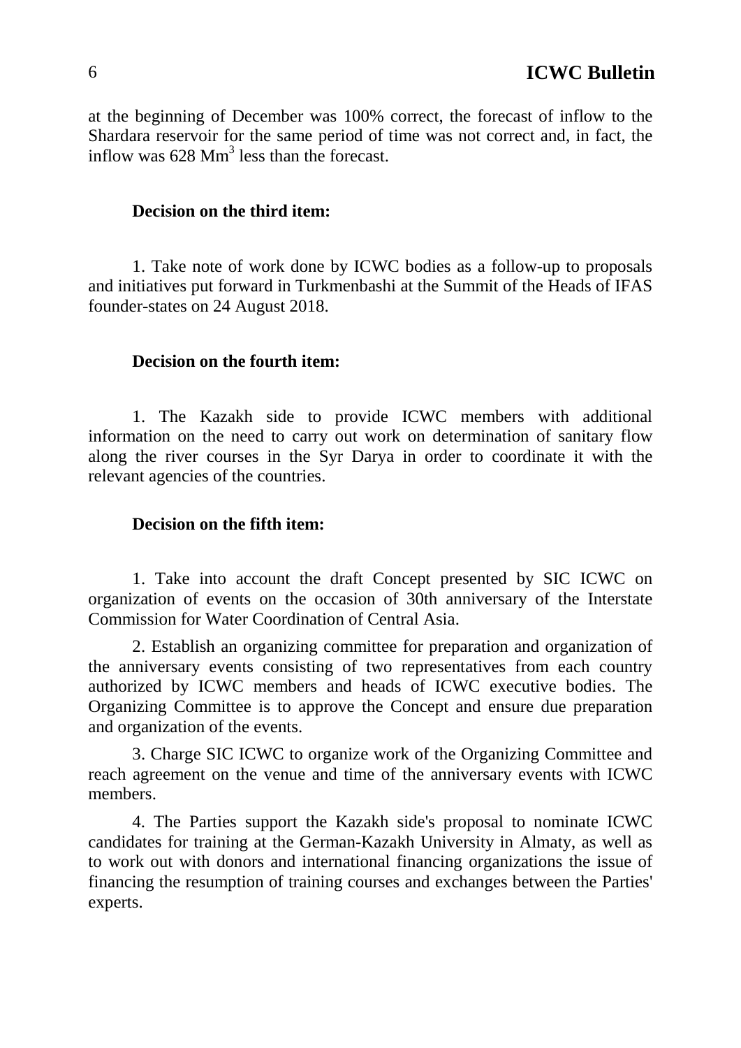at the beginning of December was 100% correct, the forecast of inflow to the Shardara reservoir for the same period of time was not correct and, in fact, the inflow was  $628 \text{ Mm}^3$  less than the forecast.

#### **Decision on the third item:**

1. Take note of work done by ICWC bodies as a follow-up to proposals and initiatives put forward in Turkmenbashi at the Summit of the Heads of IFAS founder-states on 24 August 2018.

#### **Decision on the fourth item:**

1. The Kazakh side to provide ICWC members with additional information on the need to carry out work on determination of sanitary flow along the river courses in the Syr Darya in order to coordinate it with the relevant agencies of the countries.

#### **Decision on the fifth item:**

1. Take into account the draft Concept presented by SIC ICWC on organization of events on the occasion of 30th anniversary of the Interstate Commission for Water Coordination of Central Asia.

2. Establish an organizing committee for preparation and organization of the anniversary events consisting of two representatives from each country authorized by ICWC members and heads of ICWC executive bodies. The Organizing Committee is to approve the Concept and ensure due preparation and organization of the events.

3. Charge SIC ICWC to organize work of the Organizing Committee and reach agreement on the venue and time of the anniversary events with ICWC members.

4. The Parties support the Kazakh side's proposal to nominate ICWC candidates for training at the German-Kazakh University in Almaty, as well as to work out with donors and international financing organizations the issue of financing the resumption of training courses and exchanges between the Parties' experts.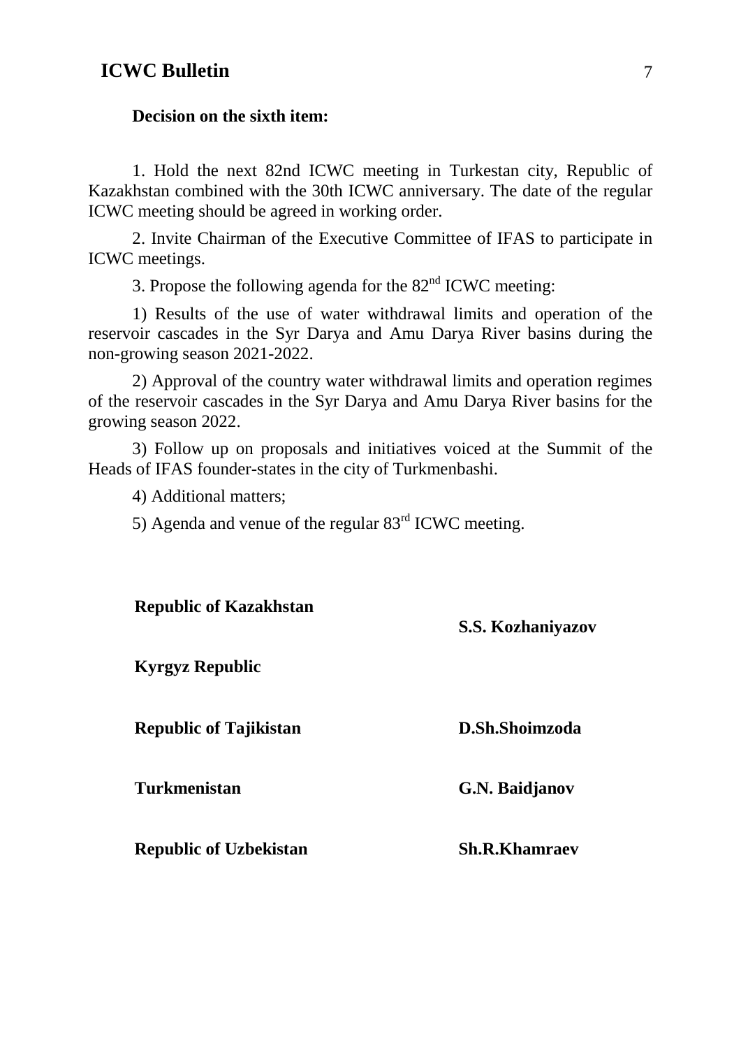#### **Decision on the sixth item:**

1. Hold the next 82nd ICWC meeting in Turkestan city, Republic of Kazakhstan combined with the 30th ICWC anniversary. The date of the regular ICWC meeting should be agreed in working order.

2. Invite Chairman of the Executive Committee of IFAS to participate in ICWC meetings.

3. Propose the following agenda for the  $82<sup>nd</sup>$  ICWC meeting:

1) Results of the use of water withdrawal limits and operation of the reservoir cascades in the Syr Darya and Amu Darya River basins during the non-growing season 2021-2022.

2) Approval of the country water withdrawal limits and operation regimes of the reservoir cascades in the Syr Darya and Amu Darya River basins for the growing season 2022.

3) Follow up on proposals and initiatives voiced at the Summit of the Heads of IFAS founder-states in the city of Turkmenbashi.

4) Additional matters;

5) Agenda and venue of the regular  $83<sup>rd</sup>$  ICWC meeting.

| <b>Republic of Kazakhstan</b> | S.S. Kozhaniyazov    |
|-------------------------------|----------------------|
| <b>Kyrgyz Republic</b>        |                      |
| <b>Republic of Tajikistan</b> | D.Sh.Shoimzoda       |
| <b>Turkmenistan</b>           | G.N. Baidjanov       |
| <b>Republic of Uzbekistan</b> | <b>Sh.R.Khamraev</b> |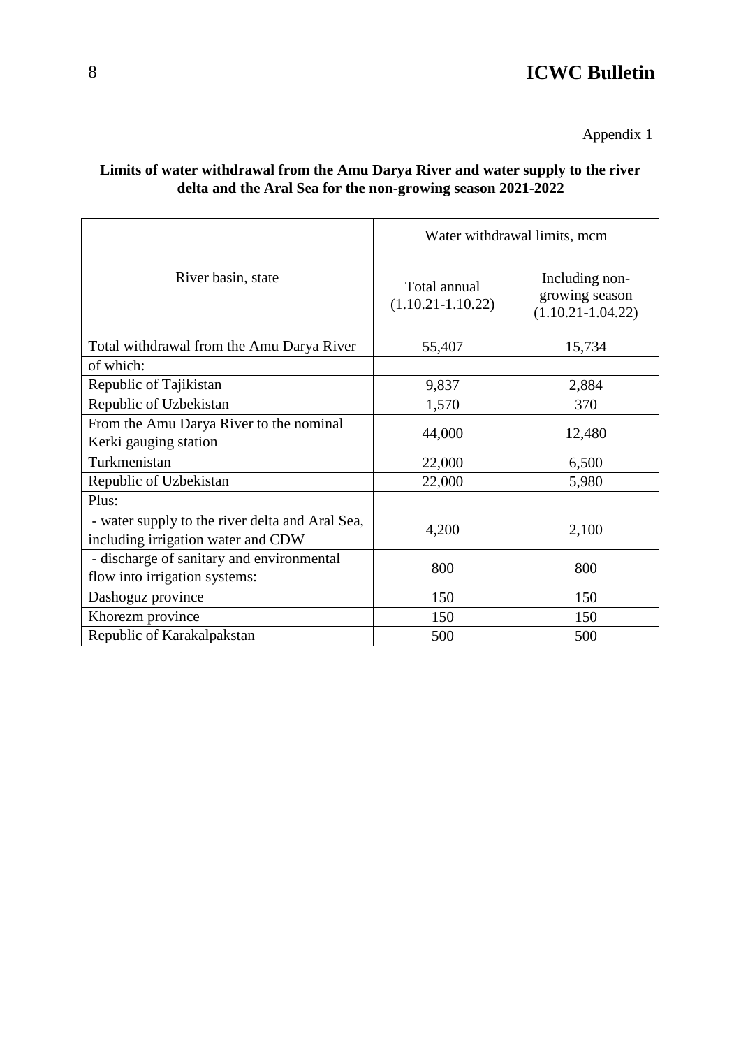Appendix 1

#### **Limits of water withdrawal from the Amu Darya River and water supply to the river delta and the Aral Sea for the non-growing season 2021-2022**

|                                                                                       | Water withdrawal limits, mcm          |                                                           |  |  |  |
|---------------------------------------------------------------------------------------|---------------------------------------|-----------------------------------------------------------|--|--|--|
| River basin, state                                                                    | Total annual<br>$(1.10.21 - 1.10.22)$ | Including non-<br>growing season<br>$(1.10.21 - 1.04.22)$ |  |  |  |
| Total withdrawal from the Amu Darya River                                             | 55,407                                | 15,734                                                    |  |  |  |
| of which:                                                                             |                                       |                                                           |  |  |  |
| Republic of Tajikistan                                                                | 9,837                                 | 2,884                                                     |  |  |  |
| Republic of Uzbekistan                                                                | 1,570                                 | 370                                                       |  |  |  |
| From the Amu Darya River to the nominal<br>Kerki gauging station                      | 44,000                                | 12,480                                                    |  |  |  |
| Turkmenistan                                                                          | 22,000                                | 6,500                                                     |  |  |  |
| Republic of Uzbekistan                                                                | 22,000                                | 5,980                                                     |  |  |  |
| Plus:                                                                                 |                                       |                                                           |  |  |  |
| - water supply to the river delta and Aral Sea,<br>including irrigation water and CDW | 4,200                                 | 2,100                                                     |  |  |  |
| - discharge of sanitary and environmental<br>flow into irrigation systems:            | 800                                   | 800                                                       |  |  |  |
| Dashoguz province                                                                     | 150                                   | 150                                                       |  |  |  |
| Khorezm province                                                                      | 150                                   | 150                                                       |  |  |  |
| Republic of Karakalpakstan                                                            | 500                                   | 500                                                       |  |  |  |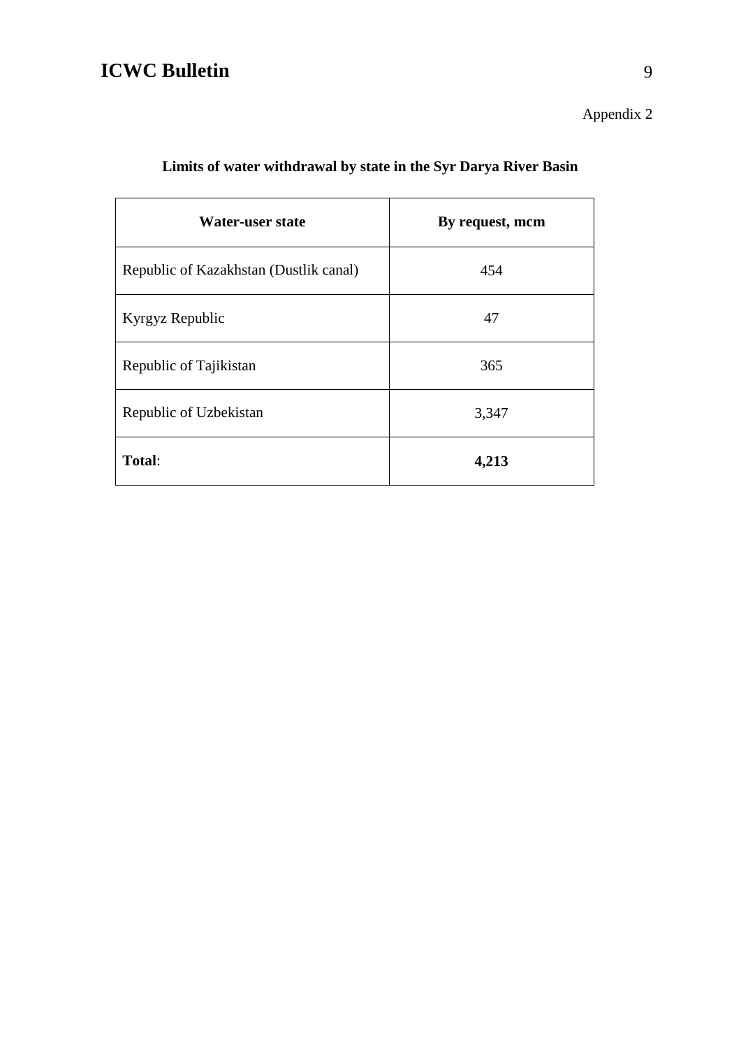Appendix 2

| Water-user state                       | By request, mcm |
|----------------------------------------|-----------------|
| Republic of Kazakhstan (Dustlik canal) | 454             |
| Kyrgyz Republic                        | 47              |
| Republic of Tajikistan                 | 365             |
| Republic of Uzbekistan                 | 3,347           |
| Total:                                 | 4,213           |

### **Limits of water withdrawal by state in the Syr Darya River Basin**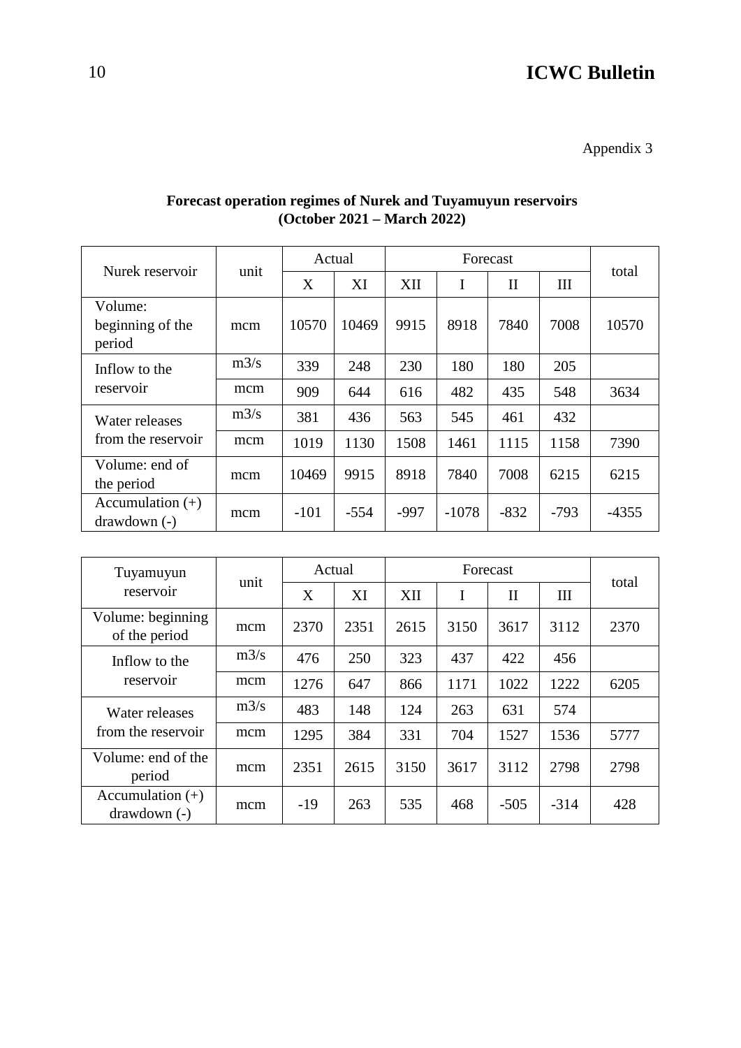Appendix 3

| Nurek reservoir                       |      | Actual |        |        |         |              |        |         |
|---------------------------------------|------|--------|--------|--------|---------|--------------|--------|---------|
|                                       | unit | X      | XI     | XII    | I       | $\mathbf{I}$ | III    | total   |
| Volume:<br>beginning of the<br>period | mcm  | 10570  | 10469  | 9915   | 8918    | 7840         | 7008   | 10570   |
| Inflow to the                         | m3/s | 339    | 248    | 230    | 180     | 180          | 205    |         |
| reservoir                             | mcm  | 909    | 644    | 616    | 482     | 435          | 548    | 3634    |
| Water releases                        | m3/s | 381    | 436    | 563    | 545     | 461          | 432    |         |
| from the reservoir                    | mcm  | 1019   | 1130   | 1508   | 1461    | 1115         | 1158   | 7390    |
| Volume: end of<br>the period          | mcm  | 10469  | 9915   | 8918   | 7840    | 7008         | 6215   | 6215    |
| Accumulation $(+)$<br>$drawdown(-)$   | mcm  | $-101$ | $-554$ | $-997$ | $-1078$ | $-832$       | $-793$ | $-4355$ |

#### **Forecast operation regimes of Nurek and Tuyamuyun reservoirs (October 2021 – March 2022)**

| Tuyamuyun                           | unit | Actual |      |      |      |              |        |       |
|-------------------------------------|------|--------|------|------|------|--------------|--------|-------|
| reservoir                           |      | X      | XI   | XII  | I    | $\mathbf{I}$ | Ш      | total |
| Volume: beginning<br>of the period  | mcm  | 2370   | 2351 | 2615 | 3150 | 3617         | 3112   | 2370  |
| Inflow to the                       | m3/s | 476    | 250  | 323  | 437  | 422          | 456    |       |
| reservoir                           | mcm  | 1276   | 647  | 866  | 1171 | 1022         | 1222   | 6205  |
| Water releases                      | m3/s | 483    | 148  | 124  | 263  | 631          | 574    |       |
| from the reservoir                  | mcm  | 1295   | 384  | 331  | 704  | 1527         | 1536   | 5777  |
| Volume: end of the<br>period        | mcm  | 2351   | 2615 | 3150 | 3617 | 3112         | 2798   | 2798  |
| Accumulation $(+)$<br>$drawdown(-)$ | mcm  | $-19$  | 263  | 535  | 468  | $-505$       | $-314$ | 428   |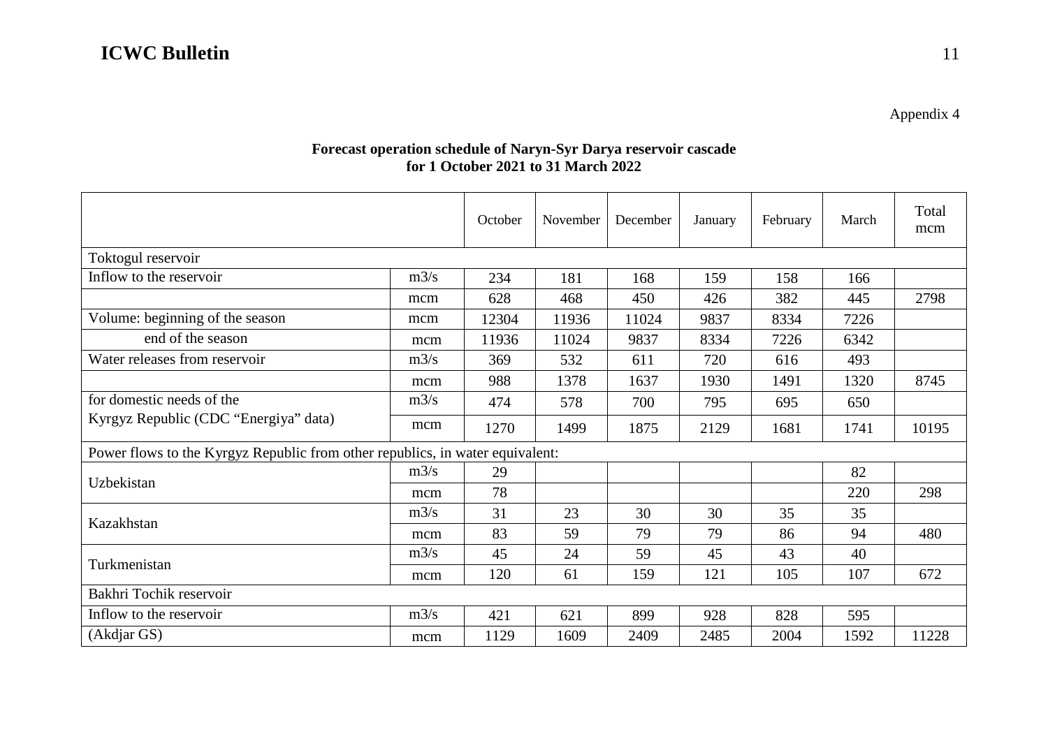Appendix 4

#### **Forecast operation schedule of Naryn-Syr Darya reservoir cascade for 1 October 2021 to 31 March 2022**

|                                                                               |      | October | November | December | January | February | March | Total<br>mcm |
|-------------------------------------------------------------------------------|------|---------|----------|----------|---------|----------|-------|--------------|
| Toktogul reservoir                                                            |      |         |          |          |         |          |       |              |
| Inflow to the reservoir                                                       | m3/s | 234     | 181      | 168      | 159     | 158      | 166   |              |
|                                                                               | mcm  | 628     | 468      | 450      | 426     | 382      | 445   | 2798         |
| Volume: beginning of the season                                               | mcm  | 12304   | 11936    | 11024    | 9837    | 8334     | 7226  |              |
| end of the season                                                             | mcm  | 11936   | 11024    | 9837     | 8334    | 7226     | 6342  |              |
| Water releases from reservoir                                                 | m3/s | 369     | 532      | 611      | 720     | 616      | 493   |              |
|                                                                               | mcm  | 988     | 1378     | 1637     | 1930    | 1491     | 1320  | 8745         |
| for domestic needs of the                                                     | m3/s | 474     | 578      | 700      | 795     | 695      | 650   |              |
| Kyrgyz Republic (CDC "Energiya" data)                                         | mcm  | 1270    | 1499     | 1875     | 2129    | 1681     | 1741  | 10195        |
| Power flows to the Kyrgyz Republic from other republics, in water equivalent: |      |         |          |          |         |          |       |              |
| Uzbekistan                                                                    | m3/s | 29      |          |          |         |          | 82    |              |
|                                                                               | mcm  | 78      |          |          |         |          | 220   | 298          |
| Kazakhstan                                                                    | m3/s | 31      | 23       | 30       | 30      | 35       | 35    |              |
|                                                                               | mcm  | 83      | 59       | 79       | 79      | 86       | 94    | 480          |
|                                                                               | m3/s | 45      | 24       | 59       | 45      | 43       | 40    |              |
| Turkmenistan                                                                  | mcm  | 120     | 61       | 159      | 121     | 105      | 107   | 672          |
| Bakhri Tochik reservoir                                                       |      |         |          |          |         |          |       |              |
| Inflow to the reservoir                                                       | m3/s | 421     | 621      | 899      | 928     | 828      | 595   |              |
| (Akdjar GS)                                                                   | mcm  | 1129    | 1609     | 2409     | 2485    | 2004     | 1592  | 11228        |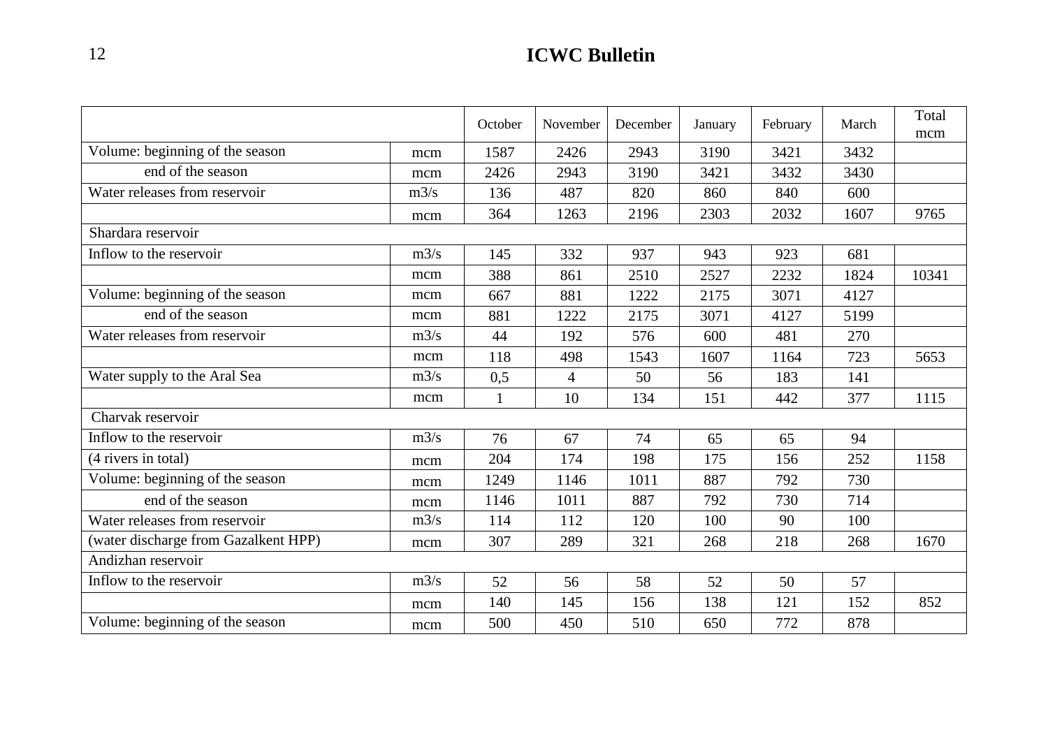|                                      |      | October      | November       | December | January | February | March | Total<br>mcm |
|--------------------------------------|------|--------------|----------------|----------|---------|----------|-------|--------------|
| Volume: beginning of the season      | mcm  | 1587         | 2426           | 2943     | 3190    | 3421     | 3432  |              |
| end of the season                    | mcm  | 2426         | 2943           | 3190     | 3421    | 3432     | 3430  |              |
| Water releases from reservoir        | m3/s | 136          | 487            | 820      | 860     | 840      | 600   |              |
|                                      | mcm  | 364          | 1263           | 2196     | 2303    | 2032     | 1607  | 9765         |
| Shardara reservoir                   |      |              |                |          |         |          |       |              |
| Inflow to the reservoir              | m3/s | 145          | 332            | 937      | 943     | 923      | 681   |              |
|                                      | mcm  | 388          | 861            | 2510     | 2527    | 2232     | 1824  | 10341        |
| Volume: beginning of the season      | mcm  | 667          | 881            | 1222     | 2175    | 3071     | 4127  |              |
| end of the season                    | mcm  | 881          | 1222           | 2175     | 3071    | 4127     | 5199  |              |
| Water releases from reservoir        | m3/s | 44           | 192            | 576      | 600     | 481      | 270   |              |
|                                      | mcm  | 118          | 498            | 1543     | 1607    | 1164     | 723   | 5653         |
| Water supply to the Aral Sea         | m3/s | 0,5          | $\overline{4}$ | 50       | 56      | 183      | 141   |              |
|                                      | mcm  | $\mathbf{1}$ | 10             | 134      | 151     | 442      | 377   | 1115         |
| Charvak reservoir                    |      |              |                |          |         |          |       |              |
| Inflow to the reservoir              | m3/s | 76           | 67             | 74       | 65      | 65       | 94    |              |
| (4 rivers in total)                  | mcm  | 204          | 174            | 198      | 175     | 156      | 252   | 1158         |
| Volume: beginning of the season      | mcm  | 1249         | 1146           | 1011     | 887     | 792      | 730   |              |
| end of the season                    | mcm  | 1146         | 1011           | 887      | 792     | 730      | 714   |              |
| Water releases from reservoir        | m3/s | 114          | 112            | 120      | 100     | 90       | 100   |              |
| (water discharge from Gazalkent HPP) | mcm  | 307          | 289            | 321      | 268     | 218      | 268   | 1670         |
| Andizhan reservoir                   |      |              |                |          |         |          |       |              |
| Inflow to the reservoir              | m3/s | 52           | 56             | 58       | 52      | 50       | 57    |              |
|                                      | mcm  | 140          | 145            | 156      | 138     | 121      | 152   | 852          |
| Volume: beginning of the season      | mcm  | 500          | 450            | 510      | 650     | 772      | 878   |              |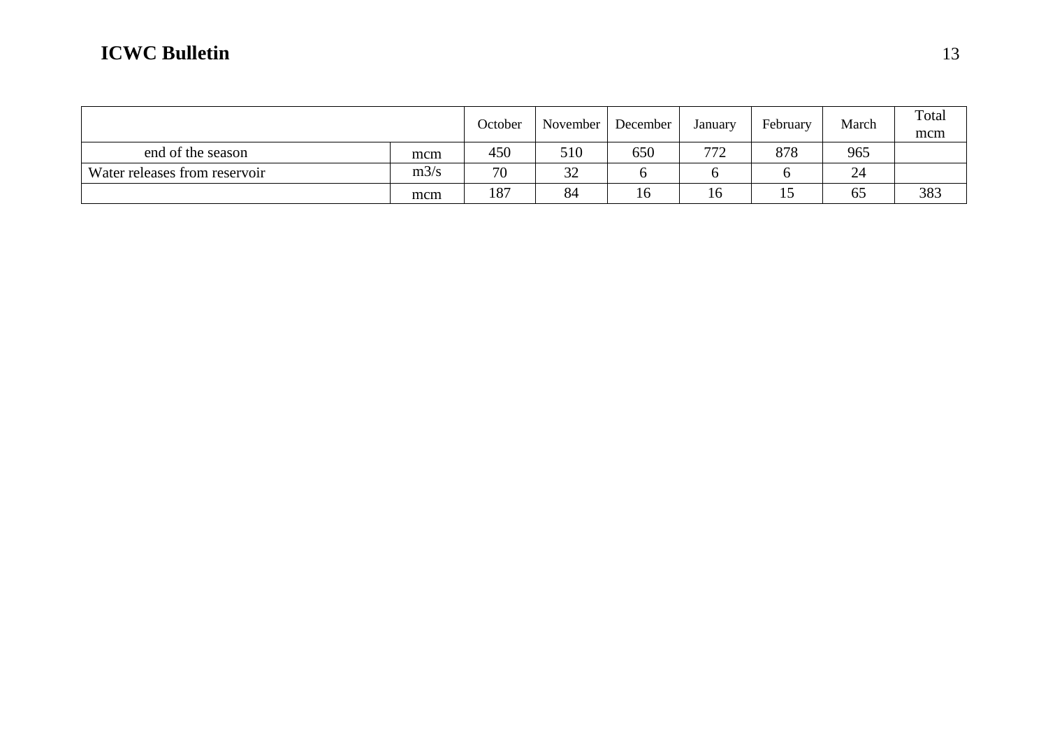|                               |      | October | November | December | January | February | March | Total<br>mcm |
|-------------------------------|------|---------|----------|----------|---------|----------|-------|--------------|
| end of the season             | mcm  | 450     | 510      | 650      | 772     | 878      | 965   |              |
| Water releases from reservoir | m3/s | 70      | 32       |          |         |          | 24    |              |
|                               | mcm  | 187     | 84       | 16       | 16      | 10       | 65    | 383          |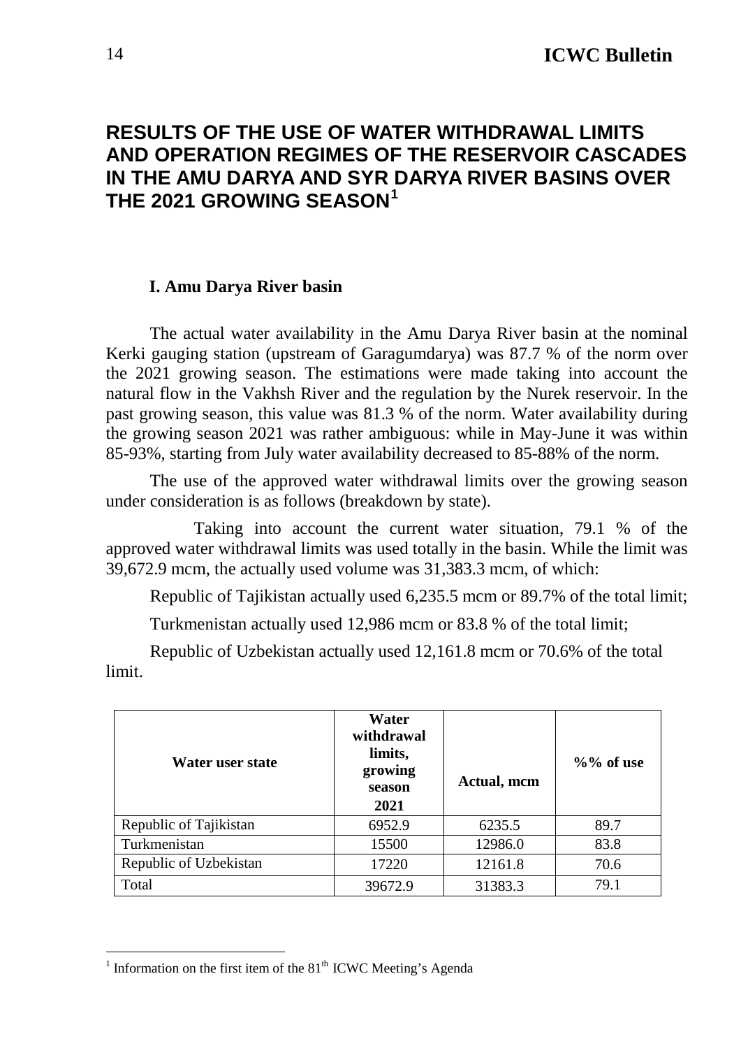### <span id="page-13-0"></span>**RESULTS OF THE USE OF WATER WITHDRAWAL LIMITS AND OPERATION REGIMES OF THE RESERVOIR CASCADES IN THE AMU DARYA AND SYR DARYA RIVER BASINS OVER THE 2021 GROWING SEASON[1](#page-13-1)**

#### **I. Amu Darya River basin**

The actual water availability in the Amu Darya River basin at the nominal Kerki gauging station (upstream of Garagumdarya) was 87.7 % of the norm over the 2021 growing season. The estimations were made taking into account the natural flow in the Vakhsh River and the regulation by the Nurek reservoir. In the past growing season, this value was 81.3 % of the norm. Water availability during the growing season 2021 was rather ambiguous: while in May-June it was within 85-93%, starting from July water availability decreased to 85-88% of the norm.

The use of the approved water withdrawal limits over the growing season under consideration is as follows (breakdown by state).

Taking into account the current water situation, 79.1 % of the approved water withdrawal limits was used totally in the basin. While the limit was 39,672.9 mcm, the actually used volume was 31,383.3 mcm, of which:

Republic of Tajikistan actually used 6,235.5 mcm or 89.7% of the total limit;

Turkmenistan actually used 12,986 mcm or 83.8 % of the total limit;

Republic of Uzbekistan actually used 12,161.8 mcm or 70.6% of the total limit.

| Water user state       | Water<br>withdrawal<br>limits,<br>growing<br>season<br>2021 | Actual, mcm | $\%$ % of use |
|------------------------|-------------------------------------------------------------|-------------|---------------|
| Republic of Tajikistan | 6952.9                                                      | 6235.5      | 89.7          |
| Turkmenistan           | 15500                                                       | 12986.0     | 83.8          |
| Republic of Uzbekistan | 17220                                                       | 12161.8     | 70.6          |
| Total                  | 39672.9                                                     | 31383.3     | 79.1          |

<span id="page-13-1"></span><sup>&</sup>lt;sup>1</sup> Information on the first item of the  $81<sup>th</sup>$  ICWC Meeting's Agenda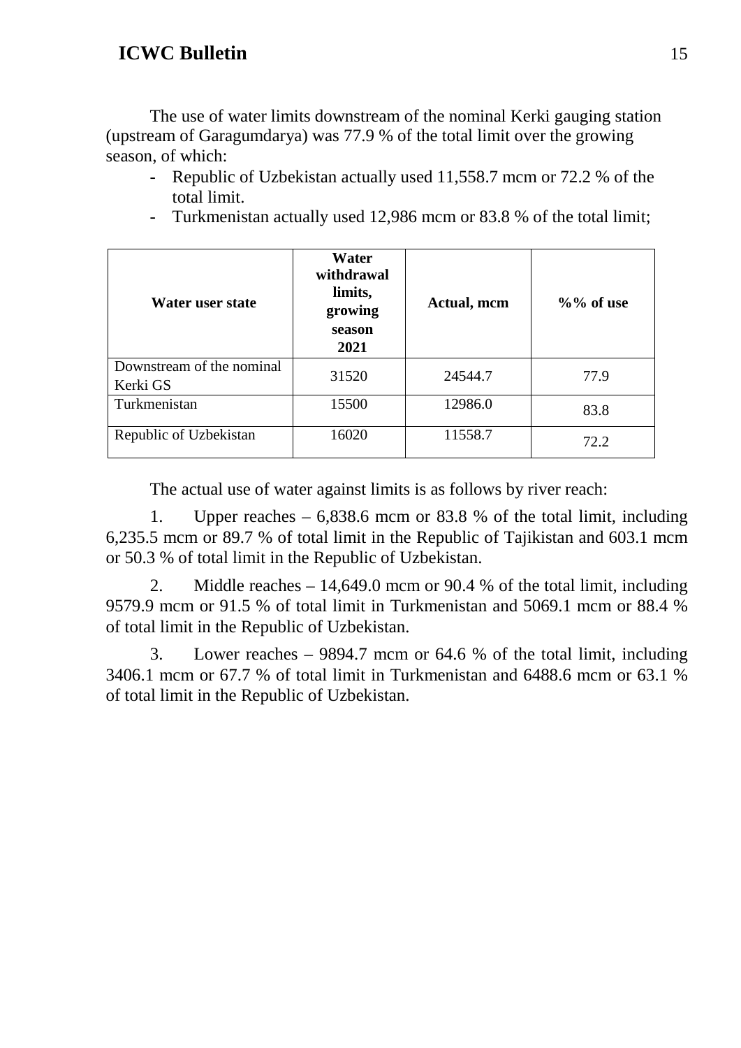The use of water limits downstream of the nominal Kerki gauging station (upstream of Garagumdarya) was 77.9 % of the total limit over the growing season, of which:

- Republic of Uzbekistan actually used 11,558.7 mcm or 72.2 % of the total limit.
- Turkmenistan actually used 12,986 mcm or 83.8 % of the total limit;

| Water user state                      | Water<br>withdrawal<br>limits,<br>growing<br>season<br>2021 | Actual, mcm | $\%$ % of use |
|---------------------------------------|-------------------------------------------------------------|-------------|---------------|
| Downstream of the nominal<br>Kerki GS | 31520                                                       | 24544.7     | 77.9          |
| Turkmenistan                          | 15500                                                       | 12986.0     | 83.8          |
| Republic of Uzbekistan                | 16020                                                       | 11558.7     | 72.2          |

The actual use of water against limits is as follows by river reach:

1. Upper reaches – 6,838.6 mcm or 83.8 % of the total limit, including 6,235.5 mcm or 89.7 % of total limit in the Republic of Tajikistan and 603.1 mcm or 50.3 % of total limit in the Republic of Uzbekistan.

2. Middle reaches – 14,649.0 mcm or 90.4 % of the total limit, including 9579.9 mcm or 91.5 % of total limit in Turkmenistan and 5069.1 mcm or 88.4 % of total limit in the Republic of Uzbekistan.

3. Lower reaches – 9894.7 mcm or 64.6 % of the total limit, including 3406.1 mcm or 67.7 % of total limit in Turkmenistan and 6488.6 mcm or 63.1 % of total limit in the Republic of Uzbekistan.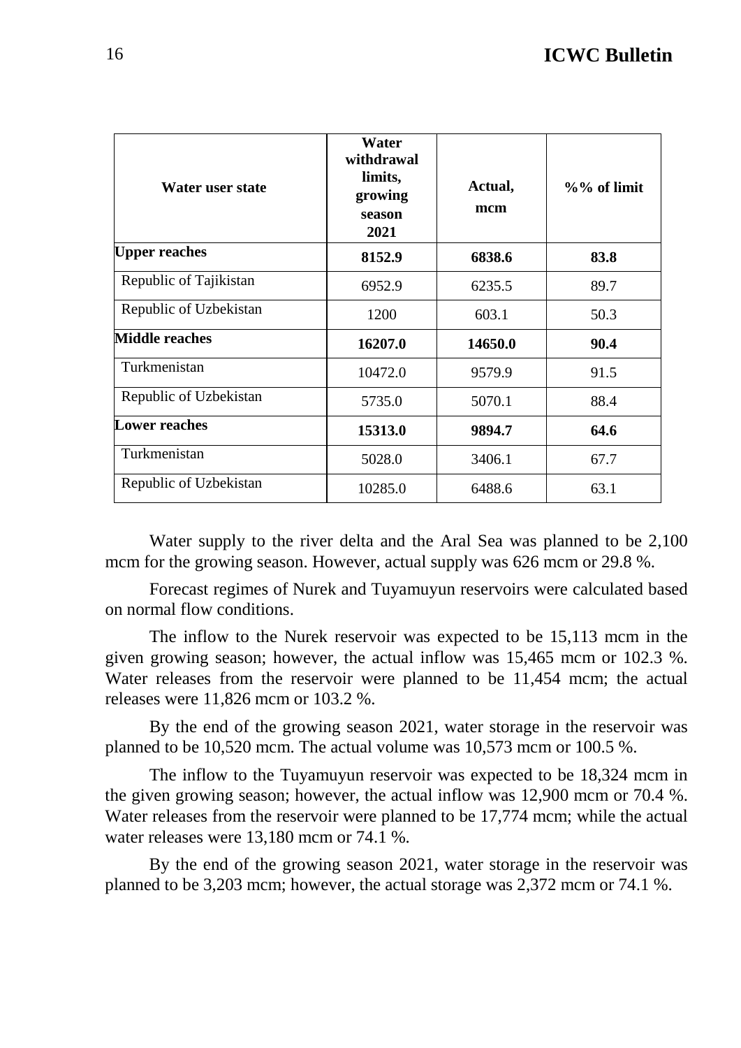| Water user state       | Water<br>withdrawal<br>limits,<br>growing<br>season<br>2021 | Actual,<br>mcm | $\%$ % of limit |  |  |
|------------------------|-------------------------------------------------------------|----------------|-----------------|--|--|
| <b>Upper reaches</b>   | 8152.9                                                      | 6838.6         | 83.8            |  |  |
| Republic of Tajikistan | 6952.9                                                      | 6235.5         | 89.7            |  |  |
| Republic of Uzbekistan | 1200                                                        | 603.1          | 50.3            |  |  |
| <b>Middle reaches</b>  | 16207.0                                                     | 14650.0        | 90.4            |  |  |
| Turkmenistan           | 10472.0                                                     | 9579.9         | 91.5            |  |  |
| Republic of Uzbekistan | 5735.0                                                      | 5070.1         | 88.4            |  |  |
| <b>Lower reaches</b>   | 15313.0                                                     | 9894.7         | 64.6            |  |  |
| Turkmenistan           | 5028.0                                                      | 3406.1         | 67.7            |  |  |
| Republic of Uzbekistan | 10285.0                                                     | 6488.6         | 63.1            |  |  |

Water supply to the river delta and the Aral Sea was planned to be 2,100 mcm for the growing season. However, actual supply was 626 mcm or 29.8 %.

Forecast regimes of Nurek and Tuyamuyun reservoirs were calculated based on normal flow conditions.

The inflow to the Nurek reservoir was expected to be 15,113 mcm in the given growing season; however, the actual inflow was 15,465 mcm or 102.3 %. Water releases from the reservoir were planned to be 11,454 mcm; the actual releases were 11,826 mcm or 103.2 %.

By the end of the growing season 2021, water storage in the reservoir was planned to be 10,520 mcm. The actual volume was 10,573 mcm or 100.5 %.

The inflow to the Tuyamuyun reservoir was expected to be 18,324 mcm in the given growing season; however, the actual inflow was 12,900 mcm or 70.4 %. Water releases from the reservoir were planned to be 17,774 mcm; while the actual water releases were 13,180 mcm or 74.1 %.

By the end of the growing season 2021, water storage in the reservoir was planned to be 3,203 mcm; however, the actual storage was 2,372 mcm or 74.1 %.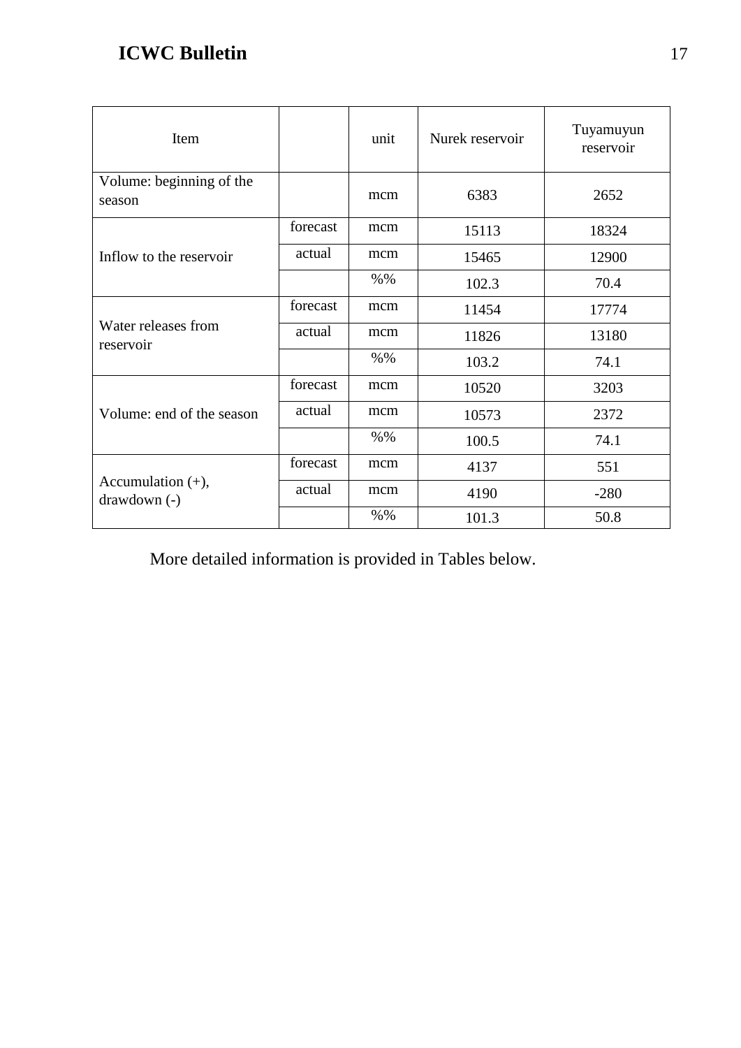| Item                                  |          | unit   | Nurek reservoir | Tuyamuyun<br>reservoir |
|---------------------------------------|----------|--------|-----------------|------------------------|
| Volume: beginning of the<br>season    |          | mcm    | 6383            | 2652                   |
|                                       | forecast | mcm    | 15113           | 18324                  |
| Inflow to the reservoir               | actual   | mcm    | 15465           | 12900                  |
|                                       |          | $%$ %  | 102.3           | 70.4                   |
|                                       | forecast | mcm    | 11454           | 17774                  |
| Water releases from<br>reservoir      | actual   | mcm    | 11826           | 13180                  |
|                                       |          | $% \%$ | 103.2           | 74.1                   |
|                                       | forecast | mcm    | 10520           | 3203                   |
| Volume: end of the season             | actual   | mcm    | 10573           | 2372                   |
|                                       |          | $% \%$ | 100.5           | 74.1                   |
|                                       | forecast | mcm    | 4137            | 551                    |
| Accumulation $(+)$ ,<br>$drawdown(-)$ | actual   | mcm    | 4190            | $-280$                 |
|                                       |          | $%$ %  | 101.3           | 50.8                   |

More detailed information is provided in Tables below.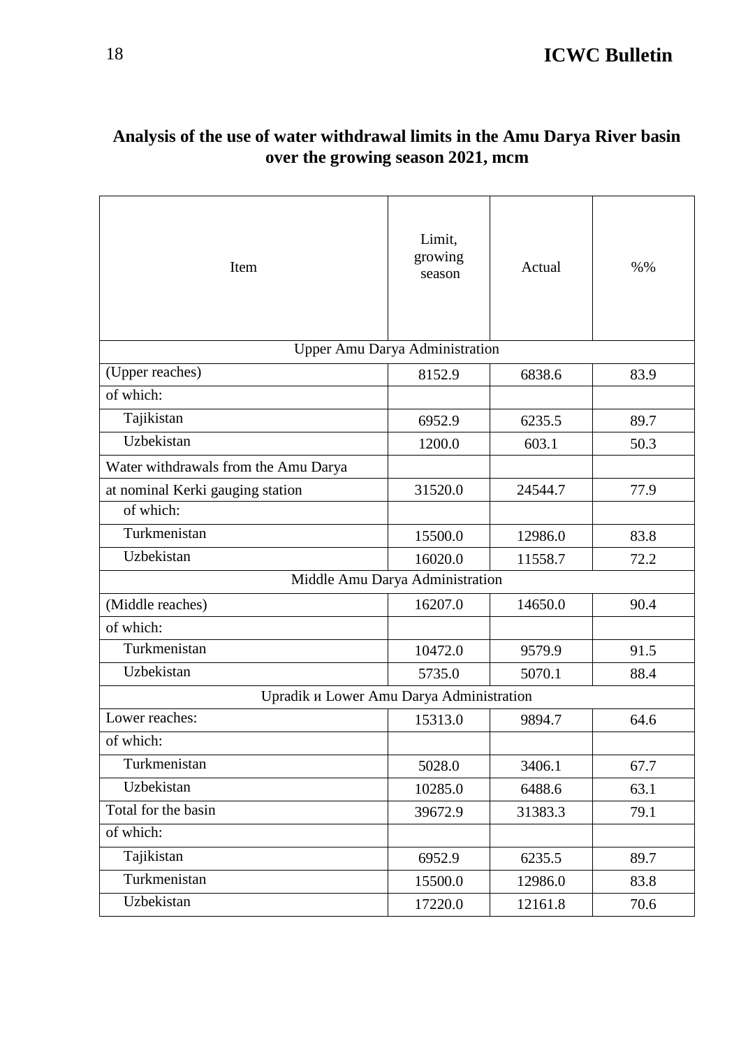| Item                                     | Limit,<br>growing<br>season     | Actual  | % 0/0 |
|------------------------------------------|---------------------------------|---------|-------|
|                                          | Upper Amu Darya Administration  |         |       |
| (Upper reaches)                          | 8152.9                          | 6838.6  | 83.9  |
| of which:                                |                                 |         |       |
| Tajikistan                               | 6952.9                          | 6235.5  | 89.7  |
| Uzbekistan                               | 1200.0                          | 603.1   | 50.3  |
| Water withdrawals from the Amu Darya     |                                 |         |       |
| at nominal Kerki gauging station         | 31520.0                         | 24544.7 | 77.9  |
| of which:                                |                                 |         |       |
| Turkmenistan                             | 15500.0                         | 83.8    |       |
| Uzbekistan                               | 16020.0                         | 11558.7 | 72.2  |
|                                          | Middle Amu Darya Administration |         |       |
| (Middle reaches)                         | 16207.0                         | 14650.0 | 90.4  |
| of which:                                |                                 |         |       |
| Turkmenistan                             | 10472.0                         | 9579.9  | 91.5  |
| Uzbekistan                               | 5735.0                          | 5070.1  | 88.4  |
| Upradik u Lower Amu Darya Administration |                                 |         |       |
| Lower reaches:                           | 15313.0                         | 9894.7  | 64.6  |
| of which:                                |                                 |         |       |
| Turkmenistan                             | 5028.0                          | 3406.1  | 67.7  |
| Uzbekistan                               | 10285.0                         | 6488.6  | 63.1  |
| Total for the basin                      | 39672.9                         | 31383.3 | 79.1  |
| of which:                                |                                 |         |       |
| Tajikistan                               | 6952.9                          | 6235.5  | 89.7  |
| Turkmenistan                             | 15500.0                         | 12986.0 | 83.8  |
| Uzbekistan                               | 17220.0                         | 12161.8 | 70.6  |

### **Analysis of the use of water withdrawal limits in the Amu Darya River basin over the growing season 2021, mcm**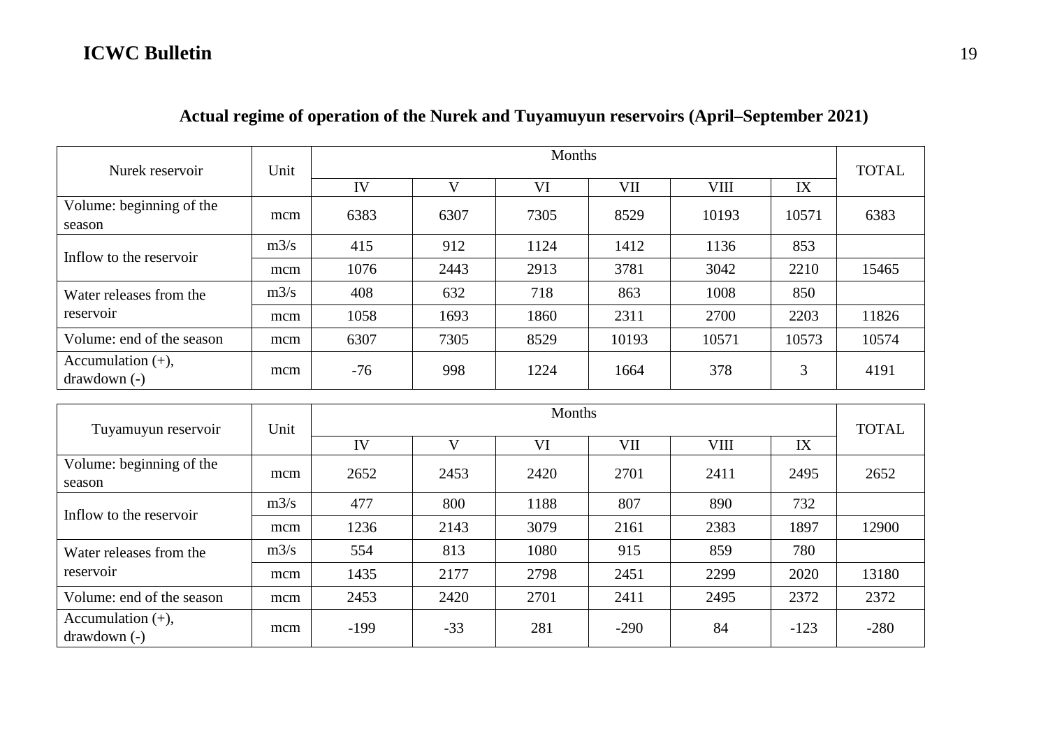| Nurek reservoir                       | Unit | Months |      |      |       |             |       |              |  |  |
|---------------------------------------|------|--------|------|------|-------|-------------|-------|--------------|--|--|
|                                       |      | IV     | V    | VI   | VII   | <b>VIII</b> | IX    | <b>TOTAL</b> |  |  |
| Volume: beginning of the<br>season    | mcm  | 6383   | 6307 | 7305 | 8529  | 10193       | 10571 | 6383         |  |  |
|                                       | m3/s | 415    | 912  | 1124 | 1412  | 1136        | 853   |              |  |  |
| Inflow to the reservoir               | mcm  | 1076   | 2443 | 2913 | 3781  | 3042        | 2210  | 15465        |  |  |
| Water releases from the               | m3/s | 408    | 632  | 718  | 863   | 1008        | 850   |              |  |  |
| reservoir                             | mcm  | 1058   | 1693 | 1860 | 2311  | 2700        | 2203  | 11826        |  |  |
| Volume: end of the season             | mcm  | 6307   | 7305 | 8529 | 10193 | 10571       | 10573 | 10574        |  |  |
| Accumulation $(+)$ ,<br>$drawdown(-)$ | mcm  | $-76$  | 998  | 1224 | 1664  | 378         | 3     | 4191         |  |  |

### **Actual regime of operation of the Nurek and Tuyamuyun reservoirs (April–September 2021)**

| Tuyamuyun reservoir                   | Unit | Months |       |      |        |      |        |              |  |  |
|---------------------------------------|------|--------|-------|------|--------|------|--------|--------------|--|--|
|                                       |      | IV     | V     | VI   | VII    | VIII | IX     | <b>TOTAL</b> |  |  |
| Volume: beginning of the<br>season    | mcm  | 2652   | 2453  | 2420 | 2701   | 2411 | 2495   | 2652         |  |  |
|                                       | m3/s | 477    | 800   | 1188 | 807    | 890  | 732    |              |  |  |
| Inflow to the reservoir               | mcm  | 1236   | 2143  | 3079 | 2161   | 2383 | 1897   | 12900        |  |  |
| Water releases from the               | m3/s | 554    | 813   | 1080 | 915    | 859  | 780    |              |  |  |
| reservoir                             | mcm  | 1435   | 2177  | 2798 | 2451   | 2299 | 2020   | 13180        |  |  |
| Volume: end of the season             | mcm  | 2453   | 2420  | 2701 | 2411   | 2495 | 2372   | 2372         |  |  |
| Accumulation $(+)$ ,<br>$drawdown(-)$ | mcm  | $-199$ | $-33$ | 281  | $-290$ | 84   | $-123$ | $-280$       |  |  |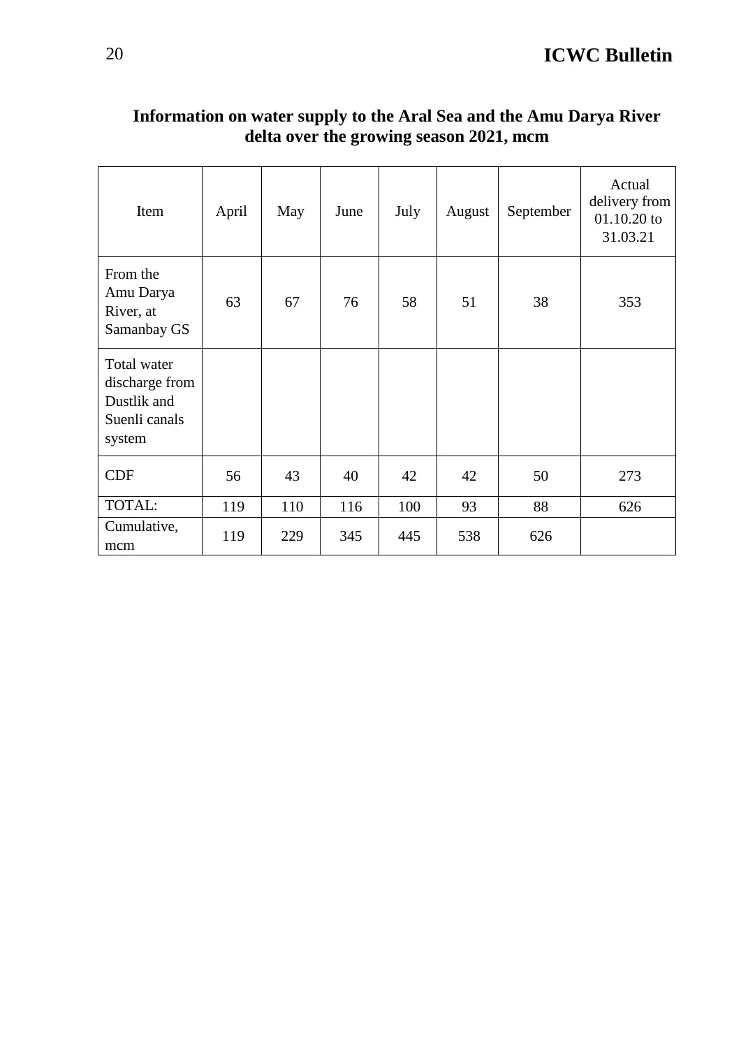| Item                                                                    | April | May | June | July | August | September | Actual<br>delivery from<br>$01.10.20$ to<br>31.03.21 |
|-------------------------------------------------------------------------|-------|-----|------|------|--------|-----------|------------------------------------------------------|
| From the<br>Amu Darya<br>River, at<br>Samanbay GS                       | 63    | 67  | 76   | 58   | 51     | 38        | 353                                                  |
| Total water<br>discharge from<br>Dustlik and<br>Suenli canals<br>system |       |     |      |      |        |           |                                                      |
| <b>CDF</b>                                                              | 56    | 43  | 40   | 42   | 42     | 50        | 273                                                  |
| TOTAL:                                                                  | 119   | 110 | 116  | 100  | 93     | 88        | 626                                                  |
| Cumulative,<br>mcm                                                      | 119   | 229 | 345  | 445  | 538    | 626       |                                                      |

### **Information on water supply to the Aral Sea and the Amu Darya River delta over the growing season 2021, mcm**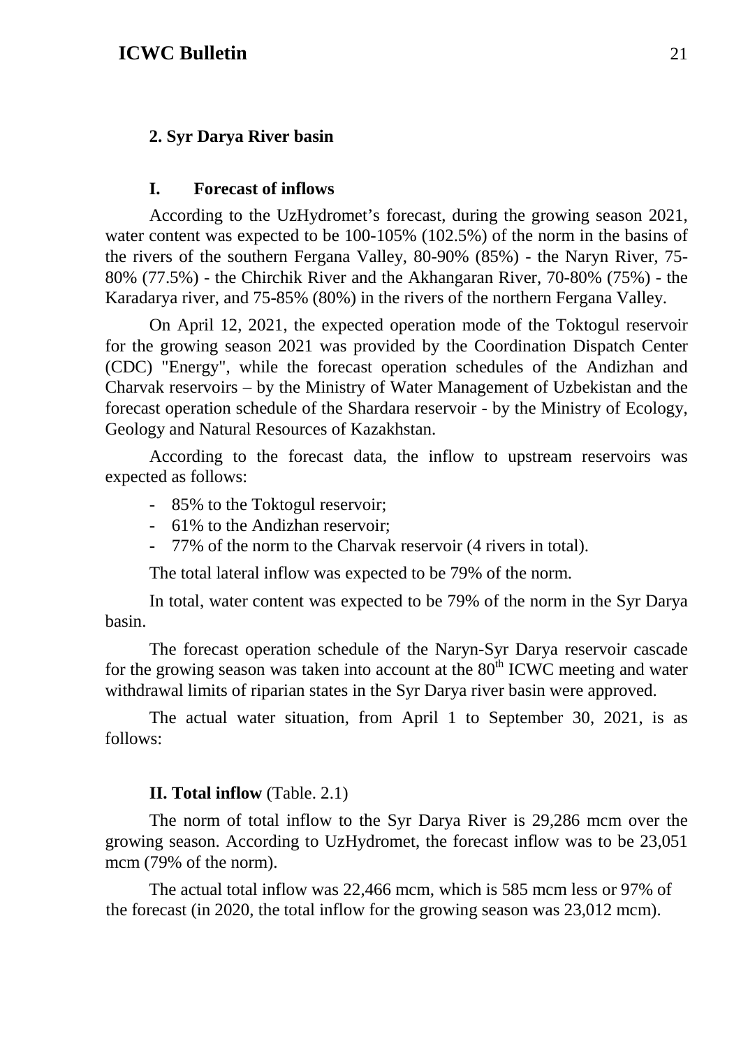#### **2. Syr Darya River basin**

#### **I. Forecast of inflows**

According to the UzHydromet's forecast, during the growing season 2021, water content was expected to be 100-105% (102.5%) of the norm in the basins of the rivers of the southern Fergana Valley, 80-90% (85%) - the Naryn River, 75- 80% (77.5%) - the Chirchik River and the Akhangaran River, 70-80% (75%) - the Karadarya river, and 75-85% (80%) in the rivers of the northern Fergana Valley.

On April 12, 2021, the expected operation mode of the Toktogul reservoir for the growing season 2021 was provided by the Coordination Dispatch Center (CDC) "Energy", while the forecast operation schedules of the Andizhan and Charvak reservoirs – by the Ministry of Water Management of Uzbekistan and the forecast operation schedule of the Shardara reservoir - by the Ministry of Ecology, Geology and Natural Resources of Kazakhstan.

According to the forecast data, the inflow to upstream reservoirs was expected as follows:

- 85% to the Toktogul reservoir;
- 61% to the Andizhan reservoir;
- 77% of the norm to the Charvak reservoir (4 rivers in total).

The total lateral inflow was expected to be 79% of the norm.

In total, water content was expected to be 79% of the norm in the Syr Darya basin.

The forecast operation schedule of the Naryn-Syr Darya reservoir cascade for the growing season was taken into account at the  $80<sup>th</sup>$  ICWC meeting and water withdrawal limits of riparian states in the Syr Darya river basin were approved.

The actual water situation, from April 1 to September 30, 2021, is as follows:

#### **II. Total inflow** (Table. 2.1)

The norm of total inflow to the Syr Darya River is 29,286 mcm over the growing season. According to UzHydromet, the forecast inflow was to be 23,051 mcm (79% of the norm).

The actual total inflow was 22,466 mcm, which is 585 mcm less or 97% of the forecast (in 2020, the total inflow for the growing season was 23,012 mcm).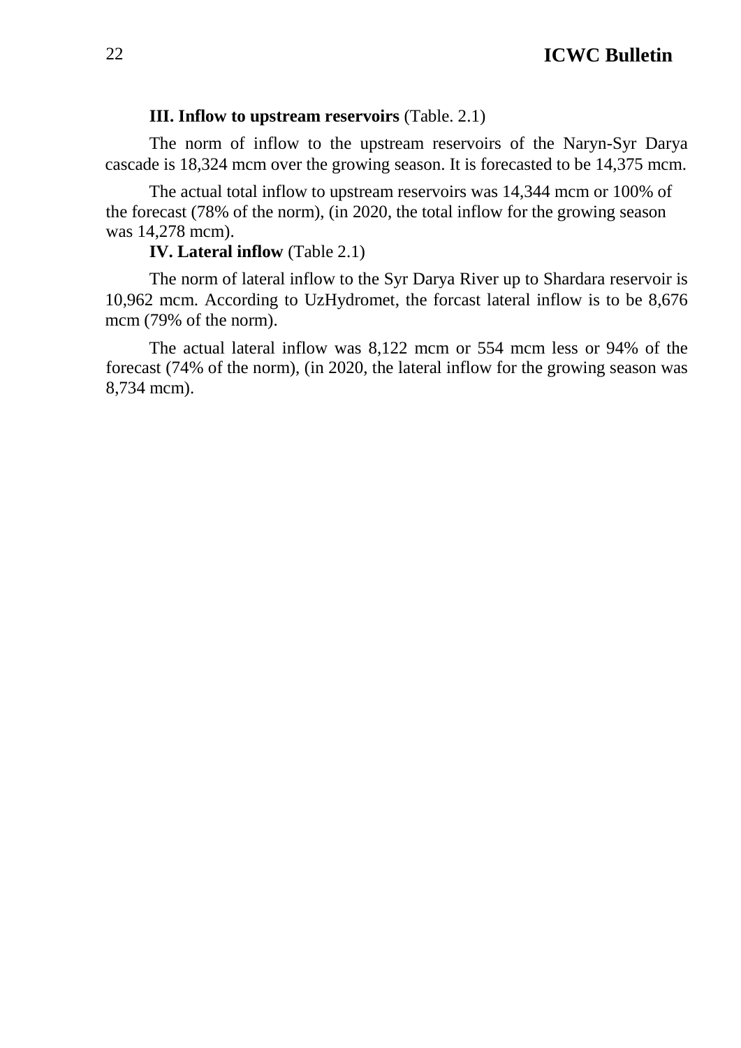#### **III. Inflow to upstream reservoirs** (Table. 2.1)

The norm of inflow to the upstream reservoirs of the Naryn-Syr Darya cascade is 18,324 mcm over the growing season. It is forecasted to be 14,375 mcm.

The actual total inflow to upstream reservoirs was 14,344 mcm or 100% of the forecast (78% of the norm), (in 2020, the total inflow for the growing season was 14,278 mcm).

#### **IV. Lateral inflow** (Table 2.1)

The norm of lateral inflow to the Syr Darya River up to Shardara reservoir is 10,962 mcm. According to UzHydromet, the forcast lateral inflow is to be 8,676 mcm (79% of the norm).

The actual lateral inflow was 8,122 mcm or 554 mcm less or 94% of the forecast (74% of the norm), (in 2020, the lateral inflow for the growing season was 8,734 mcm).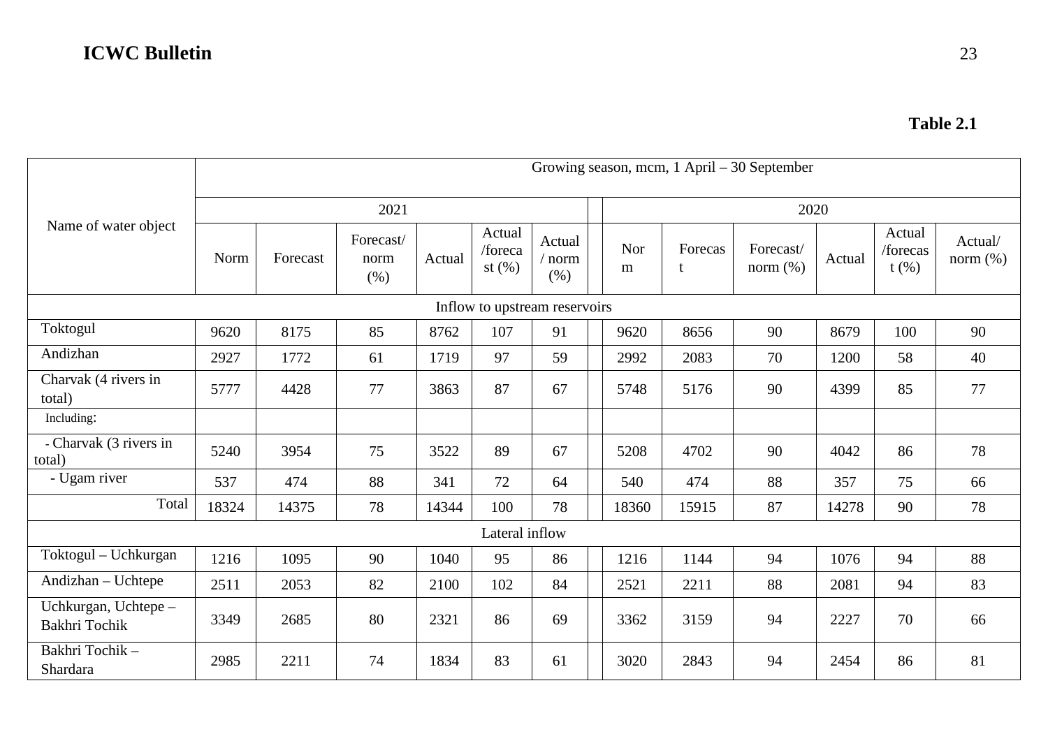|                                       |       | Growing season, mcm, 1 April – 30 September |                           |        |                                |                        |  |          |              |                          |        |                               |                        |  |
|---------------------------------------|-------|---------------------------------------------|---------------------------|--------|--------------------------------|------------------------|--|----------|--------------|--------------------------|--------|-------------------------------|------------------------|--|
|                                       |       |                                             | 2021                      |        |                                |                        |  |          | 2020         |                          |        |                               |                        |  |
| Name of water object                  | Norm  | Forecast                                    | Forecast/<br>norm<br>(% ) | Actual | Actual<br>/foreca<br>st $(\%)$ | Actual<br>norm<br>(% ) |  | Nor<br>m | Forecas<br>t | Forecast/<br>norm $(\%)$ | Actual | Actual<br>/forecas<br>$t$ (%) | Actual/<br>norm $(\%)$ |  |
| Inflow to upstream reservoirs         |       |                                             |                           |        |                                |                        |  |          |              |                          |        |                               |                        |  |
| Toktogul                              | 9620  | 8175                                        | 85                        | 8762   | 107                            | 91                     |  | 9620     | 8656         | 90                       | 8679   | 100                           | 90                     |  |
| Andizhan                              | 2927  | 1772                                        | 61                        | 1719   | 97                             | 59                     |  | 2992     | 2083         | 70                       | 1200   | 58                            | 40                     |  |
| Charvak (4 rivers in<br>total)        | 5777  | 4428                                        | 77                        | 3863   | 87                             | 67                     |  | 5748     | 5176         | 90                       | 4399   | 85                            | 77                     |  |
| Including:                            |       |                                             |                           |        |                                |                        |  |          |              |                          |        |                               |                        |  |
| - Charvak (3 rivers in<br>total)      | 5240  | 3954                                        | 75                        | 3522   | 89                             | 67                     |  | 5208     | 4702         | 90                       | 4042   | 86                            | 78                     |  |
| - Ugam river                          | 537   | 474                                         | 88                        | 341    | 72                             | 64                     |  | 540      | 474          | 88                       | 357    | 75                            | 66                     |  |
| Total                                 | 18324 | 14375                                       | 78                        | 14344  | 100                            | 78                     |  | 18360    | 15915        | 87                       | 14278  | 90                            | 78                     |  |
|                                       |       |                                             |                           |        | Lateral inflow                 |                        |  |          |              |                          |        |                               |                        |  |
| Toktogul - Uchkurgan                  | 1216  | 1095                                        | 90                        | 1040   | 95                             | 86                     |  | 1216     | 1144         | 94                       | 1076   | 94                            | 88                     |  |
| Andizhan - Uchtepe                    | 2511  | 2053                                        | 82                        | 2100   | 102                            | 84                     |  | 2521     | 2211         | 88                       | 2081   | 94                            | 83                     |  |
| Uchkurgan, Uchtepe -<br>Bakhri Tochik | 3349  | 2685                                        | 80                        | 2321   | 86                             | 69                     |  | 3362     | 3159         | 94                       | 2227   | 70                            | 66                     |  |
| Bakhri Tochik-<br>Shardara            | 2985  | 2211                                        | 74                        | 1834   | 83                             | 61                     |  | 3020     | 2843         | 94                       | 2454   | 86                            | 81                     |  |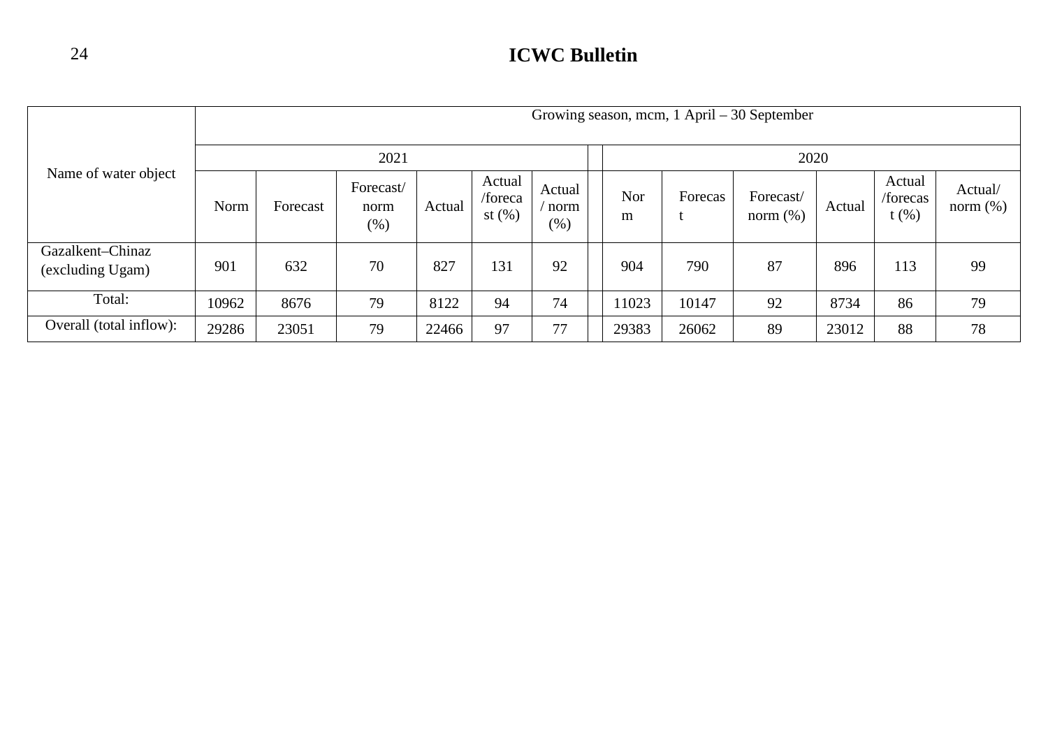|                                      |       | Growing season, mcm, $1$ April $-30$ September |                             |        |                                |                          |  |          |         |                          |        |                               |                        |
|--------------------------------------|-------|------------------------------------------------|-----------------------------|--------|--------------------------------|--------------------------|--|----------|---------|--------------------------|--------|-------------------------------|------------------------|
| Name of water object                 | 2021  |                                                |                             |        |                                |                          |  | 2020     |         |                          |        |                               |                        |
|                                      | Norm  | Forecast                                       | Forecast/<br>norm<br>$(\%)$ | Actual | Actual<br>/foreca<br>st $(\%)$ | Actual<br>norm<br>$(\%)$ |  | Nor<br>m | Forecas | Forecast/<br>norm $(\%)$ | Actual | Actual<br>/forecas<br>$t$ (%) | Actual/<br>norm $(\%)$ |
| Gazalkent-Chinaz<br>(excluding Ugam) | 901   | 632                                            | 70                          | 827    | 131                            | 92                       |  | 904      | 790     | 87                       | 896    | 113                           | 99                     |
| Total:                               | 10962 | 8676                                           | 79                          | 8122   | 94                             | 74                       |  | 11023    | 10147   | 92                       | 8734   | 86                            | 79                     |
| Overall (total inflow):              | 29286 | 23051                                          | 79                          | 22466  | 97                             | 77                       |  | 29383    | 26062   | 89                       | 23012  | 88                            | 78                     |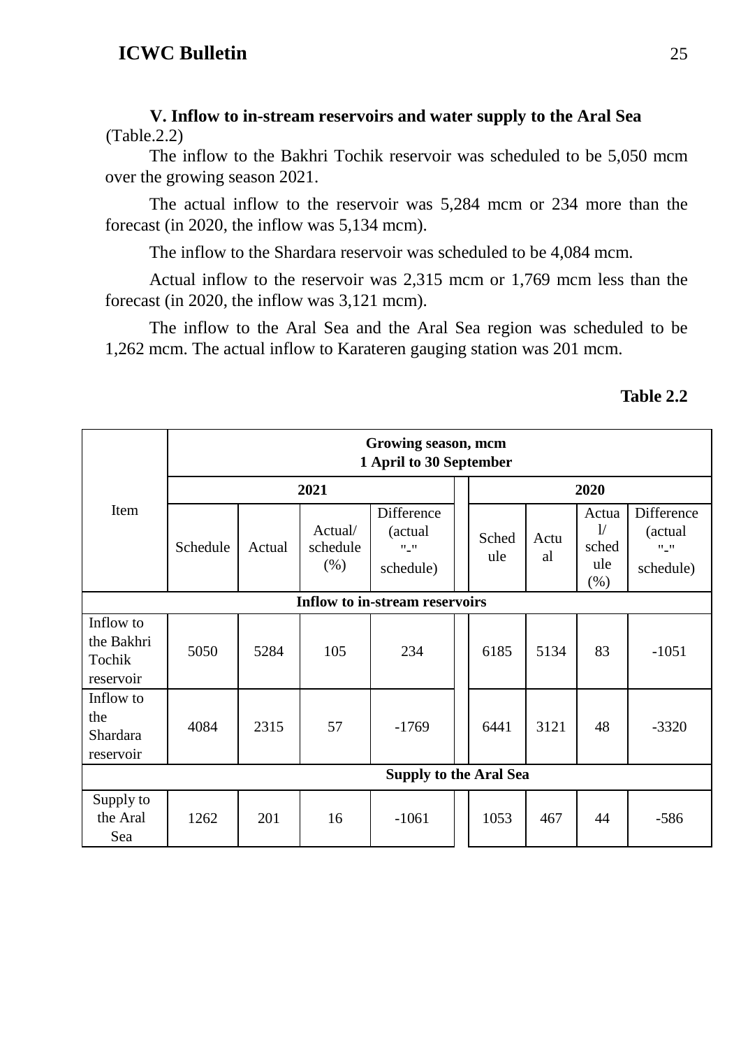#### **V. Inflow to in-stream reservoirs and water supply to the Aral Sea**  (Table.2.2)

The inflow to the Bakhri Tochik reservoir was scheduled to be 5,050 mcm over the growing season 2021.

The actual inflow to the reservoir was 5,284 mcm or 234 more than the forecast (in 2020, the inflow was 5,134 mcm).

The inflow to the Shardara reservoir was scheduled to be 4,084 mcm.

Actual inflow to the reservoir was 2,315 mcm or 1,769 mcm less than the forecast (in 2020, the inflow was 3,121 mcm).

The inflow to the Aral Sea and the Aral Sea region was scheduled to be 1,262 mcm. The actual inflow to Karateren gauging station was 201 mcm.

|                                                |                                       |        |                             | Growing season, mcm<br>1 April to 30 September        |  |              |            |                                     |                                                       |  |  |  |
|------------------------------------------------|---------------------------------------|--------|-----------------------------|-------------------------------------------------------|--|--------------|------------|-------------------------------------|-------------------------------------------------------|--|--|--|
|                                                |                                       |        | 2020                        |                                                       |  |              |            |                                     |                                                       |  |  |  |
| Item                                           | Schedule                              | Actual | Actual/<br>schedule<br>(% ) | Difference<br>(actual)<br>$\mathbf{u}_m$<br>schedule) |  | Sched<br>ule | Actu<br>al | Actua<br>1/<br>sched<br>ule<br>(% ) | Difference<br>(actual)<br>$\mathbf{u}_m$<br>schedule) |  |  |  |
|                                                | <b>Inflow to in-stream reservoirs</b> |        |                             |                                                       |  |              |            |                                     |                                                       |  |  |  |
| Inflow to<br>the Bakhri<br>Tochik<br>reservoir | 5050                                  | 5284   | 105                         | 234                                                   |  | 6185         | 5134       | 83                                  | $-1051$                                               |  |  |  |
| Inflow to<br>the<br>Shardara<br>reservoir      | 4084                                  | 2315   | 57                          | $-1769$                                               |  | 6441         | 3121       | 48                                  | $-3320$                                               |  |  |  |
|                                                |                                       |        |                             | <b>Supply to the Aral Sea</b>                         |  |              |            |                                     |                                                       |  |  |  |
| Supply to<br>the Aral<br>Sea                   | 1262                                  | 201    | 16                          | $-1061$                                               |  | 1053         | 467        | 44                                  | $-586$                                                |  |  |  |

#### **Table 2.2**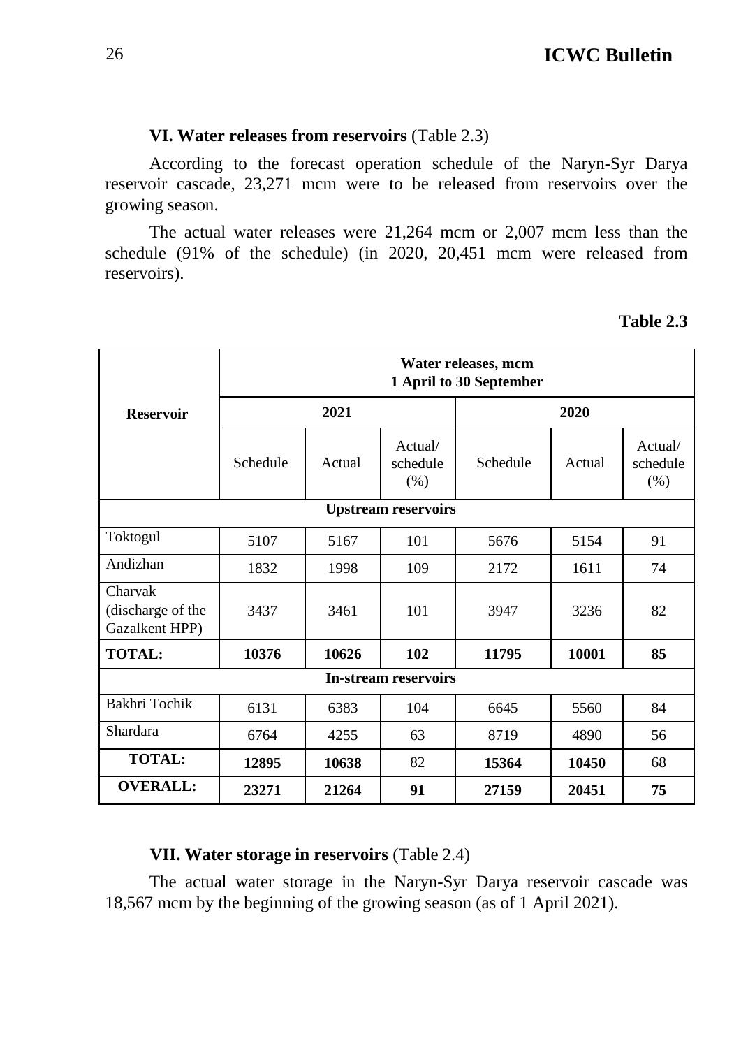#### **VI. Water releases from reservoirs** (Table 2.3)

According to the forecast operation schedule of the Naryn-Syr Darya reservoir cascade, 23,271 mcm were to be released from reservoirs over the growing season.

The actual water releases were 21,264 mcm or 2,007 mcm less than the schedule (91% of the schedule) (in 2020, 20,451 mcm were released from reservoirs).

#### **Table 2.3**

|                                                |                         |        |                             | Water releases, mcm |        |                             |  |  |  |  |  |  |
|------------------------------------------------|-------------------------|--------|-----------------------------|---------------------|--------|-----------------------------|--|--|--|--|--|--|
|                                                | 1 April to 30 September |        |                             |                     |        |                             |  |  |  |  |  |  |
| <b>Reservoir</b>                               |                         | 2021   |                             |                     |        |                             |  |  |  |  |  |  |
|                                                | Schedule                | Actual | Actual/<br>schedule<br>(% ) | Schedule            | Actual | Actual/<br>schedule<br>(% ) |  |  |  |  |  |  |
| <b>Upstream reservoirs</b>                     |                         |        |                             |                     |        |                             |  |  |  |  |  |  |
| Toktogul                                       | 5107                    | 5167   | 101                         | 5676                | 5154   | 91                          |  |  |  |  |  |  |
| Andizhan                                       | 1832                    | 1998   | 109                         | 2172                | 1611   | 74                          |  |  |  |  |  |  |
| Charvak<br>(discharge of the<br>Gazalkent HPP) | 3437                    | 3461   | 101                         | 3947                | 3236   | 82                          |  |  |  |  |  |  |
| <b>TOTAL:</b>                                  | 10376                   | 10626  | 102                         | 11795               | 10001  | 85                          |  |  |  |  |  |  |
|                                                |                         |        | <b>In-stream reservoirs</b> |                     |        |                             |  |  |  |  |  |  |
| Bakhri Tochik                                  | 6131                    | 6383   | 104                         | 6645                | 5560   | 84                          |  |  |  |  |  |  |
| <b>Shardara</b>                                | 6764                    | 4255   | 63                          | 8719                | 4890   | 56                          |  |  |  |  |  |  |
| <b>TOTAL:</b>                                  | 12895                   | 10638  | 82                          | 15364               | 10450  | 68                          |  |  |  |  |  |  |
| <b>OVERALL:</b>                                | 23271                   | 21264  | 91                          | 27159               | 20451  | 75                          |  |  |  |  |  |  |

#### **VII. Water storage in reservoirs** (Table 2.4)

The actual water storage in the Naryn-Syr Darya reservoir cascade was 18,567 mcm by the beginning of the growing season (as of 1 April 2021).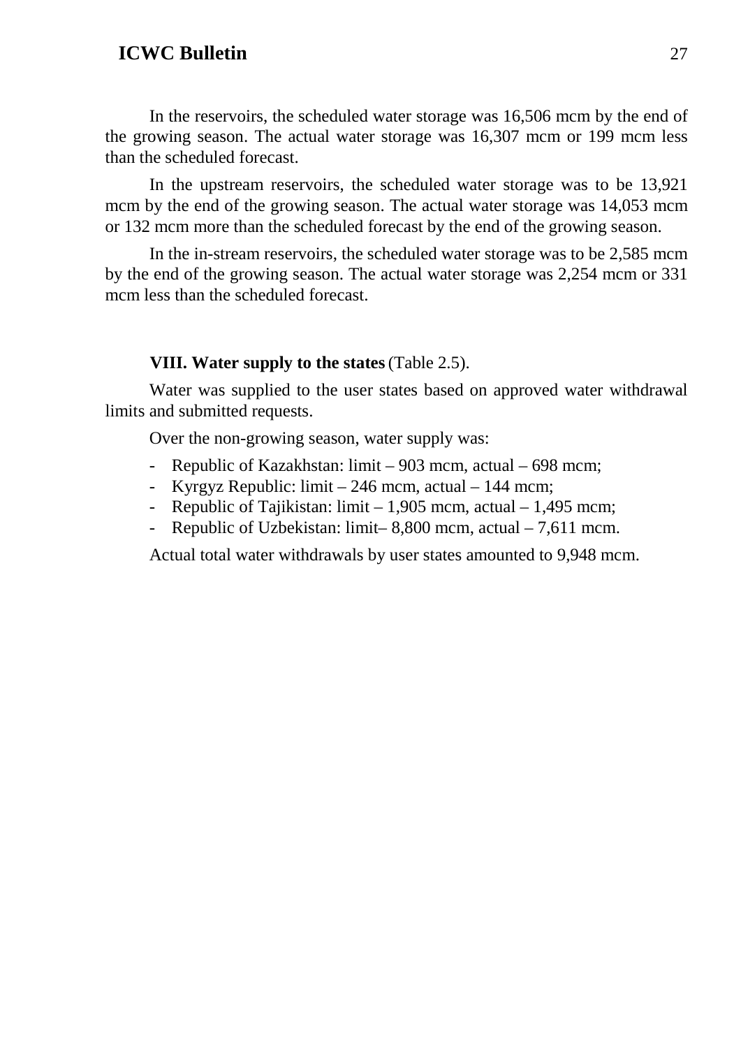In the reservoirs, the scheduled water storage was 16,506 mcm by the end of the growing season. The actual water storage was 16,307 mcm or 199 mcm less than the scheduled forecast.

In the upstream reservoirs, the scheduled water storage was to be 13,921 mcm by the end of the growing season. The actual water storage was 14,053 mcm or 132 mcm more than the scheduled forecast by the end of the growing season.

In the in-stream reservoirs, the scheduled water storage was to be 2,585 mcm by the end of the growing season. The actual water storage was 2,254 mcm or 331 mcm less than the scheduled forecast.

#### **VIII. Water supply to the states**(Table 2.5).

Water was supplied to the user states based on approved water withdrawal limits and submitted requests.

Over the non-growing season, water supply was:

- Republic of Kazakhstan: limit 903 mcm, actual 698 mcm;
- Kyrgyz Republic: limit 246 mcm, actual 144 mcm;
- Republic of Tajikistan: limit 1,905 mcm, actual 1,495 mcm;
- Republic of Uzbekistan: limit– 8,800 mcm, actual 7,611 mcm.

Actual total water withdrawals by user states amounted to 9,948 mcm.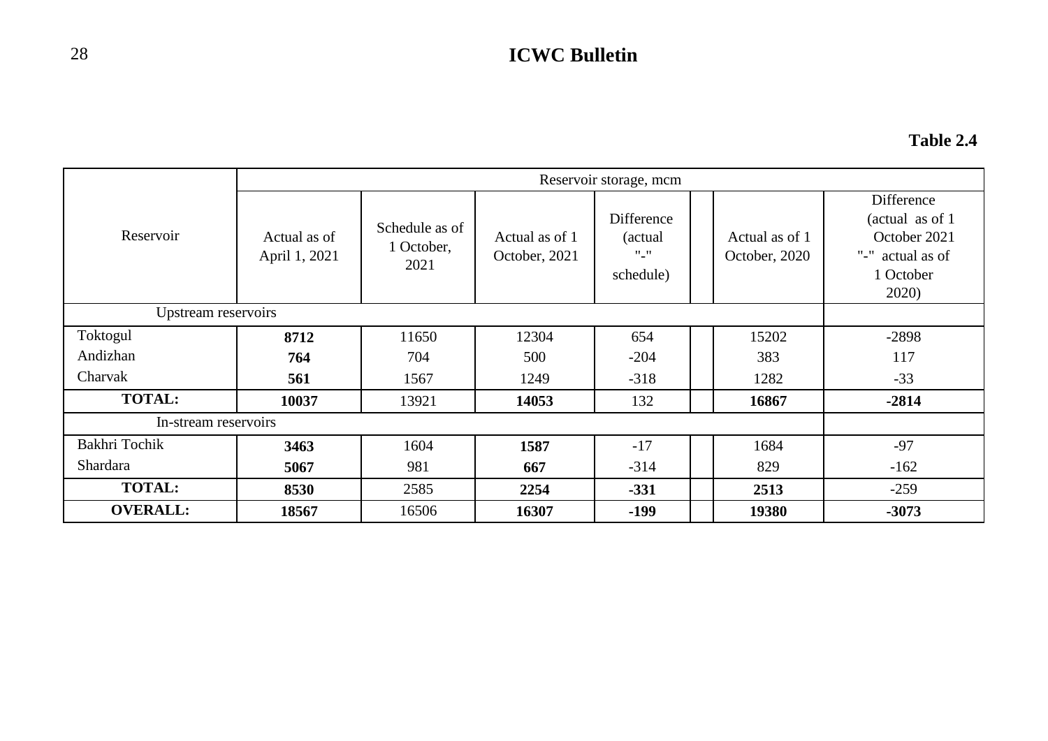### **Table 2.4**

|                      |                               |                                      |                                 | Reservoir storage, mcm                        |                                 |                                                                                                                     |
|----------------------|-------------------------------|--------------------------------------|---------------------------------|-----------------------------------------------|---------------------------------|---------------------------------------------------------------------------------------------------------------------|
| Reservoir            | Actual as of<br>April 1, 2021 | Schedule as of<br>1 October,<br>2021 | Actual as of 1<br>October, 2021 | Difference<br>(actual)<br>$"$ _"<br>schedule) | Actual as of 1<br>October, 2020 | Difference<br>(actual as of 1)<br>October 2021<br>$\rm ^{11}L^{\prime\prime}$<br>actual as of<br>1 October<br>2020) |
| Upstream reservoirs  |                               |                                      |                                 |                                               |                                 |                                                                                                                     |
| Toktogul             | 8712                          | 11650                                | 12304                           | 654                                           | 15202                           | $-2898$                                                                                                             |
| Andizhan             | 764                           | 704                                  | 500                             | $-204$                                        | 383                             | 117                                                                                                                 |
| Charvak              | 561                           | 1567                                 | 1249                            | $-318$                                        | 1282                            | $-33$                                                                                                               |
| <b>TOTAL:</b>        | 10037                         | 13921                                | 14053                           | 132                                           | 16867                           | $-2814$                                                                                                             |
| In-stream reservoirs |                               |                                      |                                 |                                               |                                 |                                                                                                                     |
| Bakhri Tochik        | 3463                          | 1604                                 | 1587                            | $-17$                                         | 1684                            | $-97$                                                                                                               |
| Shardara             | 5067                          | 981                                  | 667                             | $-314$                                        | 829                             | $-162$                                                                                                              |
| <b>TOTAL:</b>        | 8530                          | 2585                                 | 2254                            | $-331$                                        | 2513                            | $-259$                                                                                                              |
| <b>OVERALL:</b>      | 18567                         | 16506                                | 16307                           | $-199$                                        | 19380                           | $-3073$                                                                                                             |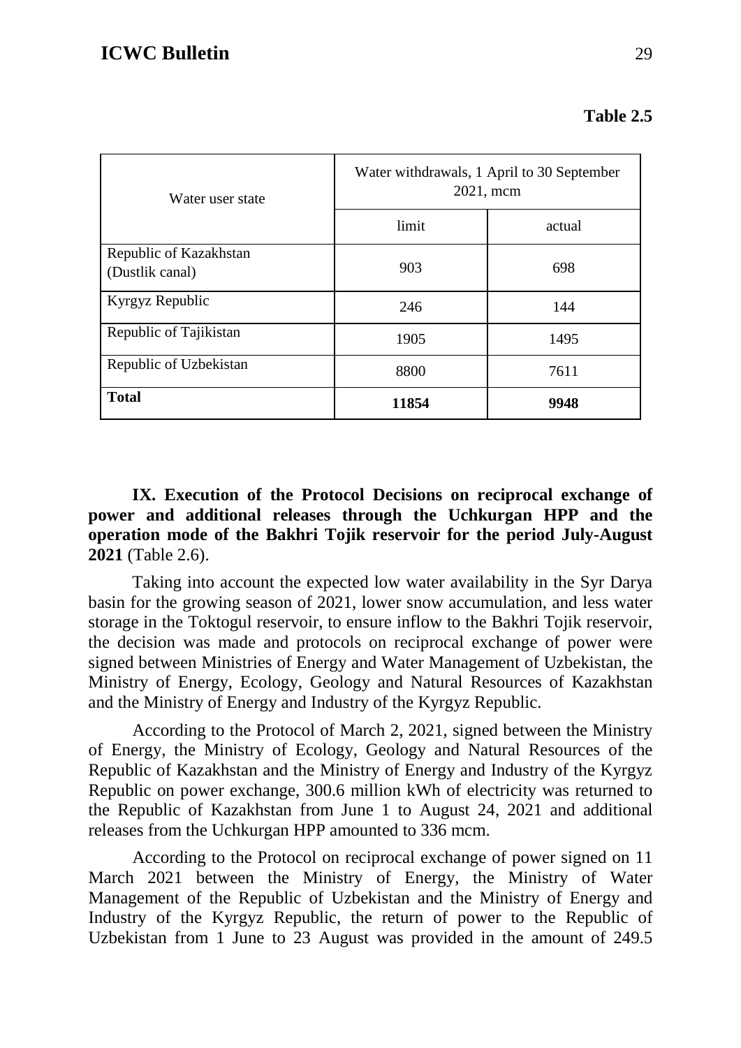| Table 2.5 |  |
|-----------|--|
|-----------|--|

| Water user state                          | Water withdrawals, 1 April to 30 September<br>2021, mcm |        |  |  |  |  |  |
|-------------------------------------------|---------------------------------------------------------|--------|--|--|--|--|--|
|                                           | limit                                                   | actual |  |  |  |  |  |
| Republic of Kazakhstan<br>(Dustlik canal) | 903                                                     | 698    |  |  |  |  |  |
| Kyrgyz Republic                           | 246                                                     | 144    |  |  |  |  |  |
| Republic of Tajikistan                    | 1905                                                    | 1495   |  |  |  |  |  |
| Republic of Uzbekistan                    | 8800                                                    | 7611   |  |  |  |  |  |
| <b>Total</b>                              | 11854                                                   | 9948   |  |  |  |  |  |

**IX. Execution of the Protocol Decisions on reciprocal exchange of power and additional releases through the Uchkurgan HPP and the operation mode of the Bakhri Tojik reservoir for the period July-August 2021** (Table 2.6).

Taking into account the expected low water availability in the Syr Darya basin for the growing season of 2021, lower snow accumulation, and less water storage in the Toktogul reservoir, to ensure inflow to the Bakhri Tojik reservoir, the decision was made and protocols on reciprocal exchange of power were signed between Ministries of Energy and Water Management of Uzbekistan, the Ministry of Energy, Ecology, Geology and Natural Resources of Kazakhstan and the Ministry of Energy and Industry of the Kyrgyz Republic.

According to the Protocol of March 2, 2021, signed between the Ministry of Energy, the Ministry of Ecology, Geology and Natural Resources of the Republic of Kazakhstan and the Ministry of Energy and Industry of the Kyrgyz Republic on power exchange, 300.6 million kWh of electricity was returned to the Republic of Kazakhstan from June 1 to August 24, 2021 and additional releases from the Uchkurgan HPP amounted to 336 mcm.

According to the Protocol on reciprocal exchange of power signed on 11 March 2021 between the Ministry of Energy, the Ministry of Water Management of the Republic of Uzbekistan and the Ministry of Energy and Industry of the Kyrgyz Republic, the return of power to the Republic of Uzbekistan from 1 June to 23 August was provided in the amount of 249.5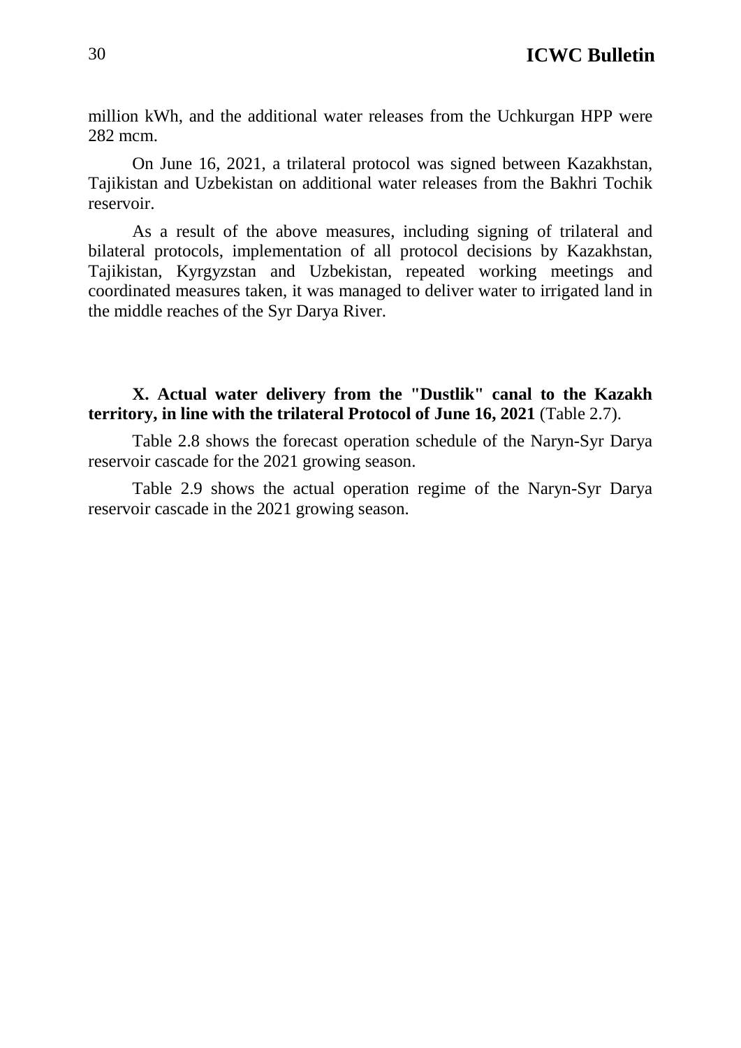million kWh, and the additional water releases from the Uchkurgan HPP were 282 mcm.

On June 16, 2021, a trilateral protocol was signed between Kazakhstan, Tajikistan and Uzbekistan on additional water releases from the Bakhri Tochik reservoir.

As a result of the above measures, including signing of trilateral and bilateral protocols, implementation of all protocol decisions by Kazakhstan, Tajikistan, Kyrgyzstan and Uzbekistan, repeated working meetings and coordinated measures taken, it was managed to deliver water to irrigated land in the middle reaches of the Syr Darya River.

**X. Actual water delivery from the "Dustlik" canal to the Kazakh territory, in line with the trilateral Protocol of June 16, 2021** (Table 2.7).

Table 2.8 shows the forecast operation schedule of the Naryn-Syr Darya reservoir cascade for the 2021 growing season.

Table 2.9 shows the actual operation regime of the Naryn-Syr Darya reservoir cascade in the 2021 growing season.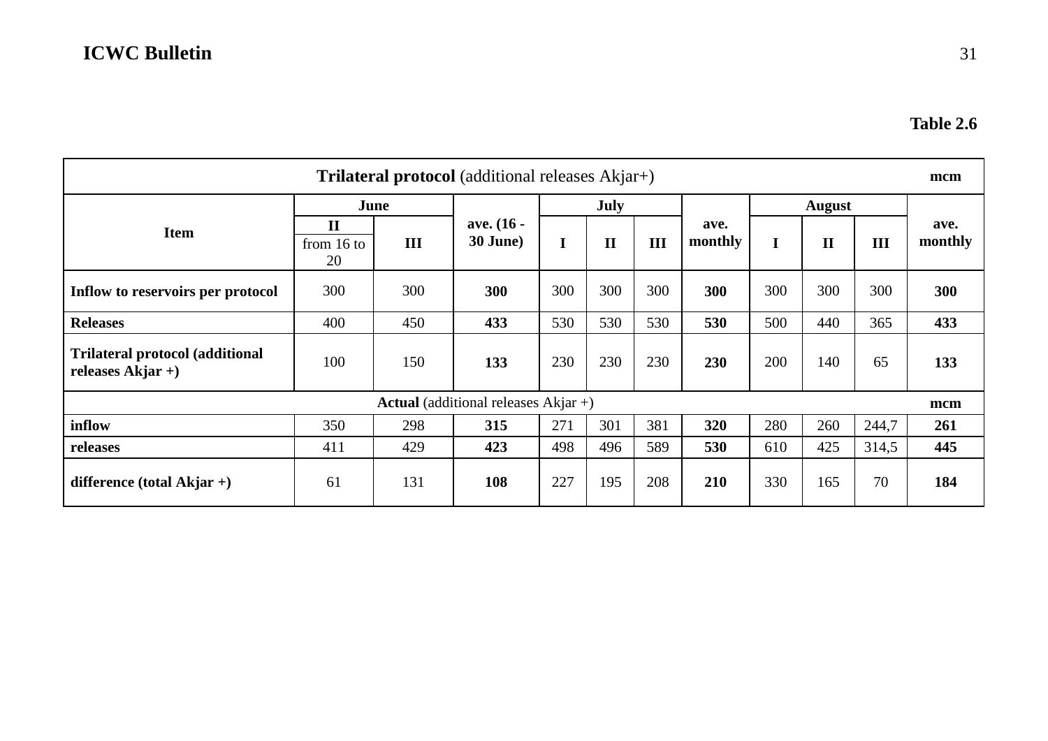| <b>Trilateral protocol</b> (additional releases Akjar+)        |                                    |     |                                                |             |              |     |                 |               |              |       |                 |  |
|----------------------------------------------------------------|------------------------------------|-----|------------------------------------------------|-------------|--------------|-----|-----------------|---------------|--------------|-------|-----------------|--|
|                                                                | June                               |     |                                                | <b>July</b> |              |     |                 | <b>August</b> |              |       |                 |  |
| <b>Item</b>                                                    | $\mathbf{I}$<br>from $16$ to<br>20 | III | ave. (16 -<br>30 June)                         | I           | $\mathbf{I}$ | III | ave.<br>monthly |               | $\mathbf{I}$ | III   | ave.<br>monthly |  |
| Inflow to reservoirs per protocol                              | 300                                | 300 | 300                                            | 300         | 300          | 300 | 300             | 300           | 300          | 300   | 300             |  |
| <b>Releases</b>                                                | 400                                | 450 | 433                                            | 530         | 530          | 530 | 530             | 500           | 440          | 365   | 433             |  |
| <b>Trilateral protocol (additional</b><br>releases $A$ kjar +) | 100                                | 150 | 133                                            | 230         | 230          | 230 | 230             | 200           | 140          | 65    | 133             |  |
|                                                                |                                    |     | <b>Actual</b> (additional releases $Akjar +$ ) |             |              |     |                 |               |              |       | mcm             |  |
| inflow                                                         | 350                                | 298 | 315                                            | 271         | 301          | 381 | 320             | 280           | 260          | 244,7 | 261             |  |
| releases                                                       | 411                                | 429 | 423                                            | 498         | 496          | 589 | 530             | 610           | 425          | 314,5 | 445             |  |
| difference (total Akjar +)                                     | 61                                 | 131 | 108                                            | 227         | 195          | 208 | 210             | 330           | 165          | 70    | 184             |  |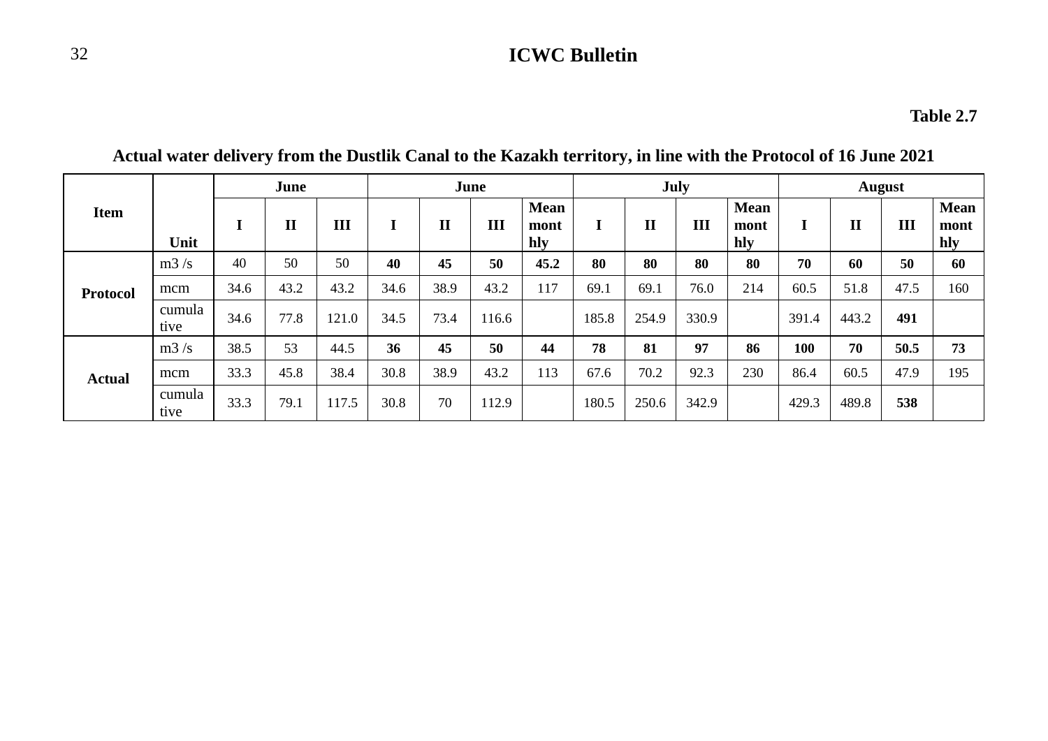|                 |                |      | June         |       |      | <b>July</b><br>June |       |                            |       |              |       | <b>August</b>              |       |              |      |                            |
|-----------------|----------------|------|--------------|-------|------|---------------------|-------|----------------------------|-------|--------------|-------|----------------------------|-------|--------------|------|----------------------------|
| <b>Item</b>     | Unit           | л.   | $\mathbf{I}$ | Ш     |      | $\mathbf{I}$        | III   | <b>Mean</b><br>mont<br>hly |       | $\mathbf{I}$ | III   | <b>Mean</b><br>mont<br>hly | ш     | $\mathbf{I}$ | III  | <b>Mean</b><br>mont<br>hly |
|                 | m3/s           | 40   | 50           | 50    | 40   | 45                  | 50    | 45.2                       | 80    | 80           | 80    | 80                         | 70    | 60           | 50   | 60                         |
| <b>Protocol</b> | mcm            | 34.6 | 43.2         | 43.2  | 34.6 | 38.9                | 43.2  | 117                        | 69.1  | 69.1         | 76.0  | 214                        | 60.5  | 51.8         | 47.5 | 160                        |
|                 | cumula<br>tive | 34.6 | 77.8         | 121.0 | 34.5 | 73.4                | 116.6 |                            | 185.8 | 254.9        | 330.9 |                            | 391.4 | 443.2        | 491  |                            |
|                 | m3/s           | 38.5 | 53           | 44.5  | 36   | 45                  | 50    | 44                         | 78    | 81           | 97    | 86                         | 100   | 70           | 50.5 | 73                         |
| <b>Actual</b>   | mcm            | 33.3 | 45.8         | 38.4  | 30.8 | 38.9                | 43.2  | 113                        | 67.6  | 70.2         | 92.3  | 230                        | 86.4  | 60.5         | 47.9 | 195                        |
|                 | cumula<br>tive | 33.3 | 79.1         | 117.5 | 30.8 | 70                  | 112.9 |                            | 180.5 | 250.6        | 342.9 |                            | 429.3 | 489.8        | 538  |                            |

**Actual water delivery from the Dustlik Canal to the Kazakh territory, in line with the Protocol of 16 June 2021**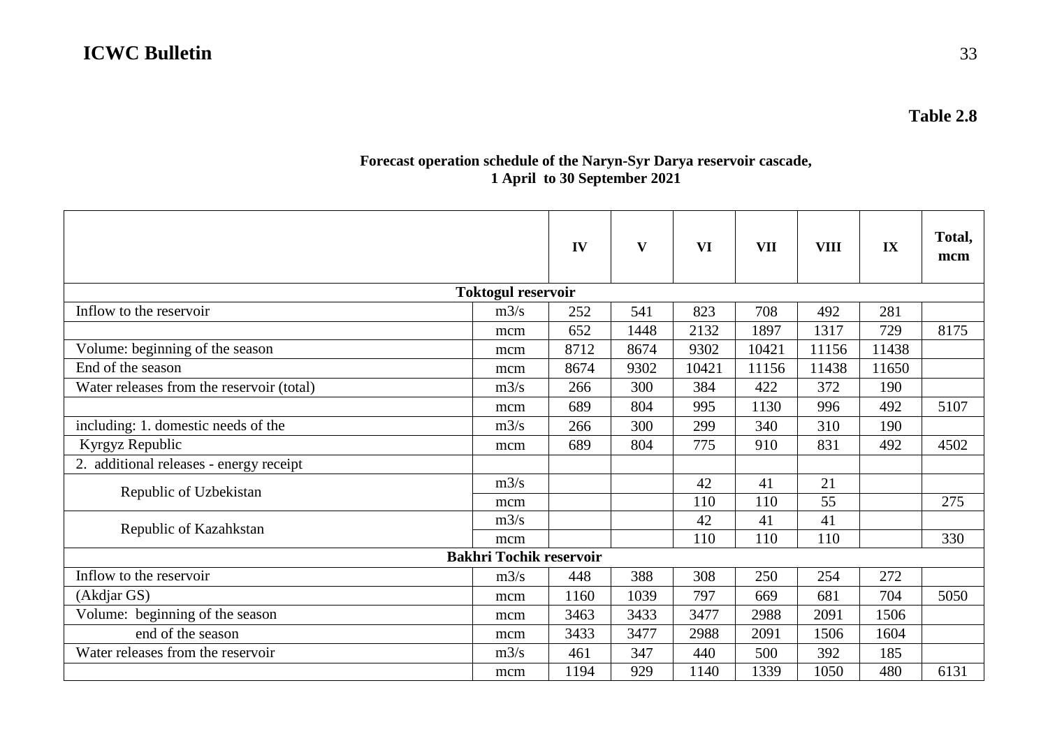#### **Forecast operation schedule of the Naryn-Syr Darya reservoir cascade, 1 April to 30 September 2021**

|                                           |                                | IV   | $\mathbf{V}$ | <b>VI</b> | <b>VII</b> | <b>VIII</b> | IX    | Total.<br>mcm |  |  |  |
|-------------------------------------------|--------------------------------|------|--------------|-----------|------------|-------------|-------|---------------|--|--|--|
| <b>Toktogul reservoir</b>                 |                                |      |              |           |            |             |       |               |  |  |  |
| Inflow to the reservoir                   | m3/s                           | 252  | 541          | 823       | 708        | 492         | 281   |               |  |  |  |
|                                           | mcm                            | 652  | 1448         | 2132      | 1897       | 1317        | 729   | 8175          |  |  |  |
| Volume: beginning of the season           | mcm                            | 8712 | 8674         | 9302      | 10421      | 11156       | 11438 |               |  |  |  |
| End of the season                         | mcm                            | 8674 | 9302         | 10421     | 11156      | 11438       | 11650 |               |  |  |  |
| Water releases from the reservoir (total) | m3/s                           | 266  | 300          | 384       | 422        | 372         | 190   |               |  |  |  |
|                                           | mcm                            | 689  | 804          | 995       | 1130       | 996         | 492   | 5107          |  |  |  |
| including: 1. domestic needs of the       | m3/s                           | 266  | 300          | 299       | 340        | 310         | 190   |               |  |  |  |
| Kyrgyz Republic                           | mcm                            | 689  | 804          | 775       | 910        | 831         | 492   | 4502          |  |  |  |
| 2. additional releases - energy receipt   |                                |      |              |           |            |             |       |               |  |  |  |
|                                           | m3/s                           |      |              | 42        | 41         | 21          |       |               |  |  |  |
| Republic of Uzbekistan                    | mcm                            |      |              | 110       | 110        | 55          |       | 275           |  |  |  |
| Republic of Kazahkstan                    | m3/s                           |      |              | 42        | 41         | 41          |       |               |  |  |  |
|                                           | mcm                            |      |              | 110       | 110        | 110         |       | 330           |  |  |  |
|                                           | <b>Bakhri Tochik reservoir</b> |      |              |           |            |             |       |               |  |  |  |
| Inflow to the reservoir                   | m3/s                           | 448  | 388          | 308       | 250        | 254         | 272   |               |  |  |  |
| (Akdjar GS)                               | mcm                            | 1160 | 1039         | 797       | 669        | 681         | 704   | 5050          |  |  |  |
| Volume: beginning of the season           | mcm                            | 3463 | 3433         | 3477      | 2988       | 2091        | 1506  |               |  |  |  |
| end of the season                         | mcm                            | 3433 | 3477         | 2988      | 2091       | 1506        | 1604  |               |  |  |  |
| Water releases from the reservoir         | m3/s                           | 461  | 347          | 440       | 500        | 392         | 185   |               |  |  |  |
|                                           | mcm                            | 1194 | 929          | 1140      | 1339       | 1050        | 480   | 6131          |  |  |  |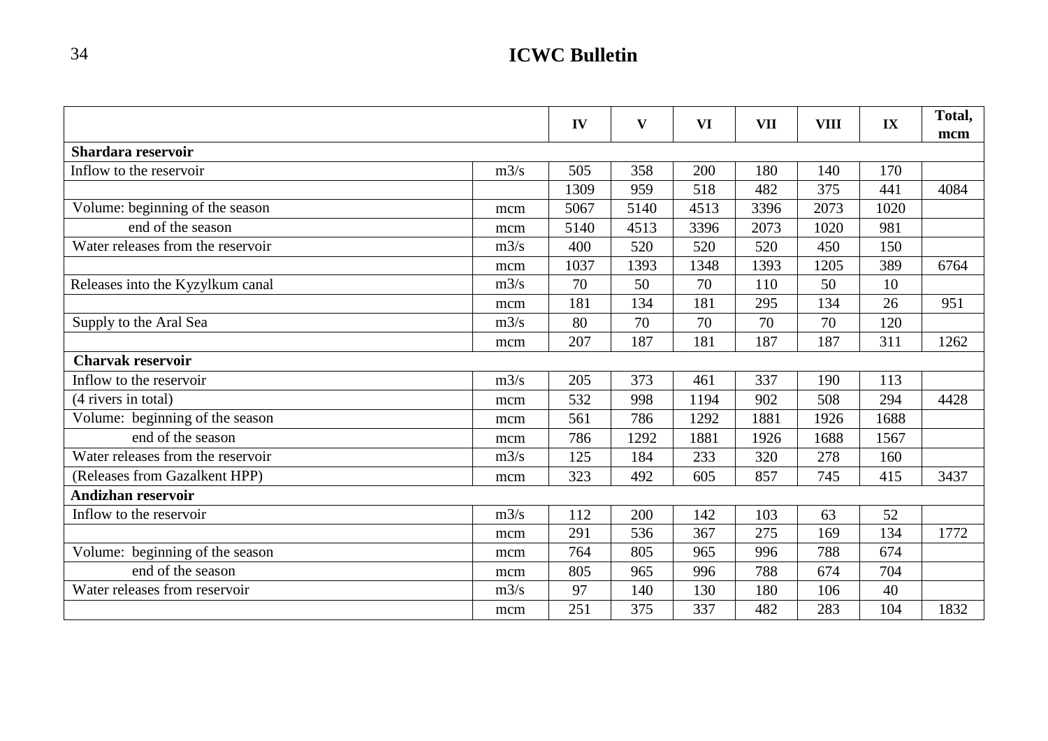|                                   |      |      |              |           |            |             |      | Total, |
|-----------------------------------|------|------|--------------|-----------|------------|-------------|------|--------|
|                                   |      | IV   | $\mathbf{V}$ | <b>VI</b> | <b>VII</b> | <b>VIII</b> | IX   | mcm    |
| Shardara reservoir                |      |      |              |           |            |             |      |        |
| Inflow to the reservoir           | m3/s | 505  | 358          | 200       | 180        | 140         | 170  |        |
|                                   |      | 1309 | 959          | 518       | 482        | 375         | 441  | 4084   |
| Volume: beginning of the season   | mcm  | 5067 | 5140         | 4513      | 3396       | 2073        | 1020 |        |
| end of the season                 | mcm  | 5140 | 4513         | 3396      | 2073       | 1020        | 981  |        |
| Water releases from the reservoir | m3/s | 400  | 520          | 520       | 520        | 450         | 150  |        |
|                                   | mcm  | 1037 | 1393         | 1348      | 1393       | 1205        | 389  | 6764   |
| Releases into the Kyzylkum canal  | m3/s | 70   | 50           | 70        | 110        | 50          | 10   |        |
|                                   | mcm  | 181  | 134          | 181       | 295        | 134         | 26   | 951    |
| Supply to the Aral Sea            | m3/s | 80   | 70           | 70        | 70         | 70          | 120  |        |
|                                   | mcm  | 207  | 187          | 181       | 187        | 187         | 311  | 1262   |
| <b>Charvak reservoir</b>          |      |      |              |           |            |             |      |        |
| Inflow to the reservoir           | m3/s | 205  | 373          | 461       | 337        | 190         | 113  |        |
| (4 rivers in total)               | mcm  | 532  | 998          | 1194      | 902        | 508         | 294  | 4428   |
| Volume: beginning of the season   | mcm  | 561  | 786          | 1292      | 1881       | 1926        | 1688 |        |
| end of the season                 | mcm  | 786  | 1292         | 1881      | 1926       | 1688        | 1567 |        |
| Water releases from the reservoir | m3/s | 125  | 184          | 233       | 320        | 278         | 160  |        |
| (Releases from Gazalkent HPP)     | mcm  | 323  | 492          | 605       | 857        | 745         | 415  | 3437   |
| <b>Andizhan reservoir</b>         |      |      |              |           |            |             |      |        |
| Inflow to the reservoir           | m3/s | 112  | 200          | 142       | 103        | 63          | 52   |        |
|                                   | mcm  | 291  | 536          | 367       | 275        | 169         | 134  | 1772   |
| Volume: beginning of the season   | mcm  | 764  | 805          | 965       | 996        | 788         | 674  |        |
| end of the season                 | mcm  | 805  | 965          | 996       | 788        | 674         | 704  |        |
| Water releases from reservoir     | m3/s | 97   | 140          | 130       | 180        | 106         | 40   |        |
|                                   | mcm  | 251  | 375          | 337       | 482        | 283         | 104  | 1832   |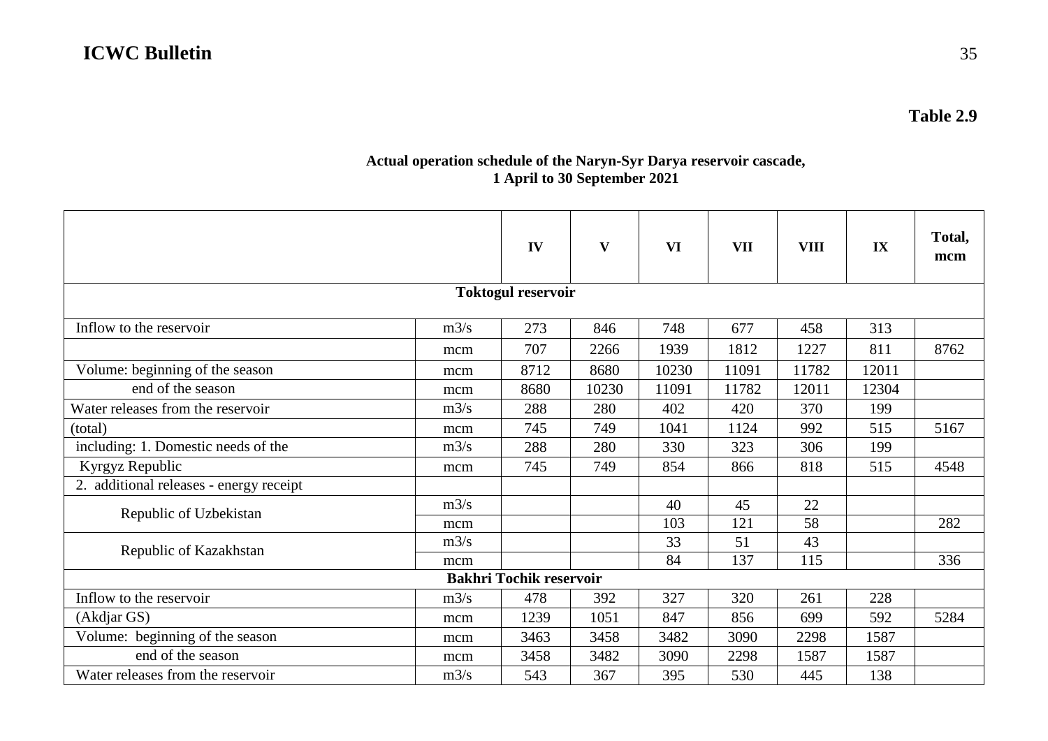#### **Actual operation schedule of the Naryn-Syr Darya reservoir cascade, 1 April to 30 September 2021**

|                                         |      | IV                             | V     | VI    | <b>VII</b> | <b>VIII</b> | IX    | Total,<br>mcm |  |  |  |  |
|-----------------------------------------|------|--------------------------------|-------|-------|------------|-------------|-------|---------------|--|--|--|--|
| <b>Toktogul reservoir</b>               |      |                                |       |       |            |             |       |               |  |  |  |  |
| Inflow to the reservoir                 | m3/s | 273                            | 846   | 748   | 677        | 458         | 313   |               |  |  |  |  |
|                                         | mcm  | 707                            | 2266  | 1939  | 1812       | 1227        | 811   | 8762          |  |  |  |  |
| Volume: beginning of the season         | mcm  | 8712                           | 8680  | 10230 | 11091      | 11782       | 12011 |               |  |  |  |  |
| end of the season                       | mcm  | 8680                           | 10230 | 11091 | 11782      | 12011       | 12304 |               |  |  |  |  |
| Water releases from the reservoir       | m3/s | 288                            | 280   | 402   | 420        | 370         | 199   |               |  |  |  |  |
| (total)                                 | mcm  | 745                            | 749   | 1041  | 1124       | 992         | 515   | 5167          |  |  |  |  |
| including: 1. Domestic needs of the     | m3/s | 288                            | 280   | 330   | 323        | 306         | 199   |               |  |  |  |  |
| Kyrgyz Republic                         | mcm  | 745                            | 749   | 854   | 866        | 818         | 515   | 4548          |  |  |  |  |
| 2. additional releases - energy receipt |      |                                |       |       |            |             |       |               |  |  |  |  |
| Republic of Uzbekistan                  | m3/s |                                |       | 40    | 45         | 22          |       |               |  |  |  |  |
|                                         | mcm  |                                |       | 103   | 121        | 58          |       | 282           |  |  |  |  |
| Republic of Kazakhstan                  | m3/s |                                |       | 33    | 51         | 43          |       |               |  |  |  |  |
|                                         | mcm  |                                |       | 84    | 137        | 115         |       | 336           |  |  |  |  |
|                                         |      | <b>Bakhri Tochik reservoir</b> |       |       |            |             |       |               |  |  |  |  |
| Inflow to the reservoir                 | m3/s | 478                            | 392   | 327   | 320        | 261         | 228   |               |  |  |  |  |
| (Akdjar GS)                             | mcm  | 1239                           | 1051  | 847   | 856        | 699         | 592   | 5284          |  |  |  |  |
| Volume: beginning of the season         | mcm  | 3463                           | 3458  | 3482  | 3090       | 2298        | 1587  |               |  |  |  |  |
| end of the season                       | mcm  | 3458                           | 3482  | 3090  | 2298       | 1587        | 1587  |               |  |  |  |  |
| Water releases from the reservoir       | m3/s | 543                            | 367   | 395   | 530        | 445         | 138   |               |  |  |  |  |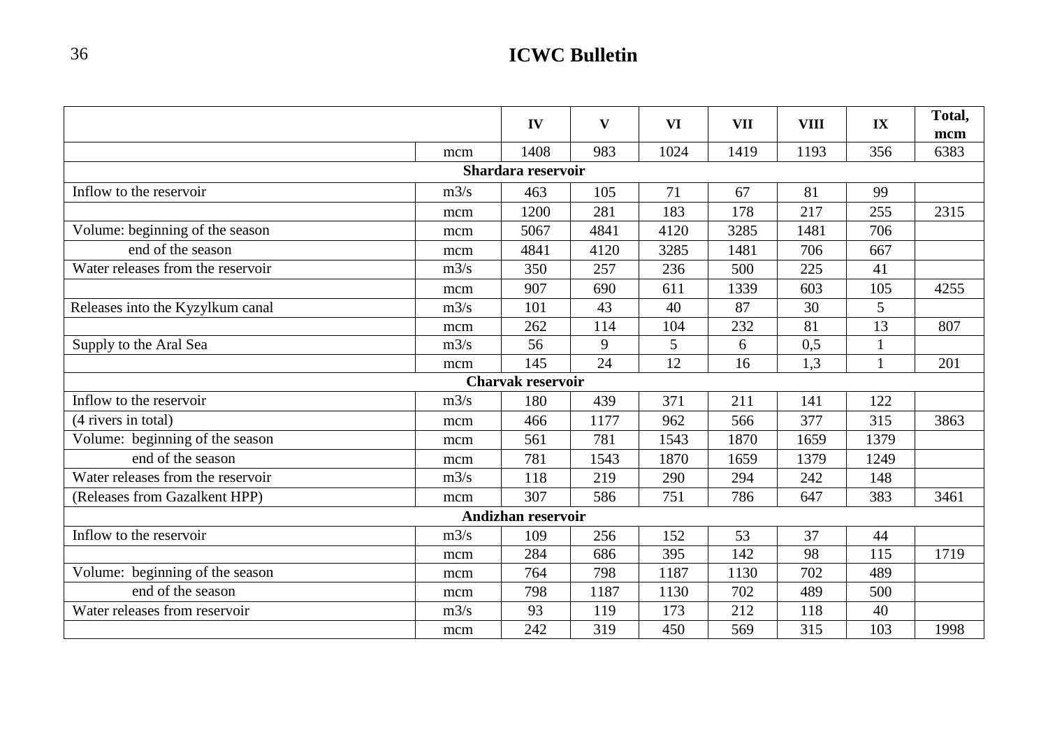|                                   |      | IV                        | V    | <b>VI</b> | <b>VII</b> | <b>VIII</b> | IX           | Total, |
|-----------------------------------|------|---------------------------|------|-----------|------------|-------------|--------------|--------|
|                                   |      |                           |      |           |            |             |              | mcm    |
|                                   | mcm  | 1408                      | 983  | 1024      | 1419       | 1193        | 356          | 6383   |
|                                   |      | Shardara reservoir        |      |           |            |             |              |        |
| Inflow to the reservoir           | m3/s | 463                       | 105  | 71        | 67         | 81          | 99           |        |
|                                   | mcm  | 1200                      | 281  | 183       | 178        | 217         | 255          | 2315   |
| Volume: beginning of the season   | mcm  | 5067                      | 4841 | 4120      | 3285       | 1481        | 706          |        |
| end of the season                 | mcm  | 4841                      | 4120 | 3285      | 1481       | 706         | 667          |        |
| Water releases from the reservoir | m3/s | 350                       | 257  | 236       | 500        | 225         | 41           |        |
|                                   | mcm  | 907                       | 690  | 611       | 1339       | 603         | 105          | 4255   |
| Releases into the Kyzylkum canal  | m3/s | 101                       | 43   | 40        | 87         | 30          | 5            |        |
|                                   | mcm  | 262                       | 114  | 104       | 232        | 81          | 13           | 807    |
| Supply to the Aral Sea            | m3/s | 56                        | 9    | 5         | 6          | 0,5         | $\mathbf{1}$ |        |
|                                   | mcm  | 145                       | 24   | 12        | 16         | 1,3         | $\mathbf{1}$ | 201    |
|                                   |      | <b>Charvak reservoir</b>  |      |           |            |             |              |        |
| Inflow to the reservoir           | m3/s | 180                       | 439  | 371       | 211        | 141         | 122          |        |
| (4 rivers in total)               | mcm  | 466                       | 1177 | 962       | 566        | 377         | 315          | 3863   |
| Volume: beginning of the season   | mcm  | 561                       | 781  | 1543      | 1870       | 1659        | 1379         |        |
| end of the season                 | mcm  | 781                       | 1543 | 1870      | 1659       | 1379        | 1249         |        |
| Water releases from the reservoir | m3/s | 118                       | 219  | 290       | 294        | 242         | 148          |        |
| (Releases from Gazalkent HPP)     | mcm  | 307                       | 586  | 751       | 786        | 647         | 383          | 3461   |
|                                   |      | <b>Andizhan reservoir</b> |      |           |            |             |              |        |
| Inflow to the reservoir           | m3/s | 109                       | 256  | 152       | 53         | 37          | 44           |        |
|                                   | mcm  | 284                       | 686  | 395       | 142        | 98          | 115          | 1719   |
| Volume: beginning of the season   | mcm  | 764                       | 798  | 1187      | 1130       | 702         | 489          |        |
| end of the season                 | mcm  | 798                       | 1187 | 1130      | 702        | 489         | 500          |        |
| Water releases from reservoir     | m3/s | 93                        | 119  | 173       | 212        | 118         | 40           |        |
|                                   | mcm  | 242                       | 319  | 450       | 569        | 315         | 103          | 1998   |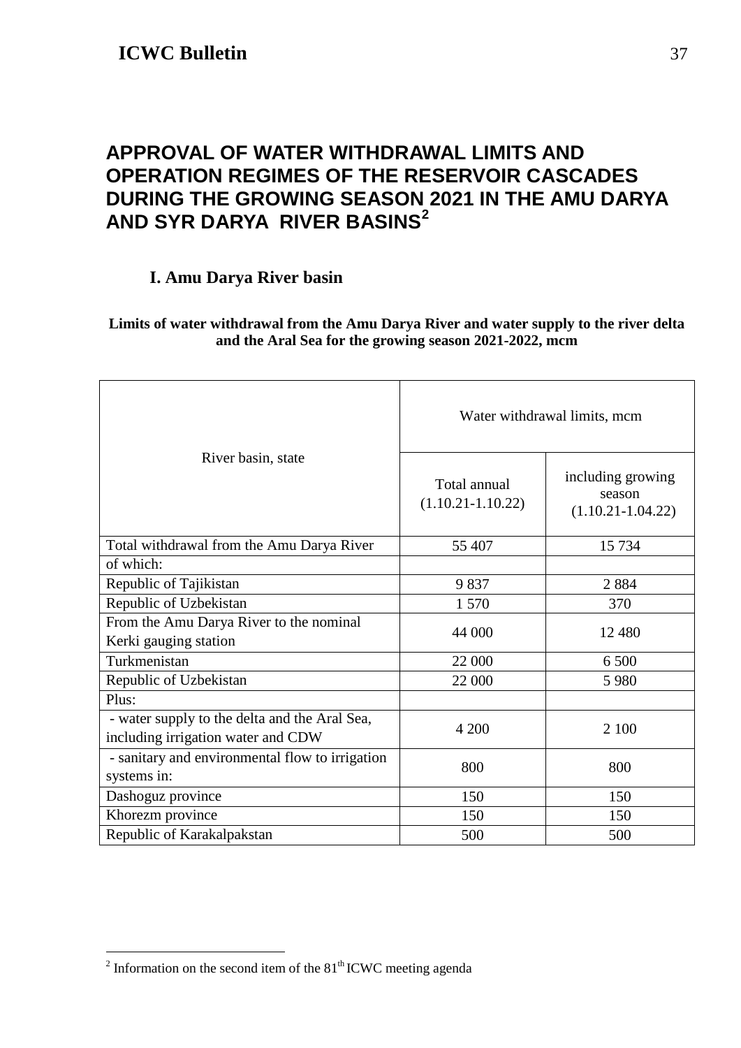### <span id="page-36-0"></span>**APPROVAL OF WATER WITHDRAWAL LIMITS AND OPERATION REGIMES OF THE RESERVOIR CASCADES DURING THE GROWING SEASON 2021 IN THE AMU DARYA AND SYR DARYA RIVER BASINS[2](#page-36-1)**

### **I. Amu Darya River basin**

#### **Limits of water withdrawal from the Amu Darya River and water supply to the river delta and the Aral Sea for the growing season 2021-2022, mcm**

|                                                                                     | Water withdrawal limits, mcm          |                                                      |  |  |  |  |
|-------------------------------------------------------------------------------------|---------------------------------------|------------------------------------------------------|--|--|--|--|
| River basin, state                                                                  | Total annual<br>$(1.10.21 - 1.10.22)$ | including growing<br>season<br>$(1.10.21 - 1.04.22)$ |  |  |  |  |
| Total withdrawal from the Amu Darya River                                           | 55 407                                | 15 734                                               |  |  |  |  |
| of which:                                                                           |                                       |                                                      |  |  |  |  |
| Republic of Tajikistan                                                              | 9837                                  | 2884                                                 |  |  |  |  |
| Republic of Uzbekistan                                                              | 1570                                  | 370                                                  |  |  |  |  |
| From the Amu Darya River to the nominal<br>Kerki gauging station                    | 44 000                                | 12 480                                               |  |  |  |  |
| Turkmenistan                                                                        | 22 000                                | 6 500                                                |  |  |  |  |
| Republic of Uzbekistan                                                              | 22 000                                | 5 9 8 0                                              |  |  |  |  |
| Plus:                                                                               |                                       |                                                      |  |  |  |  |
| - water supply to the delta and the Aral Sea,<br>including irrigation water and CDW | 4 200                                 | 2 100                                                |  |  |  |  |
| - sanitary and environmental flow to irrigation<br>systems in:                      | 800                                   | 800                                                  |  |  |  |  |
| Dashoguz province                                                                   | 150                                   | 150                                                  |  |  |  |  |
| Khorezm province                                                                    | 150                                   | 150                                                  |  |  |  |  |
| Republic of Karakalpakstan                                                          | 500                                   | 500                                                  |  |  |  |  |

<span id="page-36-1"></span> $2$  Information on the second item of the  $81<sup>th</sup>$  ICWC meeting agenda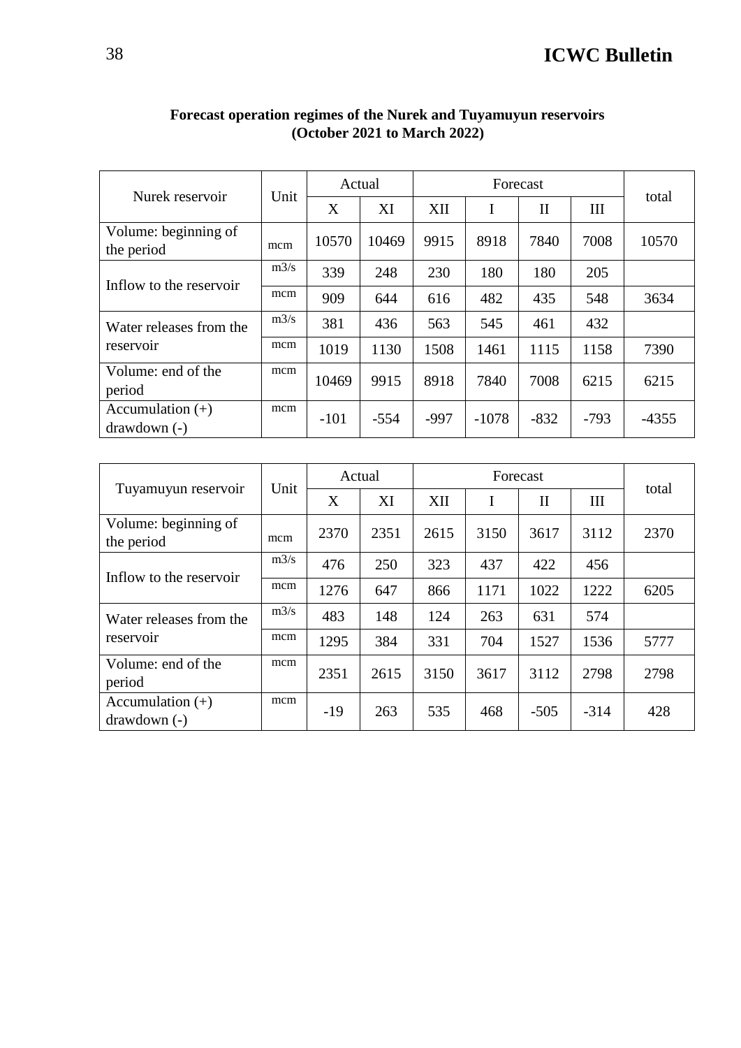| Nurek reservoir                     | Unit | Actual |        |        | Forecast |              |        |         |
|-------------------------------------|------|--------|--------|--------|----------|--------------|--------|---------|
|                                     |      | X      | XI     | XII    | I        | $\mathbf{I}$ | Ш      | total   |
| Volume: beginning of<br>the period  | mcm  | 10570  | 10469  | 9915   | 8918     | 7840         | 7008   | 10570   |
|                                     | m3/s | 339    | 248    | 230    | 180      | 180          | 205    |         |
| Inflow to the reservoir             | mcm  | 909    | 644    | 616    | 482      | 435          | 548    | 3634    |
| Water releases from the             | m3/s | 381    | 436    | 563    | 545      | 461          | 432    |         |
| reservoir                           | mcm  | 1019   | 1130   | 1508   | 1461     | 1115         | 1158   | 7390    |
| Volume: end of the<br>period        | mcm  | 10469  | 9915   | 8918   | 7840     | 7008         | 6215   | 6215    |
| Accumulation $(+)$<br>$drawdown(-)$ | mcm  | $-101$ | $-554$ | $-997$ | $-1078$  | $-832$       | $-793$ | $-4355$ |

#### **Forecast operation regimes of the Nurek and Tuyamuyun reservoirs (October 2021 to March 2022)**

| Tuyamuyun reservoir                 | Unit | Actual |      |      | total |              |        |      |
|-------------------------------------|------|--------|------|------|-------|--------------|--------|------|
|                                     |      | X      | XI   | XII  | I     | $\mathbf{I}$ | Ш      |      |
| Volume: beginning of<br>the period  | mcm  | 2370   | 2351 | 2615 | 3150  | 3617         | 3112   | 2370 |
| Inflow to the reservoir             | m3/s | 476    | 250  | 323  | 437   | 422          | 456    |      |
|                                     | mcm  | 1276   | 647  | 866  | 1171  | 1022         | 1222   | 6205 |
| Water releases from the             | m3/s | 483    | 148  | 124  | 263   | 631          | 574    |      |
| reservoir                           | mcm  | 1295   | 384  | 331  | 704   | 1527         | 1536   | 5777 |
| Volume: end of the<br>period        | mcm  | 2351   | 2615 | 3150 | 3617  | 3112         | 2798   | 2798 |
| Accumulation $(+)$<br>$drawdown(-)$ | mcm  | $-19$  | 263  | 535  | 468   | $-505$       | $-314$ | 428  |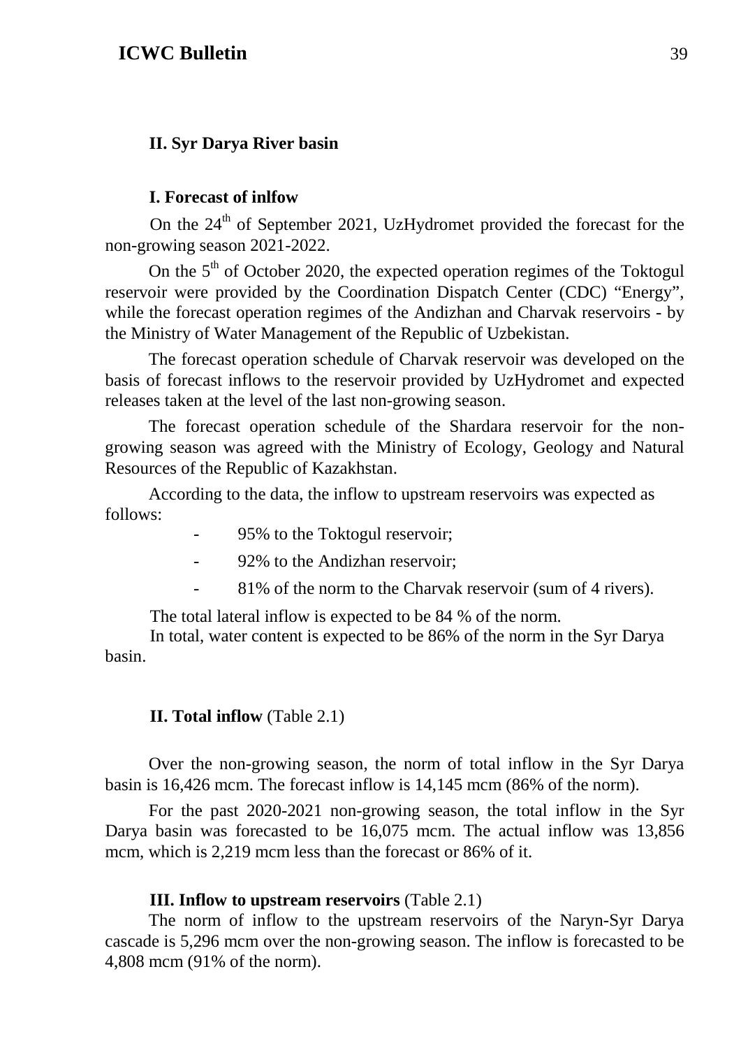#### **II. Syr Darya River basin**

#### **I. Forecast of inlfow**

On the  $24<sup>th</sup>$  of September 2021, UzHydromet provided the forecast for the non-growing season 2021-2022.

On the  $5<sup>th</sup>$  of October 2020, the expected operation regimes of the Toktogul reservoir were provided by the Coordination Dispatch Center (CDC) "Energy", while the forecast operation regimes of the Andizhan and Charvak reservoirs - by the Ministry of Water Management of the Republic of Uzbekistan.

The forecast operation schedule of Charvak reservoir was developed on the basis of forecast inflows to the reservoir provided by UzHydromet and expected releases taken at the level of the last non-growing season.

The forecast operation schedule of the Shardara reservoir for the nongrowing season was agreed with the Ministry of Ecology, Geology and Natural Resources of the Republic of Kazakhstan.

According to the data, the inflow to upstream reservoirs was expected as follows:

- 95% to the Toktogul reservoir;
- 92% to the Andizhan reservoir;
- 81% of the norm to the Charvak reservoir (sum of 4 rivers).

The total lateral inflow is expected to be 84 % of the norm.

In total, water content is expected to be 86% of the norm in the Syr Darya basin.

#### **II. Total inflow** (Table 2.1)

Over the non-growing season, the norm of total inflow in the Syr Darya basin is 16,426 mcm. The forecast inflow is 14,145 mcm (86% of the norm).

For the past 2020-2021 non-growing season, the total inflow in the Syr Darya basin was forecasted to be 16,075 mcm. The actual inflow was 13,856 mcm, which is 2,219 mcm less than the forecast or 86% of it.

#### **III. Inflow to upstream reservoirs** (Table 2.1)

The norm of inflow to the upstream reservoirs of the Naryn-Syr Darya cascade is 5,296 mcm over the non-growing season. The inflow is forecasted to be 4,808 mcm (91% of the norm).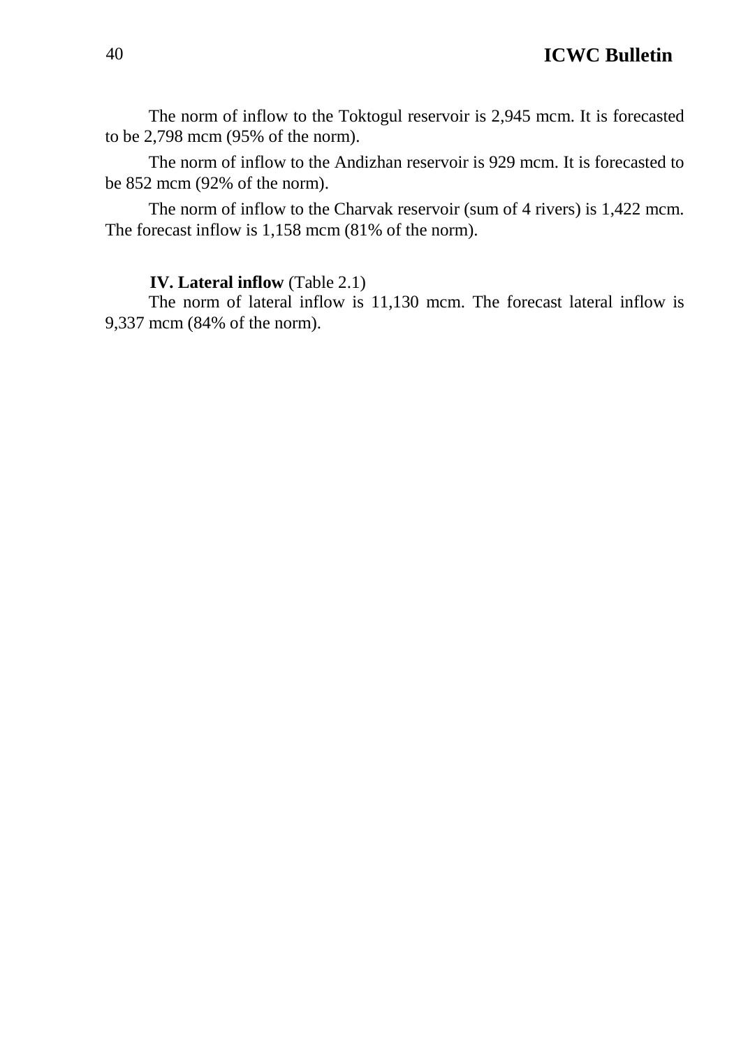The norm of inflow to the Toktogul reservoir is 2,945 mcm. It is forecasted to be 2,798 mcm (95% of the norm).

The norm of inflow to the Andizhan reservoir is 929 mcm. It is forecasted to be 852 mcm (92% of the norm).

The norm of inflow to the Charvak reservoir (sum of 4 rivers) is 1,422 mcm. The forecast inflow is 1,158 mcm (81% of the norm).

#### **IV. Lateral inflow** (Table 2.1)

The norm of lateral inflow is 11,130 mcm. The forecast lateral inflow is 9,337 mcm (84% of the norm).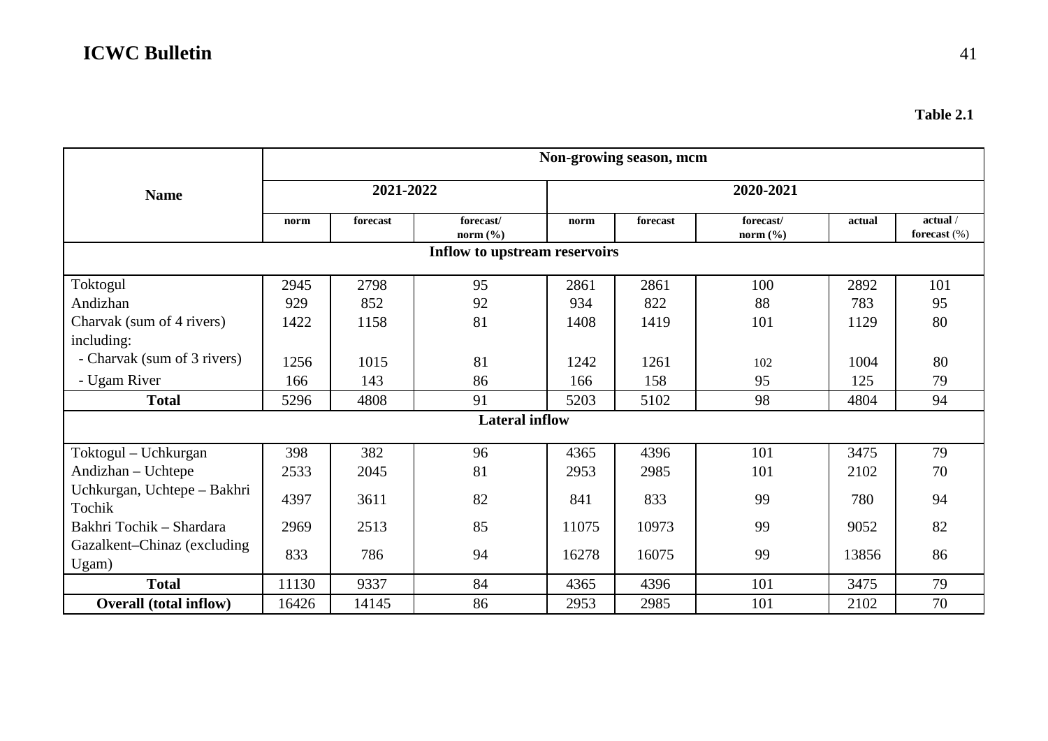|                                       | Non-growing season, mcm |          |                           |           |          |                           |        |                             |
|---------------------------------------|-------------------------|----------|---------------------------|-----------|----------|---------------------------|--------|-----------------------------|
| <b>Name</b>                           | 2021-2022               |          |                           | 2020-2021 |          |                           |        |                             |
|                                       | norm                    | forecast | forecast/<br>norm $(\% )$ | norm      | forecast | forecast/<br>norm $(\% )$ | actual | actual /<br>forecast $(\%)$ |
| Inflow to upstream reservoirs         |                         |          |                           |           |          |                           |        |                             |
| Toktogul                              | 2945                    | 2798     | 95                        | 2861      | 2861     | 100                       | 2892   | 101                         |
| Andizhan                              | 929                     | 852      | 92                        | 934       | 822      | 88                        | 783    | 95                          |
| Charvak (sum of 4 rivers)             | 1422                    | 1158     | 81                        | 1408      | 1419     | 101                       | 1129   | 80                          |
| including:                            |                         |          |                           |           |          |                           |        |                             |
| - Charvak (sum of 3 rivers)           | 1256                    | 1015     | 81                        | 1242      | 1261     | 102                       | 1004   | 80                          |
| - Ugam River                          | 166                     | 143      | 86                        | 166       | 158      | 95                        | 125    | 79                          |
| <b>Total</b>                          | 5296                    | 4808     | 91                        | 5203      | 5102     | 98                        | 4804   | 94                          |
|                                       |                         |          | <b>Lateral inflow</b>     |           |          |                           |        |                             |
| Toktogul – Uchkurgan                  | 398                     | 382      | 96                        | 4365      | 4396     | 101                       | 3475   | 79                          |
| Andizhan - Uchtepe                    | 2533                    | 2045     | 81                        | 2953      | 2985     | 101                       | 2102   | 70                          |
| Uchkurgan, Uchtepe - Bakhri<br>Tochik | 4397                    | 3611     | 82                        | 841       | 833      | 99                        | 780    | 94                          |
| Bakhri Tochik - Shardara              | 2969                    | 2513     | 85                        | 11075     | 10973    | 99                        | 9052   | 82                          |
| Gazalkent-Chinaz (excluding<br>Ugam)  | 833                     | 786      | 94                        | 16278     | 16075    | 99                        | 13856  | 86                          |
| <b>Total</b>                          | 11130                   | 9337     | 84                        | 4365      | 4396     | 101                       | 3475   | 79                          |
| <b>Overall (total inflow)</b>         | 16426                   | 14145    | 86                        | 2953      | 2985     | 101                       | 2102   | 70                          |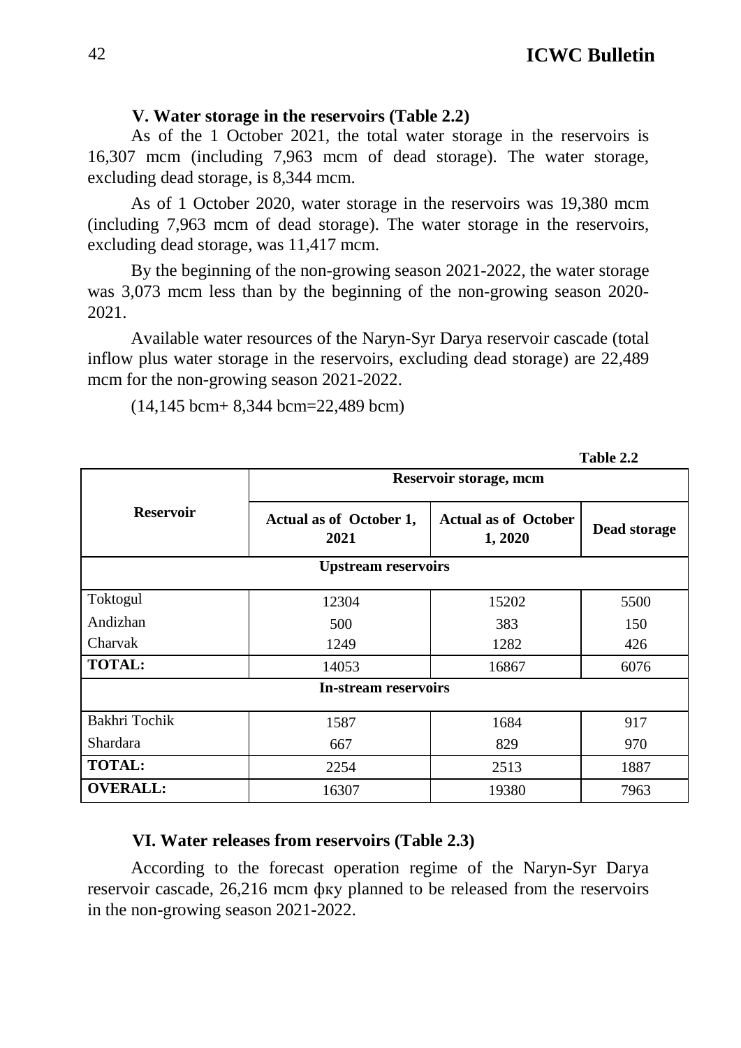**Table 2.2**

#### **V. Water storage in the reservoirs (Table 2.2)**

As of the 1 October 2021, the total water storage in the reservoirs is 16,307 mcm (including 7,963 mcm of dead storage). The water storage, excluding dead storage, is 8,344 mcm.

As of 1 October 2020, water storage in the reservoirs was 19,380 mcm (including 7,963 mcm of dead storage). The water storage in the reservoirs, excluding dead storage, was 11,417 mcm.

By the beginning of the non-growing season 2021-2022, the water storage was 3,073 mcm less than by the beginning of the non-growing season 2020- 2021.

Available water resources of the Naryn-Syr Darya reservoir cascade (total inflow plus water storage in the reservoirs, excluding dead storage) are 22,489 mcm for the non-growing season 2021-2022.

(14,145 bcm+ 8,344 bcm=22,489 bcm)

|                             | Reservoir storage, mcm          |                                       |              |  |  |  |  |
|-----------------------------|---------------------------------|---------------------------------------|--------------|--|--|--|--|
| <b>Reservoir</b>            | Actual as of October 1,<br>2021 | <b>Actual as of October</b><br>1,2020 | Dead storage |  |  |  |  |
| <b>Upstream reservoirs</b>  |                                 |                                       |              |  |  |  |  |
| Toktogul                    | 12304                           | 15202                                 | 5500         |  |  |  |  |
| Andizhan                    | 500                             | 383                                   | 150          |  |  |  |  |
| Charvak                     | 1249                            | 1282                                  | 426          |  |  |  |  |
| <b>TOTAL:</b>               | 14053                           | 16867                                 | 6076         |  |  |  |  |
| <b>In-stream reservoirs</b> |                                 |                                       |              |  |  |  |  |
|                             |                                 |                                       |              |  |  |  |  |
| Bakhri Tochik               | 1587                            | 1684                                  | 917          |  |  |  |  |
| <b>Shardara</b>             | 667                             | 829                                   | 970          |  |  |  |  |
| <b>TOTAL:</b>               | 2254                            | 2513                                  | 1887         |  |  |  |  |
| <b>OVERALL:</b>             | 16307                           | 19380                                 | 7963         |  |  |  |  |

**VI. Water releases from reservoirs (Table 2.3)** 

According to the forecast operation regime of the Naryn-Syr Darya reservoir cascade, 26,216 mcm фку planned to be released from the reservoirs in the non-growing season 2021-2022.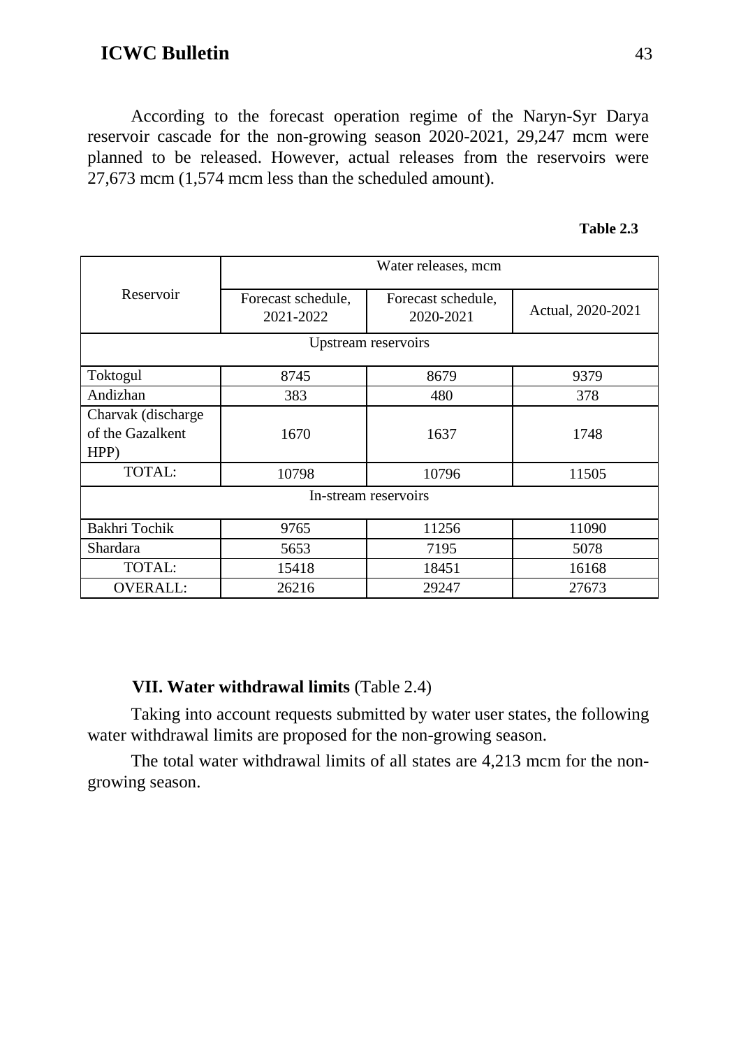According to the forecast operation regime of the Naryn-Syr Darya reservoir cascade for the non-growing season 2020-2021, 29,247 mcm were planned to be released. However, actual releases from the reservoirs were 27,673 mcm (1,574 mcm less than the scheduled amount).

| Table 2.3 |  |
|-----------|--|
|-----------|--|

|                                                | Water releases, mcm             |                                 |                   |  |  |
|------------------------------------------------|---------------------------------|---------------------------------|-------------------|--|--|
| Reservoir                                      | Forecast schedule,<br>2021-2022 | Forecast schedule,<br>2020-2021 | Actual, 2020-2021 |  |  |
| Upstream reservoirs                            |                                 |                                 |                   |  |  |
| Toktogul                                       | 8745                            | 8679                            | 9379              |  |  |
| Andizhan                                       | 383                             | 480                             | 378               |  |  |
| Charvak (discharge<br>of the Gazalkent<br>HPP) | 1670                            | 1637                            | 1748              |  |  |
| TOTAL:                                         | 10798                           | 10796                           | 11505             |  |  |
| In-stream reservoirs                           |                                 |                                 |                   |  |  |
| Bakhri Tochik                                  | 9765                            | 11256                           | 11090             |  |  |
| Shardara                                       | 5653                            | 7195                            | 5078              |  |  |
| TOTAL:                                         | 15418                           | 18451                           | 16168             |  |  |
| <b>OVERALL:</b>                                | 26216                           | 29247                           | 27673             |  |  |

#### **VII. Water withdrawal limits** (Table 2.4)

Taking into account requests submitted by water user states, the following water withdrawal limits are proposed for the non-growing season.

The total water withdrawal limits of all states are 4,213 mcm for the nongrowing season.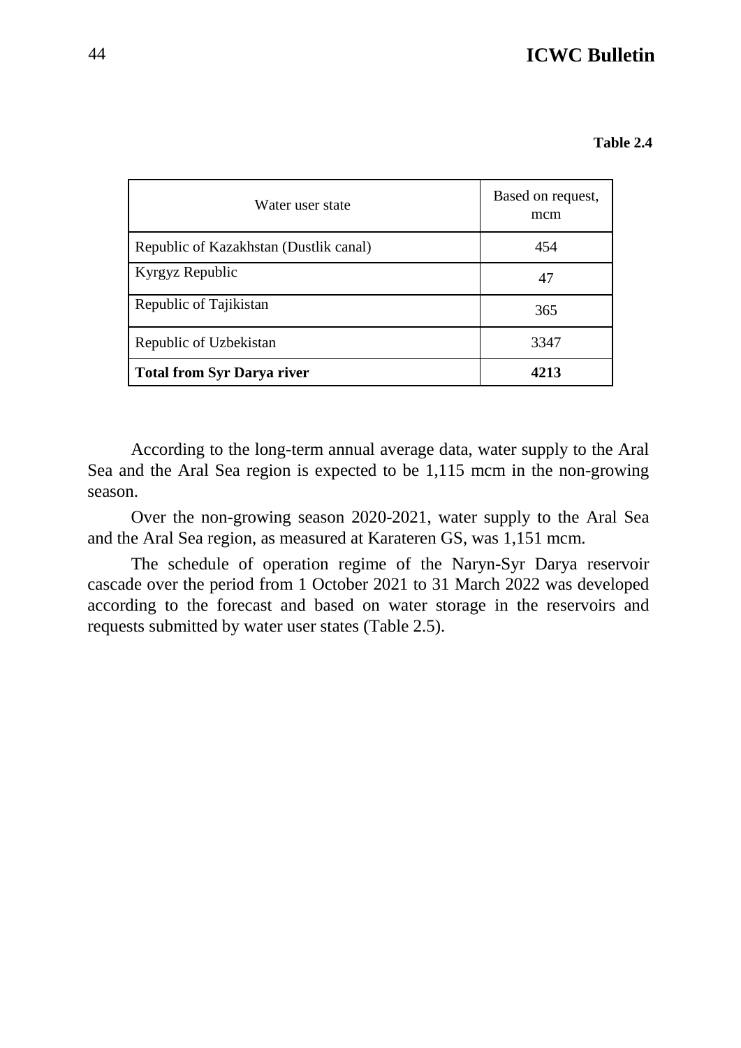| Water user state                       | Based on request,<br>mcm |
|----------------------------------------|--------------------------|
| Republic of Kazakhstan (Dustlik canal) | 454                      |
| Kyrgyz Republic                        | 47                       |
| Republic of Tajikistan                 | 365                      |
| Republic of Uzbekistan                 | 3347                     |
| <b>Total from Syr Darya river</b>      | 4213                     |

According to the long-term annual average data, water supply to the Aral Sea and the Aral Sea region is expected to be 1,115 mcm in the non-growing season.

Over the non-growing season 2020-2021, water supply to the Aral Sea and the Aral Sea region, as measured at Karateren GS, was 1,151 mcm.

The schedule of operation regime of the Naryn-Syr Darya reservoir cascade over the period from 1 October 2021 to 31 March 2022 was developed according to the forecast and based on water storage in the reservoirs and requests submitted by water user states (Table 2.5).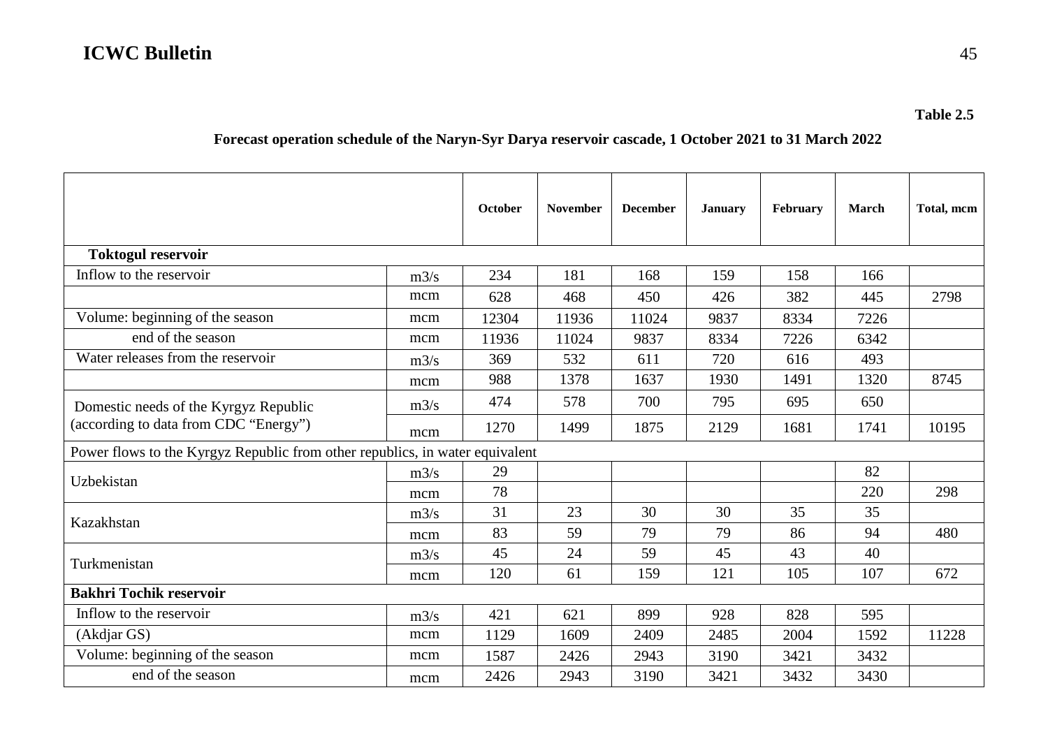#### **Forecast operation schedule of the Naryn-Syr Darya reservoir cascade, 1 October 2021 to 31 March 2022**

|                                                                              |      | October | <b>November</b> | <b>December</b> | <b>January</b> | February | <b>March</b> | Total, mcm |
|------------------------------------------------------------------------------|------|---------|-----------------|-----------------|----------------|----------|--------------|------------|
| <b>Toktogul reservoir</b>                                                    |      |         |                 |                 |                |          |              |            |
| Inflow to the reservoir                                                      | m3/s | 234     | 181             | 168             | 159            | 158      | 166          |            |
|                                                                              | mcm  | 628     | 468             | 450             | 426            | 382      | 445          | 2798       |
| Volume: beginning of the season                                              | mcm  | 12304   | 11936           | 11024           | 9837           | 8334     | 7226         |            |
| end of the season                                                            | mcm  | 11936   | 11024           | 9837            | 8334           | 7226     | 6342         |            |
| Water releases from the reservoir                                            | m3/s | 369     | 532             | 611             | 720            | 616      | 493          |            |
|                                                                              | mcm  | 988     | 1378            | 1637            | 1930           | 1491     | 1320         | 8745       |
| Domestic needs of the Kyrgyz Republic                                        | m3/s | 474     | 578             | 700             | 795            | 695      | 650          |            |
| (according to data from CDC "Energy")                                        | mcm  | 1270    | 1499            | 1875            | 2129           | 1681     | 1741         | 10195      |
| Power flows to the Kyrgyz Republic from other republics, in water equivalent |      |         |                 |                 |                |          |              |            |
| Uzbekistan                                                                   | m3/s | 29      |                 |                 |                |          | 82           |            |
|                                                                              | mcm  | 78      |                 |                 |                |          | 220          | 298        |
| Kazakhstan                                                                   | m3/s | 31      | 23              | 30              | 30             | 35       | 35           |            |
|                                                                              | mcm  | 83      | 59              | 79              | 79             | 86       | 94           | 480        |
| Turkmenistan                                                                 | m3/s | 45      | 24              | 59              | 45             | 43       | 40           |            |
|                                                                              | mcm  | 120     | 61              | 159             | 121            | 105      | 107          | 672        |
| <b>Bakhri Tochik reservoir</b>                                               |      |         |                 |                 |                |          |              |            |
| Inflow to the reservoir                                                      | m3/s | 421     | 621             | 899             | 928            | 828      | 595          |            |
| (Akdjar GS)                                                                  | mcm  | 1129    | 1609            | 2409            | 2485           | 2004     | 1592         | 11228      |
| Volume: beginning of the season                                              | mcm  | 1587    | 2426            | 2943            | 3190           | 3421     | 3432         |            |
| end of the season                                                            | mcm  | 2426    | 2943            | 3190            | 3421           | 3432     | 3430         |            |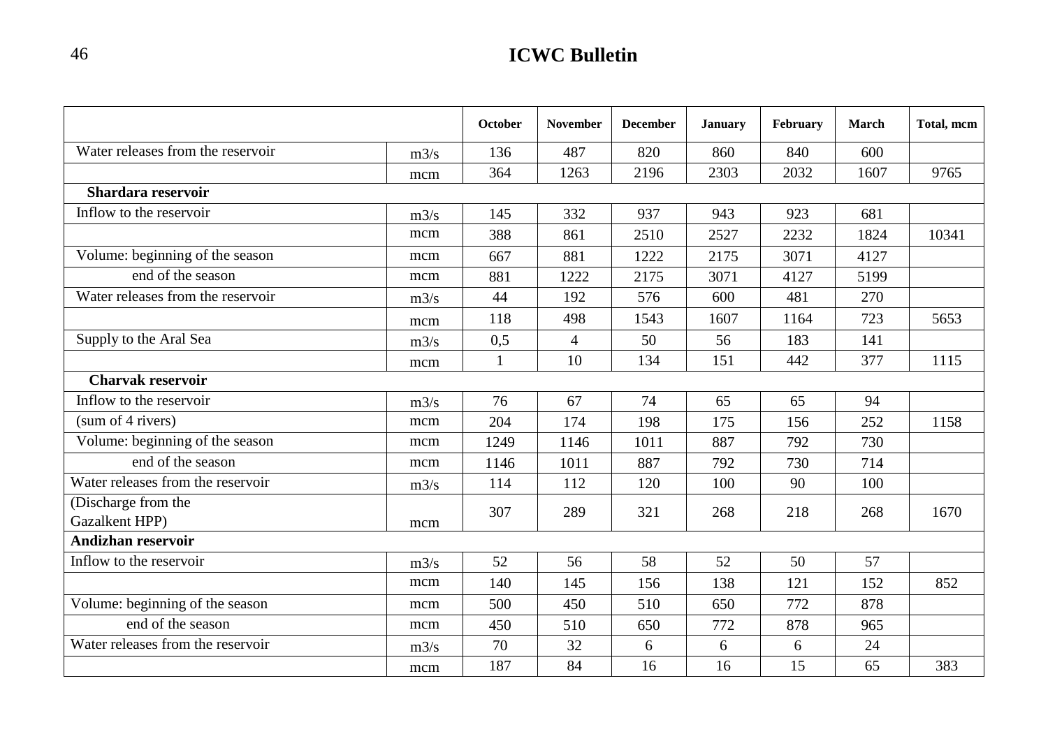|                                       |      | October      | <b>November</b> | <b>December</b> | <b>January</b> | February | <b>March</b> | Total, mcm |
|---------------------------------------|------|--------------|-----------------|-----------------|----------------|----------|--------------|------------|
| Water releases from the reservoir     | m3/s | 136          | 487             | 820             | 860            | 840      | 600          |            |
|                                       | mcm  | 364          | 1263            | 2196            | 2303           | 2032     | 1607         | 9765       |
| Shardara reservoir                    |      |              |                 |                 |                |          |              |            |
| Inflow to the reservoir               | m3/s | 145          | 332             | 937             | 943            | 923      | 681          |            |
|                                       | mcm  | 388          | 861             | 2510            | 2527           | 2232     | 1824         | 10341      |
| Volume: beginning of the season       | mcm  | 667          | 881             | 1222            | 2175           | 3071     | 4127         |            |
| end of the season                     | mcm  | 881          | 1222            | 2175            | 3071           | 4127     | 5199         |            |
| Water releases from the reservoir     | m3/s | 44           | 192             | 576             | 600            | 481      | 270          |            |
|                                       | mcm  | 118          | 498             | 1543            | 1607           | 1164     | 723          | 5653       |
| Supply to the Aral Sea                | m3/s | 0,5          | $\overline{4}$  | 50              | 56             | 183      | 141          |            |
|                                       | mcm  | $\mathbf{1}$ | 10              | 134             | 151            | 442      | 377          | 1115       |
| <b>Charvak reservoir</b>              |      |              |                 |                 |                |          |              |            |
| Inflow to the reservoir               | m3/s | 76           | 67              | 74              | 65             | 65       | 94           |            |
| (sum of 4 rivers)                     | mcm  | 204          | 174             | 198             | 175            | 156      | 252          | 1158       |
| Volume: beginning of the season       | mcm  | 1249         | 1146            | 1011            | 887            | 792      | 730          |            |
| end of the season                     | mcm  | 1146         | 1011            | 887             | 792            | 730      | 714          |            |
| Water releases from the reservoir     | m3/s | 114          | 112             | 120             | 100            | 90       | 100          |            |
| (Discharge from the<br>Gazalkent HPP) | mcm  | 307          | 289             | 321             | 268            | 218      | 268          | 1670       |
| <b>Andizhan reservoir</b>             |      |              |                 |                 |                |          |              |            |
| Inflow to the reservoir               | m3/s | 52           | 56              | 58              | 52             | 50       | 57           |            |
|                                       | mcm  | 140          | 145             | 156             | 138            | 121      | 152          | 852        |
| Volume: beginning of the season       | mcm  | 500          | 450             | 510             | 650            | 772      | 878          |            |
| end of the season                     | mcm  | 450          | 510             | 650             | 772            | 878      | 965          |            |
| Water releases from the reservoir     | m3/s | 70           | 32              | 6               | 6              | 6        | 24           |            |
|                                       | mcm  | 187          | 84              | 16              | 16             | 15       | 65           | 383        |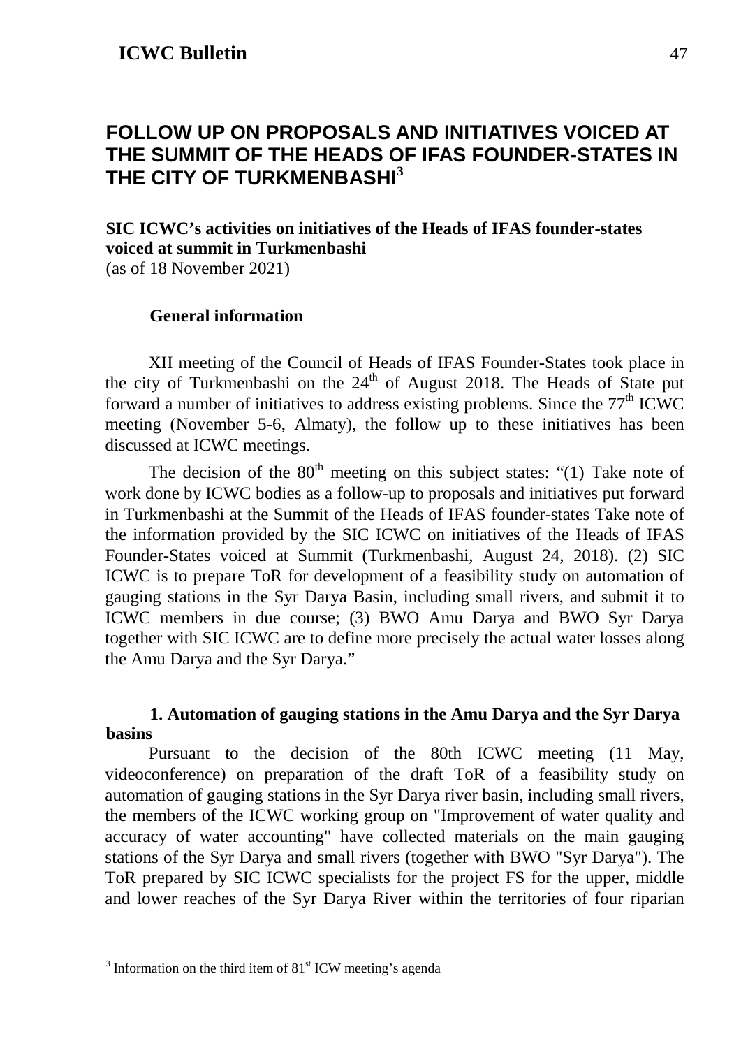### <span id="page-46-0"></span>**FOLLOW UP ON PROPOSALS AND INITIATIVES VOICED AT THE SUMMIT OF THE HEADS OF IFAS FOUNDER-STATES IN THE CITY OF TURKMENBASHI[3](#page-46-1)**

### **SIC ICWC's activities on initiatives of the Heads of IFAS founder-states voiced at summit in Turkmenbashi**

(as of 18 November 2021)

### **General information**

XII meeting of the Council of Heads of IFAS Founder-States took place in the city of Turkmenbashi on the  $24<sup>th</sup>$  of August 2018. The Heads of State put forward a number of initiatives to address existing problems. Since the  $77<sup>th</sup>$  ICWC meeting (November 5-6, Almaty), the follow up to these initiatives has been discussed at ICWC meetings.

The decision of the  $80<sup>th</sup>$  meeting on this subject states: "(1) Take note of work done by ICWC bodies as a follow-up to proposals and initiatives put forward in Turkmenbashi at the Summit of the Heads of IFAS founder-states Take note of the information provided by the SIC ICWC on initiatives of the Heads of IFAS Founder-States voiced at Summit (Turkmenbashi, August 24, 2018). (2) SIC ICWC is to prepare ToR for development of a feasibility study on automation of gauging stations in the Syr Darya Basin, including small rivers, and submit it to ICWC members in due course; (3) BWO Amu Darya and BWO Syr Darya together with SIC ICWC are to define more precisely the actual water losses along the Amu Darya and the Syr Darya."

### **1. Automation of gauging stations in the Amu Darya and the Syr Darya basins**

Pursuant to the decision of the 80th ICWC meeting (11 May, videoconference) on preparation of the draft ToR of a feasibility study on automation of gauging stations in the Syr Darya river basin, including small rivers, the members of the ICWC working group on "Improvement of water quality and accuracy of water accounting" have collected materials on the main gauging stations of the Syr Darya and small rivers (together with BWO "Syr Darya"). The ToR prepared by SIC ICWC specialists for the project FS for the upper, middle and lower reaches of the Syr Darya River within the territories of four riparian

<span id="page-46-1"></span> $3$  Information on the third item of  $81<sup>st</sup>$  ICW meeting's agenda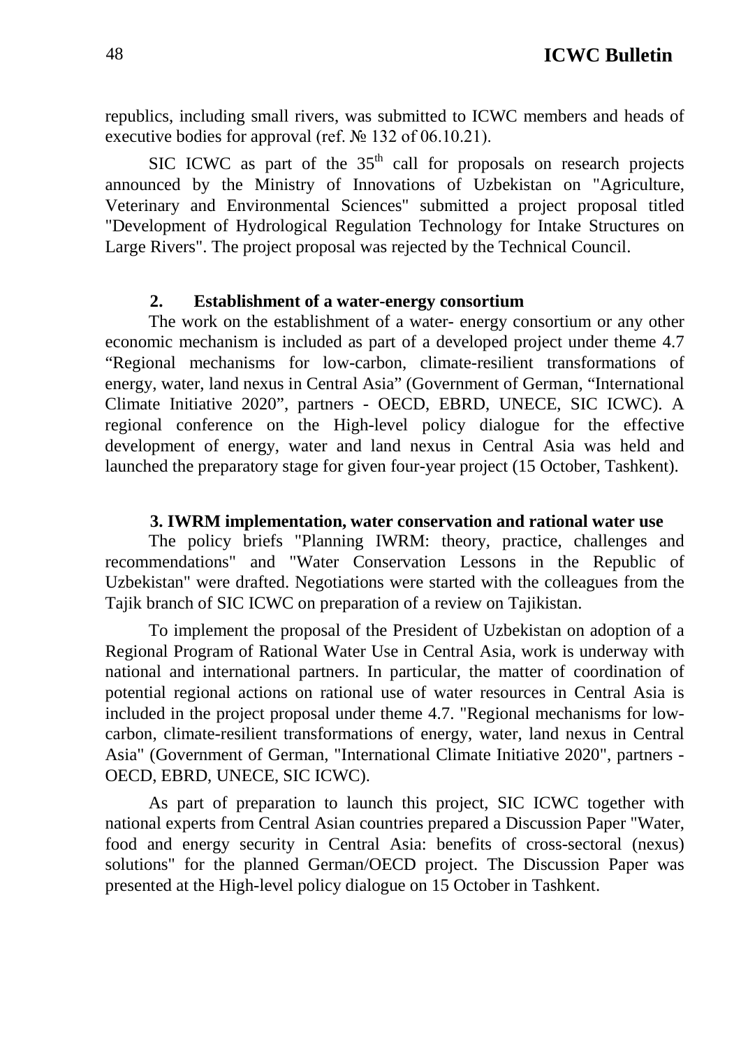republics, including small rivers, was submitted to ICWC members and heads of executive bodies for approval (ref. № 132 of 06.10.21).

SIC ICWC as part of the  $35<sup>th</sup>$  call for proposals on research projects announced by the Ministry of Innovations of Uzbekistan on "Agriculture, Veterinary and Environmental Sciences" submitted a project proposal titled "Development of Hydrological Regulation Technology for Intake Structures on Large Rivers". The project proposal was rejected by the Technical Council.

#### **2. Establishment of a water-energy consortium**

The work on the establishment of a water- energy consortium or any other economic mechanism is included as part of a developed project under theme 4.7 "Regional mechanisms for low-carbon, climate-resilient transformations of energy, water, land nexus in Central Asia" (Government of German, "International Climate Initiative 2020", partners - OECD, EBRD, UNECE, SIC ICWC). A regional conference on the High-level policy dialogue for the effective development of energy, water and land nexus in Central Asia was held and launched the preparatory stage for given four-year project (15 October, Tashkent).

#### **3. IWRM implementation, water conservation and rational water use**

The policy briefs "Planning IWRM: theory, practice, challenges and recommendations" and "Water Conservation Lessons in the Republic of Uzbekistan" were drafted. Negotiations were started with the colleagues from the Tajik branch of SIC ICWC on preparation of a review on Tajikistan.

To implement the proposal of the President of Uzbekistan on adoption of a Regional Program of Rational Water Use in Central Asia, work is underway with national and international partners. In particular, the matter of coordination of potential regional actions on rational use of water resources in Central Asia is included in the project proposal under theme 4.7. "Regional mechanisms for lowcarbon, climate-resilient transformations of energy, water, land nexus in Central Asia" (Government of German, "International Climate Initiative 2020", partners - OECD, EBRD, UNECE, SIC ICWC).

As part of preparation to launch this project, SIC ICWC together with national experts from Central Asian countries prepared a Discussion Paper "Water, food and energy security in Central Asia: benefits of cross-sectoral (nexus) solutions" for the planned German/OECD project. The Discussion Paper was presented at the High-level policy dialogue on 15 October in Tashkent.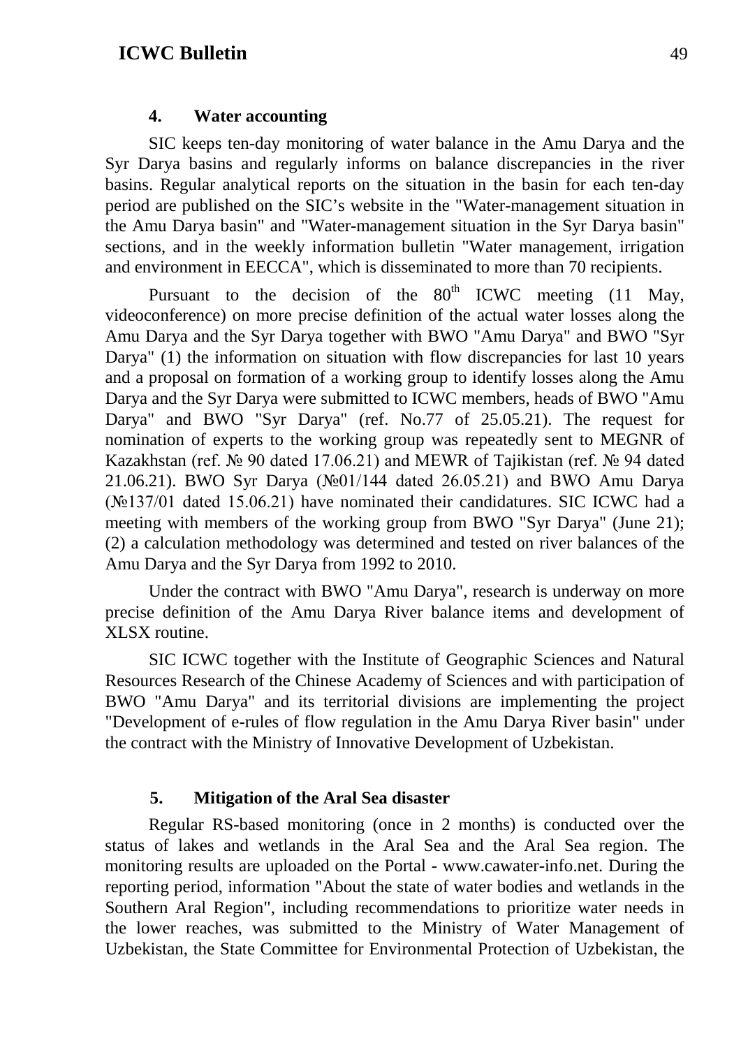#### **4. Water accounting**

SIC keeps ten-day monitoring of water balance in the Amu Darya and the Syr Darya basins and regularly informs on balance discrepancies in the river basins. Regular analytical reports on the situation in the basin for each ten-day period are published on the SIC's website in the "Water-management situation in the Amu Darya basin" and "Water-management situation in the Syr Darya basin" sections, and in the weekly information bulletin "Water management, irrigation and environment in EECCA", which is disseminated to more than 70 recipients.

Pursuant to the decision of the  $80<sup>th</sup>$  ICWC meeting (11 May, videoconference) on more precise definition of the actual water losses along the Amu Darya and the Syr Darya together with BWO "Amu Darya" and BWO "Syr Darya" (1) the information on situation with flow discrepancies for last 10 years and a proposal on formation of a working group to identify losses along the Amu Darya and the Syr Darya were submitted to ICWC members, heads of BWO "Amu Darya" and BWO "Syr Darya" (ref. No.77 of 25.05.21). The request for nomination of experts to the working group was repeatedly sent to MEGNR of Kazakhstan (ref. № 90 dated 17.06.21) and MEWR of Tajikistan (ref. № 94 dated 21.06.21). BWO Syr Darya (№01/144 dated 26.05.21) and BWO Amu Darya (№137/01 dated 15.06.21) have nominated their candidatures. SIC ICWC had a meeting with members of the working group from BWO "Syr Darya" (June 21); (2) a calculation methodology was determined and tested on river balances of the Amu Darya and the Syr Darya from 1992 to 2010.

Under the contract with BWO "Amu Darya", research is underway on more precise definition of the Amu Darya River balance items and development of XLSX routine.

SIC ICWC together with the Institute of Geographic Sciences and Natural Resources Research of the Chinese Academy of Sciences and with participation of BWO "Amu Darya" and its territorial divisions are implementing the project "Development of e-rules of flow regulation in the Amu Darya River basin" under the contract with the Ministry of Innovative Development of Uzbekistan.

#### **5. Mitigation of the Aral Sea disaster**

Regular RS-based monitoring (once in 2 months) is conducted over the status of lakes and wetlands in the Aral Sea and the Aral Sea region. The monitoring results are uploaded on the Portal - [www.cawater-info.net.](http://www.cawater-info.net/) During the reporting period, information "About the state of water bodies and wetlands in the Southern Aral Region", including recommendations to prioritize water needs in the lower reaches, was submitted to the Ministry of Water Management of Uzbekistan, the State Committee for Environmental Protection of Uzbekistan, the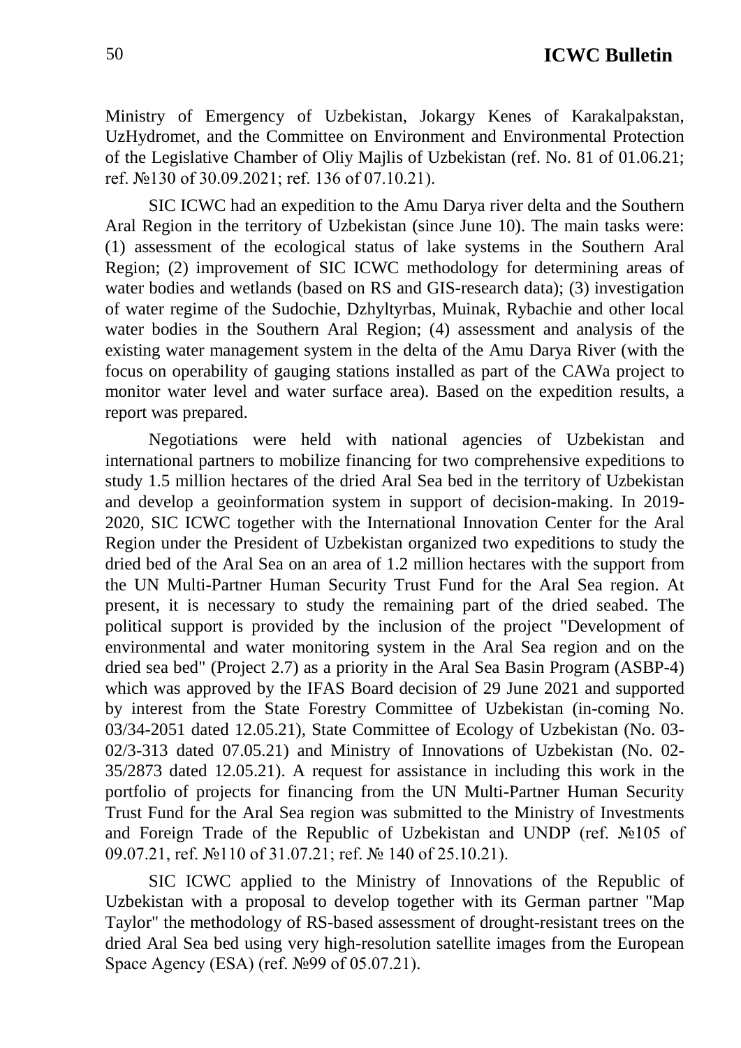Ministry of Emergency of Uzbekistan, Jokargy Kenes of Karakalpakstan, UzHydromet, and the Committee on Environment and Environmental Protection of the Legislative Chamber of Oliy Majlis of Uzbekistan (ref. No. 81 of 01.06.21; ref. №130 of 30.09.2021; ref. 136 of 07.10.21).

SIC ICWC had an expedition to the Amu Darya river delta and the Southern Aral Region in the territory of Uzbekistan (since June 10). The main tasks were: (1) assessment of the ecological status of lake systems in the Southern Aral Region; (2) improvement of SIC ICWC methodology for determining areas of water bodies and wetlands (based on RS and GIS-research data); (3) investigation of water regime of the Sudochie, Dzhyltyrbas, Muinak, Rybachie and other local water bodies in the Southern Aral Region; (4) assessment and analysis of the existing water management system in the delta of the Amu Darya River (with the focus on operability of gauging stations installed as part of the CAWa project to monitor water level and water surface area). Based on the expedition results, a report was prepared.

Negotiations were held with national agencies of Uzbekistan and international partners to mobilize financing for two comprehensive expeditions to study 1.5 million hectares of the dried Aral Sea bed in the territory of Uzbekistan and develop a geoinformation system in support of decision-making. In 2019- 2020, SIC ICWC together with the International Innovation Center for the Aral Region under the President of Uzbekistan organized two expeditions to study the dried bed of the Aral Sea on an area of 1.2 million hectares with the support from the UN Multi-Partner Human Security Trust Fund for the Aral Sea region. At present, it is necessary to study the remaining part of the dried seabed. The political support is provided by the inclusion of the project "Development of environmental and water monitoring system in the Aral Sea region and on the dried sea bed" (Project 2.7) as a priority in the Aral Sea Basin Program (ASBP-4) which was approved by the IFAS Board decision of 29 June 2021 and supported by interest from the State Forestry Committee of Uzbekistan (in-coming No. 03/34-2051 dated 12.05.21), State Committee of Ecology of Uzbekistan (No. 03- 02/3-313 dated 07.05.21) and Ministry of Innovations of Uzbekistan (No. 02- 35/2873 dated 12.05.21). A request for assistance in including this work in the portfolio of projects for financing from the UN Multi-Partner Human Security Trust Fund for the Aral Sea region was submitted to the Ministry of Investments and Foreign Trade of the Republic of Uzbekistan and UNDP (ref. №105 of 09.07.21, ref. №110 of 31.07.21; ref. № 140 of 25.10.21).

SIC ICWC applied to the Ministry of Innovations of the Republic of Uzbekistan with a proposal to develop together with its German partner "Map Taylor" the methodology of RS-based assessment of drought-resistant trees on the dried Aral Sea bed using very high-resolution satellite images from the European Space Agency (ESA) (ref. №99 of 05.07.21).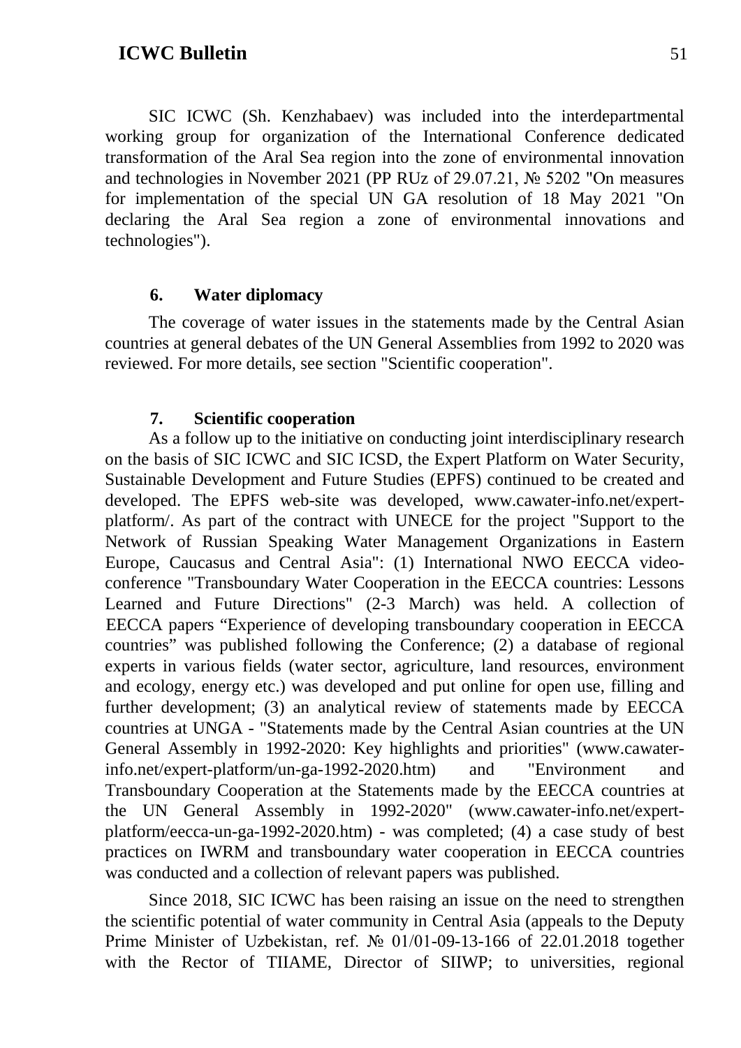SIC ICWC (Sh. Kenzhabaev) was included into the interdepartmental working group for organization of the International Conference dedicated transformation of the Aral Sea region into the zone of environmental innovation and technologies in November 2021 (PP RUz of 29.07.21, № 5202 "On measures for implementation of the special UN GA resolution of 18 May 2021 "On declaring the Aral Sea region a zone of environmental innovations and technologies").

#### **6. Water diplomacy**

The coverage of water issues in the statements made by the Central Asian countries at general debates of the UN General Assemblies from 1992 to 2020 was reviewed. For more details, see section "Scientific cooperation".

#### **7. Scientific cooperation**

As a follow up to the initiative on conducting joint interdisciplinary research on the basis of SIC ICWC and SIC ICSD, the Expert Platform on Water Security, Sustainable Development and Future Studies (EPFS) continued to be created and developed. The EPFS web-site was developed, www.cawater-info.net/expertplatform/. As part of the contract with UNECE for the project "Support to the Network of Russian Speaking Water Management Organizations in Eastern Europe, Caucasus and Central Asia": (1) International NWO EECCA videoconference "Transboundary Water Cooperation in the EECCA countries: Lessons Learned and Future Directions" (2-3 March) was held. A collection of EECCA papers "Experience of developing transboundary cooperation in EECCA countries" was published following the Conference; (2) a database of regional experts in various fields (water sector, agriculture, land resources, environment and ecology, energy etc.) was developed and put online for open use, filling and further development; (3) an analytical review of statements made by EECCA countries at UNGA - "Statements made by the Central Asian countries at the UN General Assembly in 1992-2020: Key highlights and priorities" (www.cawaterinfo.net/expert-platform/un-ga-1992-2020.htm) and "Environment and Transboundary Cooperation at the Statements made by the EECCA countries at the UN General Assembly in 1992-2020" (www.cawater-info.net/expertplatform/eecca-un-ga-1992-2020.htm) - was completed; (4) a case study of best practices on IWRM and transboundary water cooperation in EECCA countries was conducted and a collection of relevant papers was published.

Since 2018, SIC ICWC has been raising an issue on the need to strengthen the scientific potential of water community in Central Asia (appeals to the Deputy Prime Minister of Uzbekistan, ref. № 01/01-09-13-166 of 22.01.2018 together with the Rector of TIIAME, Director of SIIWP; to universities, regional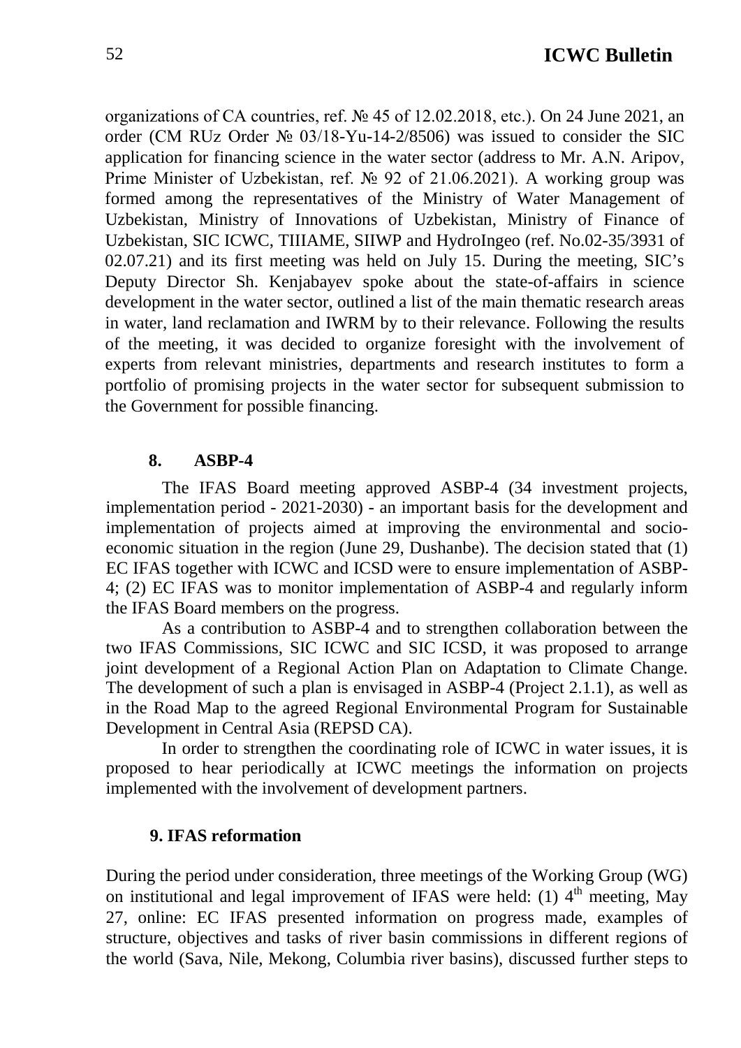organizations of CA countries, ref. № 45 of 12.02.2018, etc.). On 24 June 2021, an order (CM RUz Order № 03/18-Yu-14-2/8506) was issued to consider the SIC application for financing science in the water sector (address to Mr. A.N. Aripov, Prime Minister of Uzbekistan, ref. № 92 of 21.06.2021). A working group was formed among the representatives of the Ministry of Water Management of Uzbekistan, Ministry of Innovations of Uzbekistan, Ministry of Finance of Uzbekistan, SIC ICWC, TIIIAME, SIIWP and HydroIngeo (ref. No.02-35/3931 of 02.07.21) and its first meeting was held on July 15. During the meeting, SIC's Deputy Director Sh. Kenjabayev spoke about the state-of-affairs in science development in the water sector, outlined a list of the main thematic research areas in water, land reclamation and IWRM by to their relevance. Following the results of the meeting, it was decided to organize foresight with the involvement of experts from relevant ministries, departments and research institutes to form a portfolio of promising projects in the water sector for subsequent submission to the Government for possible financing.

#### **8. ASBP-4**

The IFAS Board meeting approved ASBP-4 (34 investment projects, implementation period - 2021-2030) - an important basis for the development and implementation of projects aimed at improving the environmental and socioeconomic situation in the region (June 29, Dushanbe). The decision stated that (1) EC IFAS together with ICWC and ICSD were to ensure implementation of ASBP-4; (2) EC IFAS was to monitor implementation of ASBP-4 and regularly inform the IFAS Board members on the progress.

As a contribution to ASBP-4 and to strengthen collaboration between the two IFAS Commissions, SIC ICWC and SIC ICSD, it was proposed to arrange joint development of a Regional Action Plan on Adaptation to Climate Change. The development of such a plan is envisaged in ASBP-4 (Project 2.1.1), as well as in the Road Map to the agreed Regional Environmental Program for Sustainable Development in Central Asia (REPSD CA).

In order to strengthen the coordinating role of ICWC in water issues, it is proposed to hear periodically at ICWC meetings the information on projects implemented with the involvement of development partners.

#### **9. IFAS reformation**

During the period under consideration, three meetings of the Working Group (WG) on institutional and legal improvement of IFAS were held: (1)  $4<sup>th</sup>$  meeting, May 27, online: EC IFAS presented information on progress made, examples of structure, objectives and tasks of river basin commissions in different regions of the world (Sava, Nile, Mekong, Columbia river basins), discussed further steps to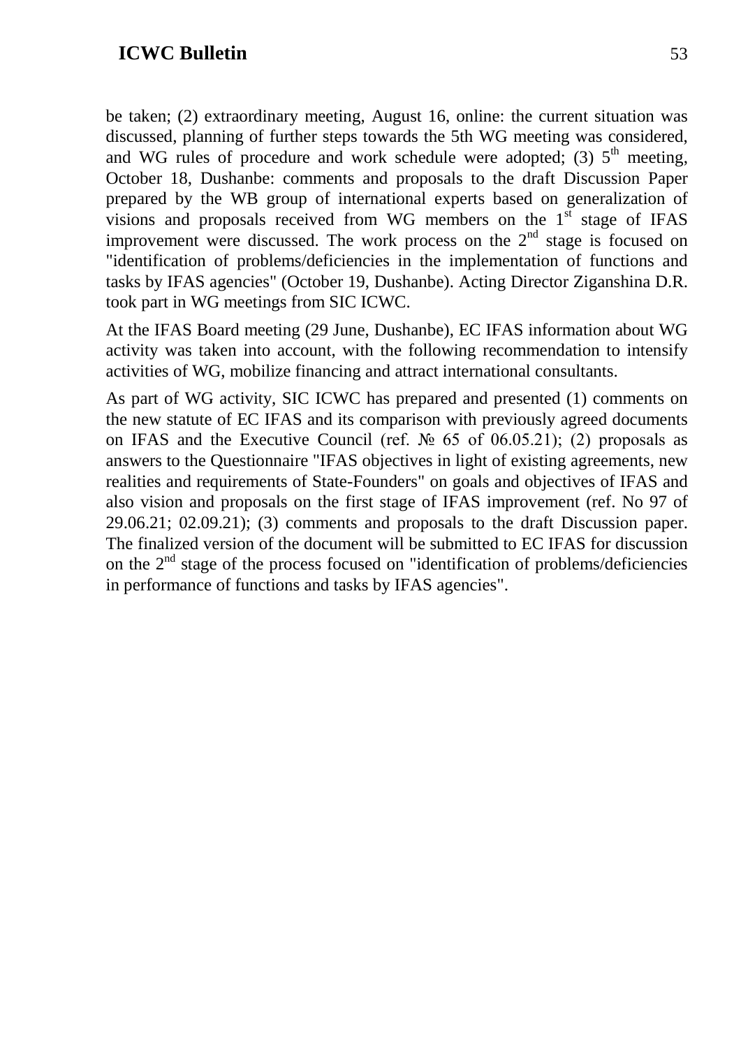be taken; (2) extraordinary meeting, August 16, online: the current situation was discussed, planning of further steps towards the 5th WG meeting was considered, and WG rules of procedure and work schedule were adopted; (3)  $5<sup>th</sup>$  meeting, October 18, Dushanbe: comments and proposals to the draft Discussion Paper prepared by the WB group of international experts based on generalization of visions and proposals received from WG members on the  $1<sup>st</sup>$  stage of IFAS improvement were discussed. The work process on the  $2<sup>nd</sup>$  stage is focused on "identification of problems/deficiencies in the implementation of functions and tasks by IFAS agencies" (October 19, Dushanbe). Acting Director Ziganshina D.R. took part in WG meetings from SIC ICWC.

At the IFAS Board meeting (29 June, Dushanbe), EC IFAS information about WG activity was taken into account, with the following recommendation to intensify activities of WG, mobilize financing and attract international consultants.

As part of WG activity, SIC ICWC has prepared and presented (1) comments on the new statute of EC IFAS and its comparison with previously agreed documents on IFAS and the Executive Council (ref.  $\mathbb{N}^{\circ}$  65 of 06.05.21); (2) proposals as answers to the Questionnaire "IFAS objectives in light of existing agreements, new realities and requirements of State-Founders" on goals and objectives of IFAS and also vision and proposals on the first stage of IFAS improvement (ref. No 97 of 29.06.21; 02.09.21); (3) comments and proposals to the draft Discussion paper. The finalized version of the document will be submitted to EC IFAS for discussion on the  $2<sup>nd</sup>$  stage of the process focused on "identification of problems/deficiencies in performance of functions and tasks by IFAS agencies".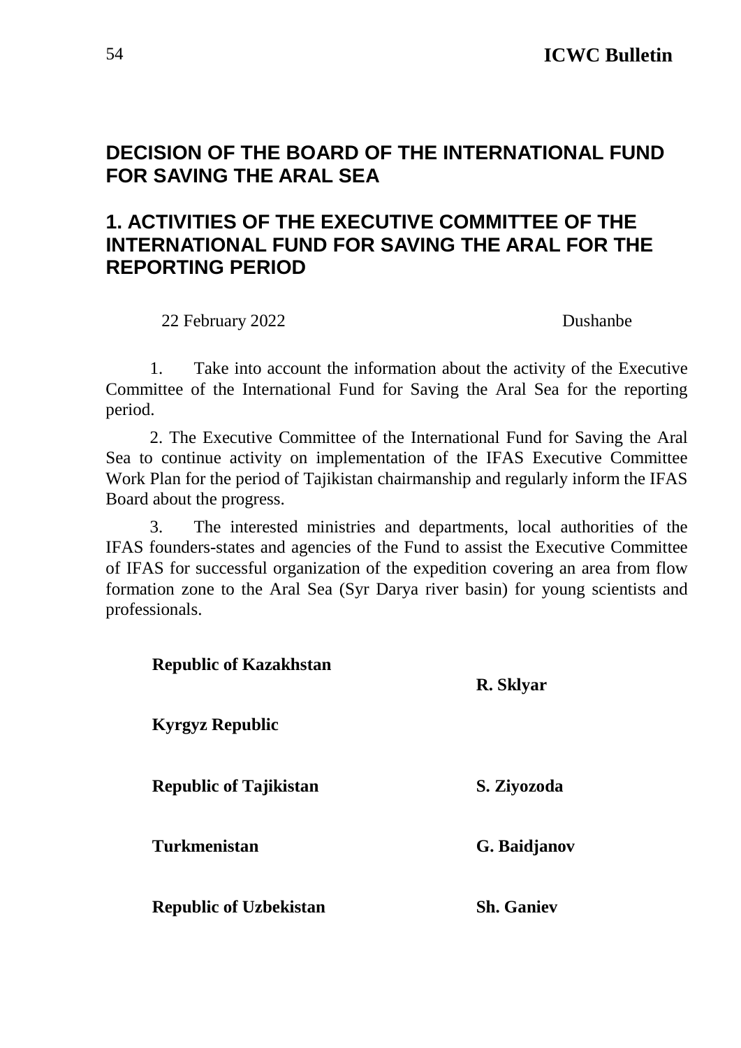### <span id="page-53-0"></span>**DECISION OF THE BOARD OF THE INTERNATIONAL FUND FOR SAVING THE ARAL SEA**

### **1. ACTIVITIES OF THE EXECUTIVE COMMITTEE OF THE INTERNATIONAL FUND FOR SAVING THE ARAL FOR THE REPORTING PERIOD**

22 February 2022 Dushanbe

1. Take into account the information about the activity of the Executive Committee of the International Fund for Saving the Aral Sea for the reporting period.

2. The Executive Committee of the International Fund for Saving the Aral Sea to continue activity on implementation of the IFAS Executive Committee Work Plan for the period of Tajikistan chairmanship and regularly inform the IFAS Board about the progress.

3. The interested ministries and departments, local authorities of the IFAS founders-states and agencies of the Fund to assist the Executive Committee of IFAS for successful organization of the expedition covering an area from flow formation zone to the Aral Sea (Syr Darya river basin) for young scientists and professionals.

| <b>Republic of Kazakhstan</b> | R. Sklyar         |
|-------------------------------|-------------------|
| <b>Kyrgyz Republic</b>        |                   |
| <b>Republic of Tajikistan</b> | S. Ziyozoda       |
| <b>Turkmenistan</b>           | G. Baidjanov      |
| <b>Republic of Uzbekistan</b> | <b>Sh. Ganiev</b> |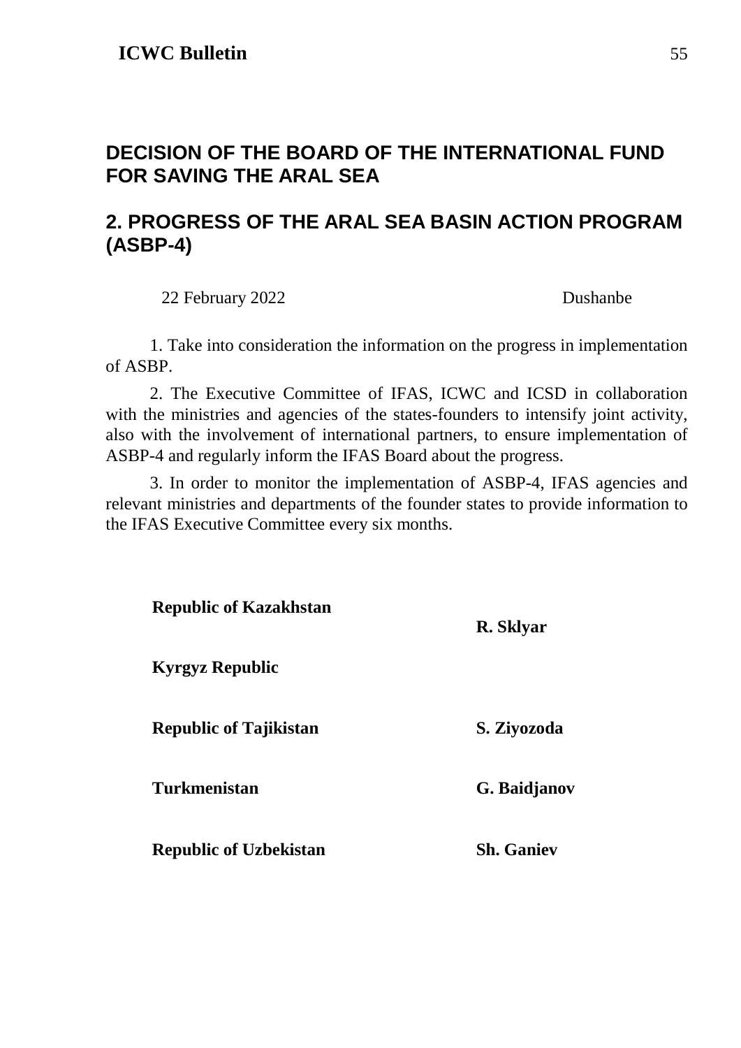### <span id="page-54-0"></span>**DECISION OF THE BOARD OF THE INTERNATIONAL FUND FOR SAVING THE ARAL SEA**

### **2. PROGRESS OF THE ARAL SEA BASIN ACTION PROGRAM (ASBP-4)**

22 February 2022 Dushanbe

1. Take into consideration the information on the progress in implementation of ASBP.

2. The Executive Committee of IFAS, ICWC and ICSD in collaboration with the ministries and agencies of the states-founders to intensify joint activity, also with the involvement of international partners, to ensure implementation of ASBP-4 and regularly inform the IFAS Board about the progress.

3. In order to monitor the implementation of ASBP-4, IFAS agencies and relevant ministries and departments of the founder states to provide information to the IFAS Executive Committee every six months.

| <b>Republic of Kazakhstan</b> | R. Sklyar         |
|-------------------------------|-------------------|
| <b>Kyrgyz Republic</b>        |                   |
| <b>Republic of Tajikistan</b> | S. Ziyozoda       |
| <b>Turkmenistan</b>           | G. Baidjanov      |
| <b>Republic of Uzbekistan</b> | <b>Sh.</b> Ganiev |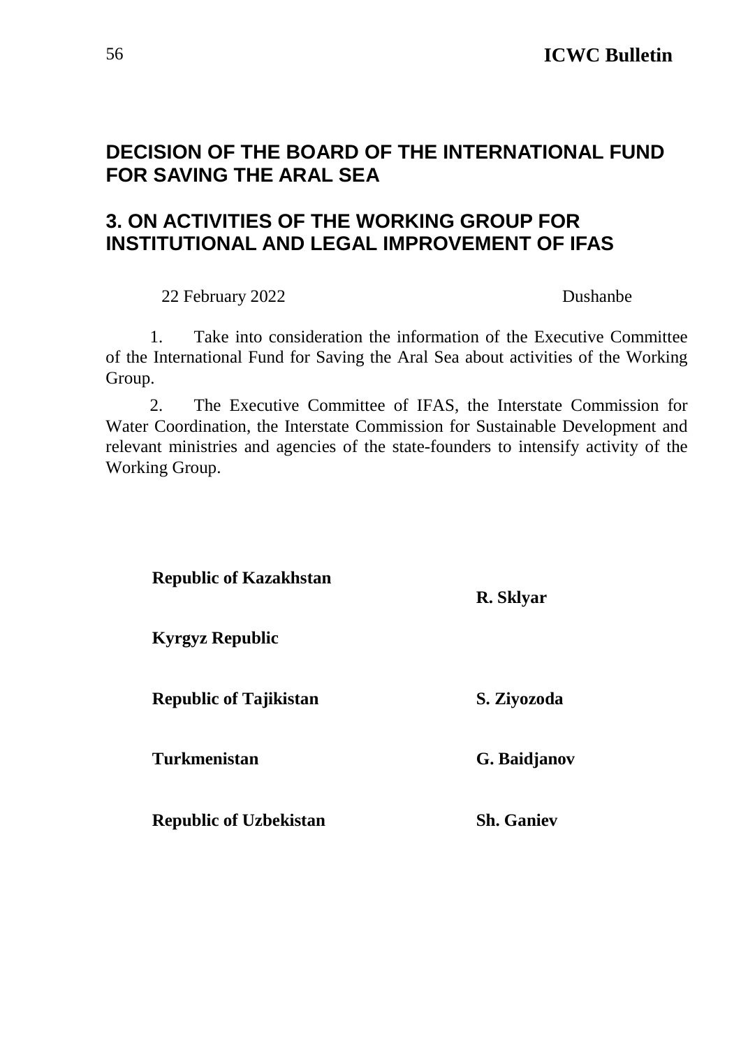### <span id="page-55-0"></span>**DECISION OF THE BOARD OF THE INTERNATIONAL FUND FOR SAVING THE ARAL SEA**

### **3. ON ACTIVITIES OF THE WORKING GROUP FOR INSTITUTIONAL AND LEGAL IMPROVEMENT OF IFAS**

22 February 2022 Dushanbe

1. Take into consideration the information of the Executive Committee of the International Fund for Saving the Aral Sea about activities of the Working Group.

2. The Executive Committee of IFAS, the Interstate Commission for Water Coordination, the Interstate Commission for Sustainable Development and relevant ministries and agencies of the state-founders to intensify activity of the Working Group.

| <b>Republic of Kazakhstan</b> | R. Sklyar         |
|-------------------------------|-------------------|
| <b>Kyrgyz Republic</b>        |                   |
| <b>Republic of Tajikistan</b> | S. Ziyozoda       |
| <b>Turkmenistan</b>           | G. Baidjanov      |
| <b>Republic of Uzbekistan</b> | <b>Sh.</b> Ganiev |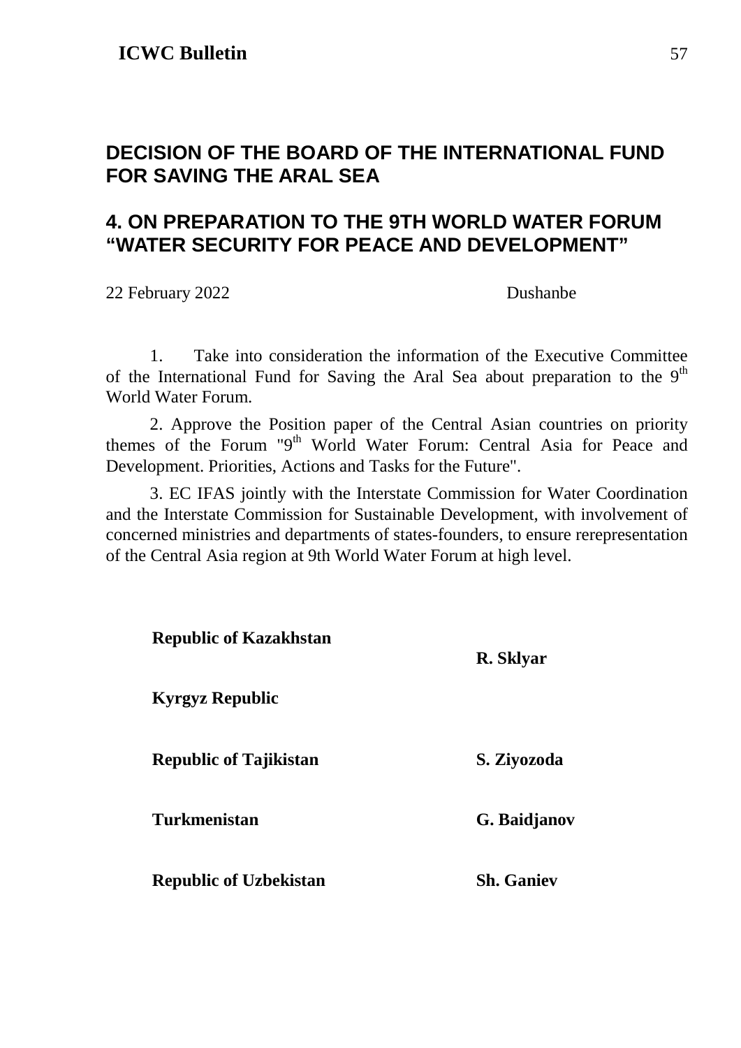### <span id="page-56-0"></span>**DECISION OF THE BOARD OF THE INTERNATIONAL FUND FOR SAVING THE ARAL SEA**

### **4. ON PREPARATION TO THE 9TH WORLD WATER FORUM "WATER SECURITY FOR PEACE AND DEVELOPMENT"**

22 February 2022 Dushanbe

1. Take into consideration the information of the Executive Committee of the International Fund for Saving the Aral Sea about preparation to the  $9<sup>th</sup>$ World Water Forum.

2. Approve the Position paper of the Central Asian countries on priority themes of the Forum "9<sup>th</sup> World Water Forum: Central Asia for Peace and Development. Priorities, Actions and Tasks for the Future".

3. EC IFAS jointly with the Interstate Commission for Water Coordination and the Interstate Commission for Sustainable Development, with involvement of concerned ministries and departments of states-founders, to ensure rerepresentation of the Central Asia region at 9th World Water Forum at high level.

| <b>Republic of Kazakhstan</b> | R. Sklyar         |
|-------------------------------|-------------------|
| <b>Kyrgyz Republic</b>        |                   |
| <b>Republic of Tajikistan</b> | S. Ziyozoda       |
| <b>Turkmenistan</b>           | G. Baidjanov      |
| <b>Republic of Uzbekistan</b> | <b>Sh. Ganiev</b> |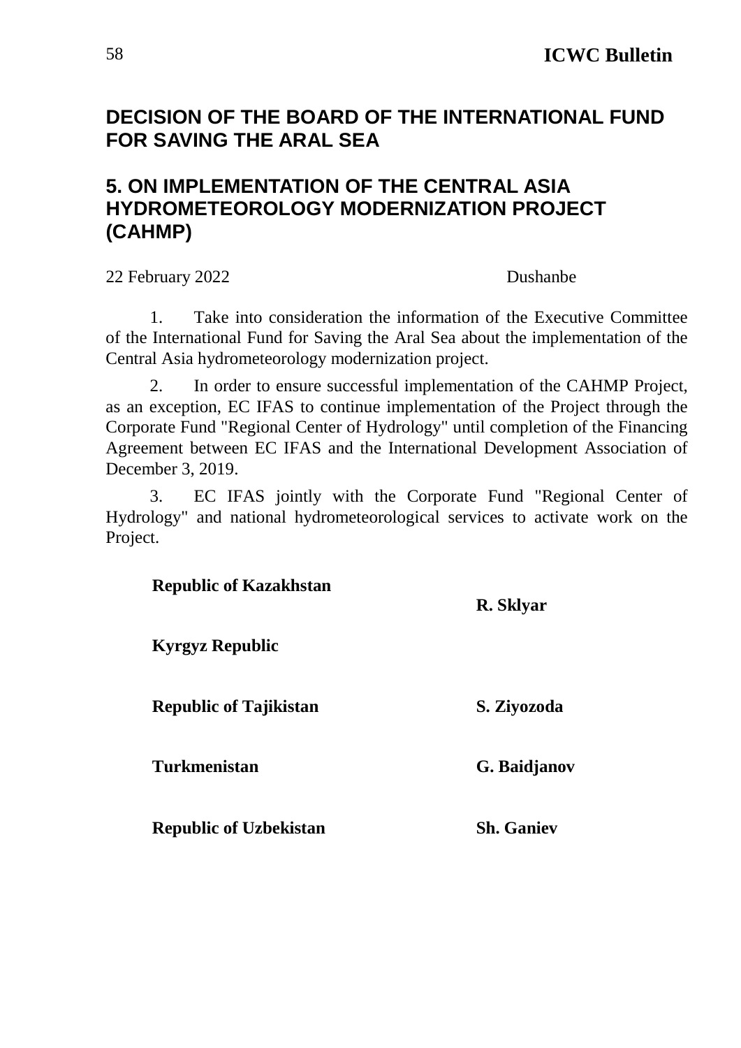### <span id="page-57-0"></span>**DECISION OF THE BOARD OF THE INTERNATIONAL FUND FOR SAVING THE ARAL SEA**

### **5. ON IMPLEMENTATION OF THE CENTRAL ASIA HYDROMETEOROLOGY MODERNIZATION PROJECT (CAHMP)**

22 February 2022 Dushanbe

1. Take into consideration the information of the Executive Committee of the International Fund for Saving the Aral Sea about the implementation of the Central Asia hydrometeorology modernization project.

2. In order to ensure successful implementation of the CAHMP Project, as an exception, EC IFAS to continue implementation of the Project through the Corporate Fund "Regional Center of Hydrology" until completion of the Financing Agreement between EC IFAS and the International Development Association of December 3, 2019.

3. EC IFAS jointly with the Corporate Fund "Regional Center of Hydrology" and national hydrometeorological services to activate work on the Project.

| <b>Republic of Kazakhstan</b> | R. Sklyar         |
|-------------------------------|-------------------|
| <b>Kyrgyz Republic</b>        |                   |
| <b>Republic of Tajikistan</b> | S. Ziyozoda       |
| <b>Turkmenistan</b>           | G. Baidjanov      |
| <b>Republic of Uzbekistan</b> | <b>Sh.</b> Ganiev |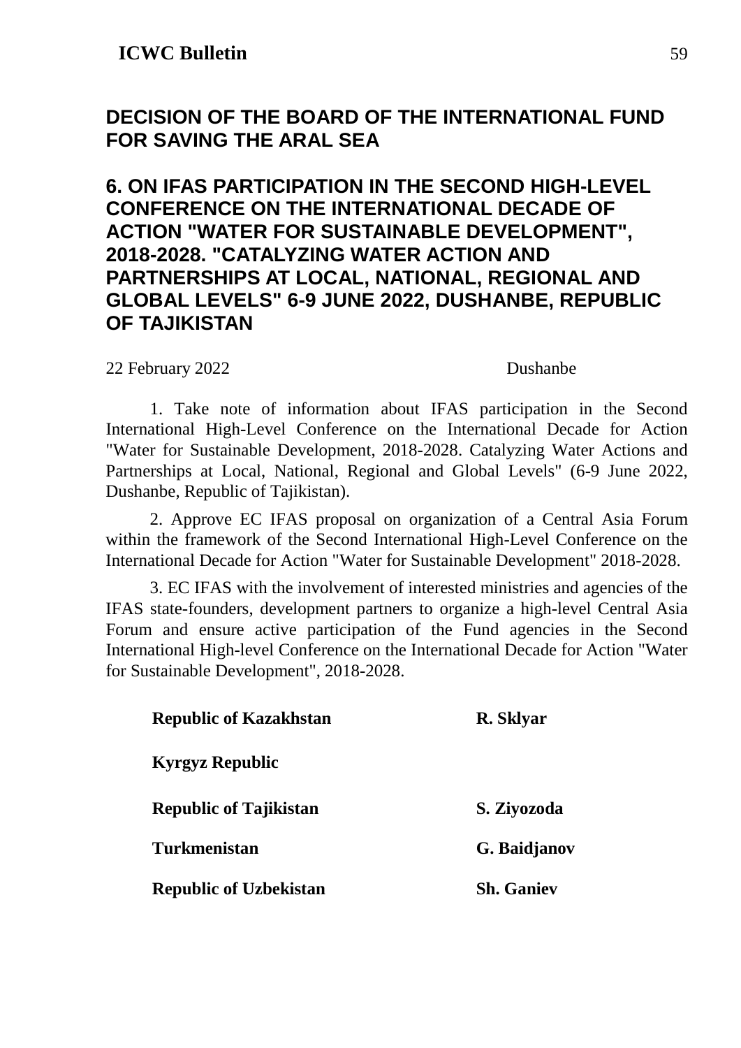### <span id="page-58-0"></span>**DECISION OF THE BOARD OF THE INTERNATIONAL FUND FOR SAVING THE ARAL SEA**

### **6. ON IFAS PARTICIPATION IN THE SECOND HIGH-LEVEL CONFERENCE ON THE INTERNATIONAL DECADE OF ACTION "WATER FOR SUSTAINABLE DEVELOPMENT", 2018-2028. "CATALYZING WATER ACTION AND PARTNERSHIPS AT LOCAL, NATIONAL, REGIONAL AND GLOBAL LEVELS" 6-9 JUNE 2022, DUSHANBE, REPUBLIC OF TAJIKISTAN**

22 February 2022 Dushanbe

1. Take note of information about IFAS participation in the Second International High-Level Conference on the International Decade for Action "Water for Sustainable Development, 2018-2028. Catalyzing Water Actions and Partnerships at Local, National, Regional and Global Levels" (6-9 June 2022, Dushanbe, Republic of Tajikistan).

2. Approve EC IFAS proposal on organization of a Central Asia Forum within the framework of the Second International High-Level Conference on the International Decade for Action "Water for Sustainable Development" 2018-2028.

3. EC IFAS with the involvement of interested ministries and agencies of the IFAS state-founders, development partners to organize a high-level Central Asia Forum and ensure active participation of the Fund agencies in the Second International High-level Conference on the International Decade for Action "Water for Sustainable Development", 2018-2028.

| <b>Republic of Kazakhstan</b> | R. Sklyar         |
|-------------------------------|-------------------|
| <b>Kyrgyz Republic</b>        |                   |
| <b>Republic of Tajikistan</b> | S. Ziyozoda       |
| <b>Turkmenistan</b>           | G. Baidjanov      |
| <b>Republic of Uzbekistan</b> | <b>Sh.</b> Ganiev |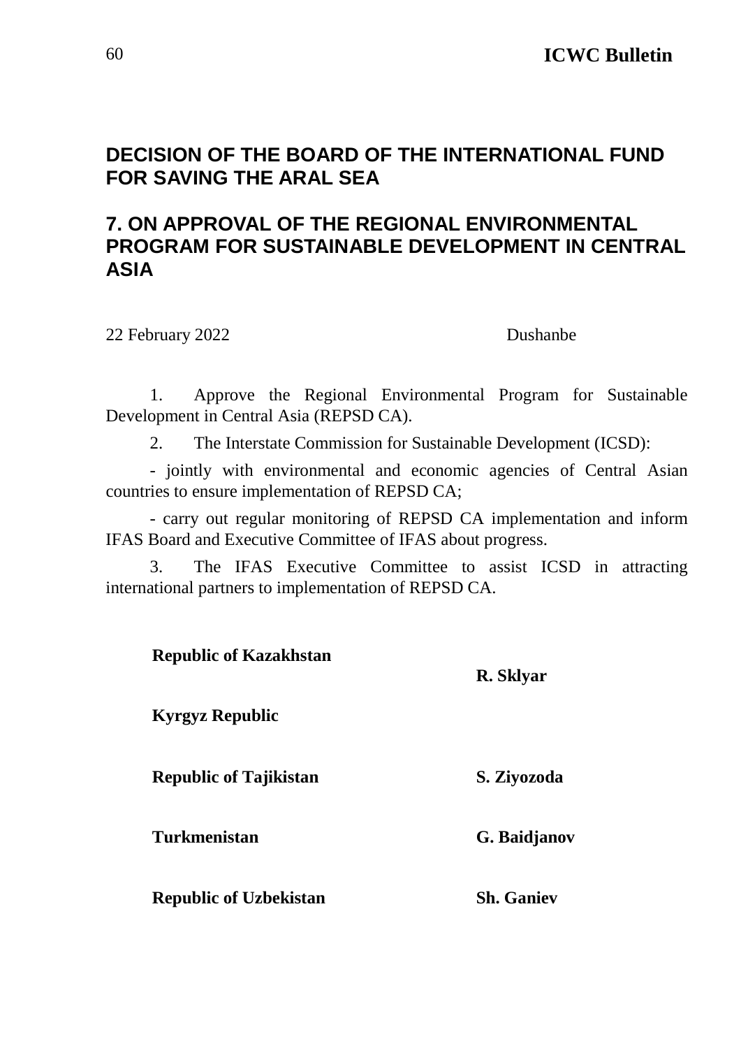### <span id="page-59-0"></span>**DECISION OF THE BOARD OF THE INTERNATIONAL FUND FOR SAVING THE ARAL SEA**

### **7. ON APPROVAL OF THE REGIONAL ENVIRONMENTAL PROGRAM FOR SUSTAINABLE DEVELOPMENT IN CENTRAL ASIA**

22 February 2022 Dushanbe

1. Approve the Regional Environmental Program for Sustainable Development in Central Asia (REPSD CA).

2. The Interstate Commission for Sustainable Development (ICSD):

- jointly with environmental and economic agencies of Central Asian countries to ensure implementation of REPSD CA;

- carry out regular monitoring of REPSD CA implementation and inform IFAS Board and Executive Committee of IFAS about progress.

3. The IFAS Executive Committee to assist ICSD in attracting international partners to implementation of REPSD CA.

| <b>Republic of Kazakhstan</b> | R. Sklyar         |
|-------------------------------|-------------------|
| <b>Kyrgyz Republic</b>        |                   |
| <b>Republic of Tajikistan</b> | S. Ziyozoda       |
| <b>Turkmenistan</b>           | G. Baidjanov      |
| <b>Republic of Uzbekistan</b> | <b>Sh. Ganiev</b> |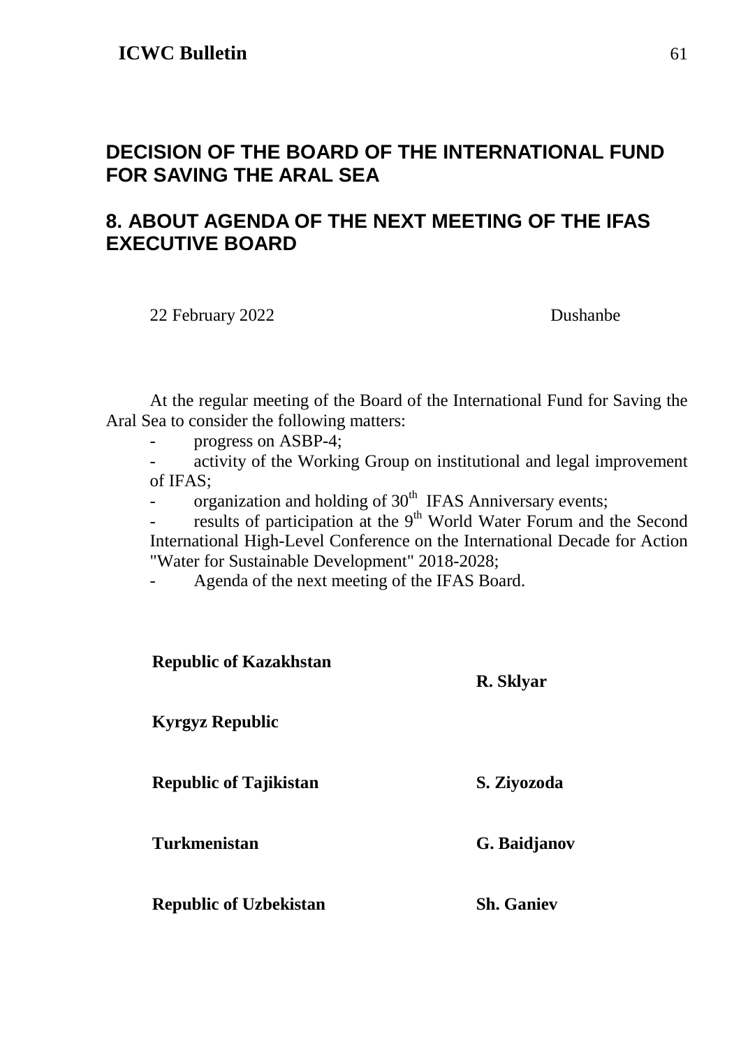### <span id="page-60-0"></span>**DECISION OF THE BOARD OF THE INTERNATIONAL FUND FOR SAVING THE ARAL SEA**

### **8. ABOUT AGENDA OF THE NEXT MEETING OF THE IFAS EXECUTIVE BOARD**

22 February 2022 Dushanbe

At the regular meeting of the Board of the International Fund for Saving the Aral Sea to consider the following matters:

- progress on ASBP-4;

- activity of the Working Group on institutional and legal improvement of IFAS;

- organization and holding of 30<sup>th</sup> IFAS Anniversary events;

- results of participation at the 9<sup>th</sup> World Water Forum and the Second International High-Level Conference on the International Decade for Action "Water for Sustainable Development" 2018-2028;

- Agenda of the next meeting of the IFAS Board.

| <b>Republic of Kazakhstan</b> | R. Sklyar         |
|-------------------------------|-------------------|
| <b>Kyrgyz Republic</b>        |                   |
| <b>Republic of Tajikistan</b> | S. Ziyozoda       |
| <b>Turkmenistan</b>           | G. Baidjanov      |
| <b>Republic of Uzbekistan</b> | <b>Sh. Ganiev</b> |